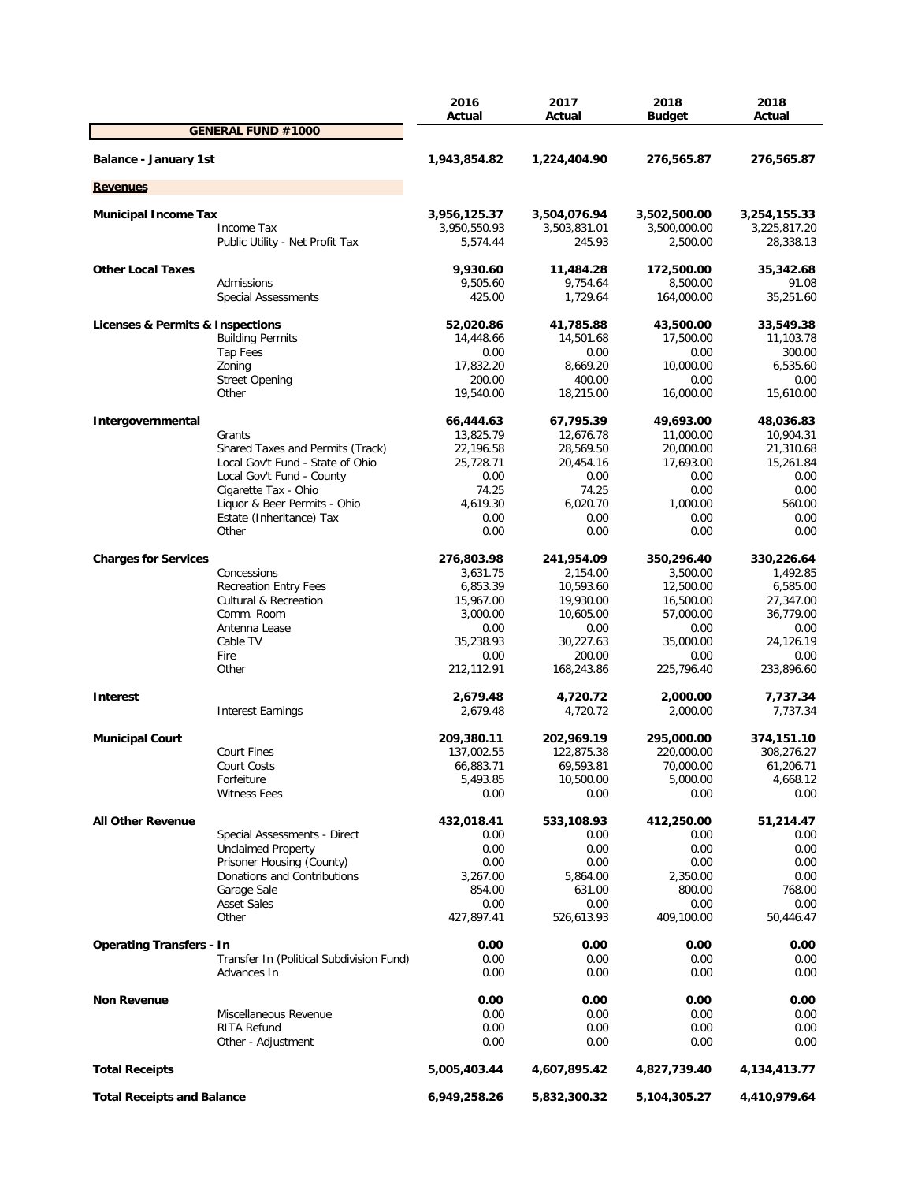|                                   |                                          | 2016<br>Actual         | 2017<br>Actual         | 2018                   | 2018<br>Actual         |
|-----------------------------------|------------------------------------------|------------------------|------------------------|------------------------|------------------------|
|                                   | <b>GENERAL FUND #1000</b>                |                        |                        | <b>Budget</b>          |                        |
| Balance - January 1st             |                                          | 1,943,854.82           | 1,224,404.90           | 276,565.87             | 276,565.87             |
| <b>Revenues</b>                   |                                          |                        |                        |                        |                        |
|                                   |                                          |                        |                        |                        |                        |
| <b>Municipal Income Tax</b>       |                                          | 3,956,125.37           | 3,504,076.94           | 3,502,500.00           | 3,254,155.33           |
|                                   | Income Tax                               | 3,950,550.93           | 3,503,831.01<br>245.93 | 3,500,000.00           | 3,225,817.20           |
|                                   | Public Utility - Net Profit Tax          | 5,574.44               |                        | 2,500.00               | 28,338.13              |
| <b>Other Local Taxes</b>          |                                          | 9,930.60               | 11,484.28              | 172,500.00             | 35,342.68              |
|                                   | Admissions                               | 9,505.60               | 9,754.64               | 8,500.00               | 91.08                  |
|                                   | <b>Special Assessments</b>               | 425.00                 | 1,729.64               | 164,000.00             | 35,251.60              |
| Licenses & Permits & Inspections  |                                          | 52,020.86              | 41,785.88              | 43,500.00              | 33,549.38              |
|                                   | <b>Building Permits</b>                  | 14,448.66              | 14,501.68              | 17,500.00              | 11,103.78              |
|                                   | Tap Fees                                 | 0.00                   | 0.00                   | 0.00                   | 300.00                 |
|                                   | Zoning                                   | 17,832.20              | 8,669.20               | 10,000.00              | 6,535.60               |
|                                   | <b>Street Opening</b>                    | 200.00                 | 400.00                 | 0.00                   | 0.00                   |
|                                   | Other                                    | 19,540.00              | 18,215.00              | 16,000.00              | 15,610.00              |
|                                   |                                          |                        |                        |                        |                        |
| Intergovernmental                 | Grants                                   | 66,444.63<br>13,825.79 | 67,795.39<br>12,676.78 | 49,693.00<br>11,000.00 | 48,036.83<br>10,904.31 |
|                                   | Shared Taxes and Permits (Track)         | 22,196.58              | 28,569.50              | 20,000.00              | 21,310.68              |
|                                   | Local Gov't Fund - State of Ohio         | 25,728.71              | 20,454.16              | 17,693.00              | 15,261.84              |
|                                   | Local Gov't Fund - County                | 0.00                   | 0.00                   | 0.00                   | 0.00                   |
|                                   | Cigarette Tax - Ohio                     | 74.25                  | 74.25                  | 0.00                   | 0.00                   |
|                                   | Liquor & Beer Permits - Ohio             | 4,619.30               | 6,020.70               | 1,000.00               | 560.00                 |
|                                   | Estate (Inheritance) Tax                 | 0.00                   | 0.00                   | 0.00                   | 0.00                   |
|                                   | Other                                    | 0.00                   | 0.00                   | 0.00                   | 0.00                   |
|                                   |                                          |                        |                        |                        |                        |
| <b>Charges for Services</b>       |                                          | 276,803.98             | 241,954.09             | 350,296.40             | 330,226.64             |
|                                   | Concessions                              | 3,631.75               | 2,154.00               | 3,500.00               | 1,492.85               |
|                                   | <b>Recreation Entry Fees</b>             | 6,853.39               | 10,593.60              | 12,500.00              | 6,585.00               |
|                                   | <b>Cultural &amp; Recreation</b>         | 15,967.00              | 19,930.00              | 16,500.00              | 27,347.00              |
|                                   | Comm. Room                               | 3,000.00               | 10,605.00              | 57,000.00              | 36,779.00              |
|                                   | Antenna Lease                            | 0.00                   | 0.00                   | 0.00                   | 0.00                   |
|                                   | Cable TV                                 | 35,238.93              | 30,227.63              | 35,000.00              | 24,126.19              |
|                                   | Fire<br>Other                            | 0.00<br>212,112.91     | 200.00<br>168,243.86   | 0.00<br>225,796.40     | 0.00<br>233,896.60     |
|                                   |                                          |                        |                        |                        |                        |
| <b>Interest</b>                   |                                          | 2,679.48               | 4,720.72               | 2,000.00               | 7,737.34               |
|                                   | <b>Interest Earnings</b>                 | 2,679.48               | 4,720.72               | 2,000.00               | 7,737.34               |
| <b>Municipal Court</b>            |                                          | 209,380.11             | 202,969.19             | 295,000.00             | 374,151.10             |
|                                   | <b>Court Fines</b>                       | 137,002.55             | 122,875.38             | 220,000.00             | 308,276.27             |
|                                   | Court Costs                              | 66,883.71              | 69,593.81              | 70,000.00              | 61,206.71              |
|                                   | Forfeiture                               | 5,493.85               | 10,500.00              | 5,000.00               | 4,668.12               |
|                                   | <b>Witness Fees</b>                      | 0.00                   | 0.00                   | 0.00                   | 0.00                   |
|                                   |                                          |                        |                        |                        |                        |
| <b>All Other Revenue</b>          |                                          | 432,018.41             | 533,108.93             | 412,250.00             | 51,214.47              |
|                                   | Special Assessments - Direct             | 0.00                   | 0.00                   | 0.00                   | 0.00                   |
|                                   | <b>Unclaimed Property</b>                | 0.00                   | 0.00                   | 0.00                   | 0.00                   |
|                                   | Prisoner Housing (County)                | 0.00                   | 0.00                   | 0.00                   | 0.00                   |
|                                   | Donations and Contributions              | 3,267.00               | 5,864.00               | 2,350.00               | 0.00                   |
|                                   | Garage Sale                              | 854.00                 | 631.00                 | 800.00                 | 768.00                 |
|                                   | <b>Asset Sales</b>                       | 0.00                   | 0.00                   | 0.00                   | 0.00                   |
|                                   | Other                                    | 427,897.41             | 526,613.93             | 409,100.00             | 50,446.47              |
| <b>Operating Transfers - In</b>   |                                          | 0.00                   | 0.00                   | 0.00                   | 0.00                   |
|                                   | Transfer In (Political Subdivision Fund) | 0.00                   | 0.00                   | 0.00                   | 0.00                   |
|                                   | Advances In                              | 0.00                   | 0.00                   | 0.00                   | 0.00                   |
| <b>Non Revenue</b>                |                                          | 0.00                   | 0.00                   | 0.00                   | 0.00                   |
|                                   | Miscellaneous Revenue                    | 0.00                   | 0.00                   | 0.00                   | 0.00                   |
|                                   | RITA Refund                              | 0.00                   | 0.00                   | 0.00                   | 0.00                   |
|                                   | Other - Adjustment                       | 0.00                   | 0.00                   | 0.00                   | 0.00                   |
| <b>Total Receipts</b>             |                                          | 5,005,403.44           | 4,607,895.42           | 4,827,739.40           | 4,134,413.77           |
| <b>Total Receipts and Balance</b> |                                          | 6,949,258.26           | 5,832,300.32           | 5,104,305.27           | 4,410,979.64           |
|                                   |                                          |                        |                        |                        |                        |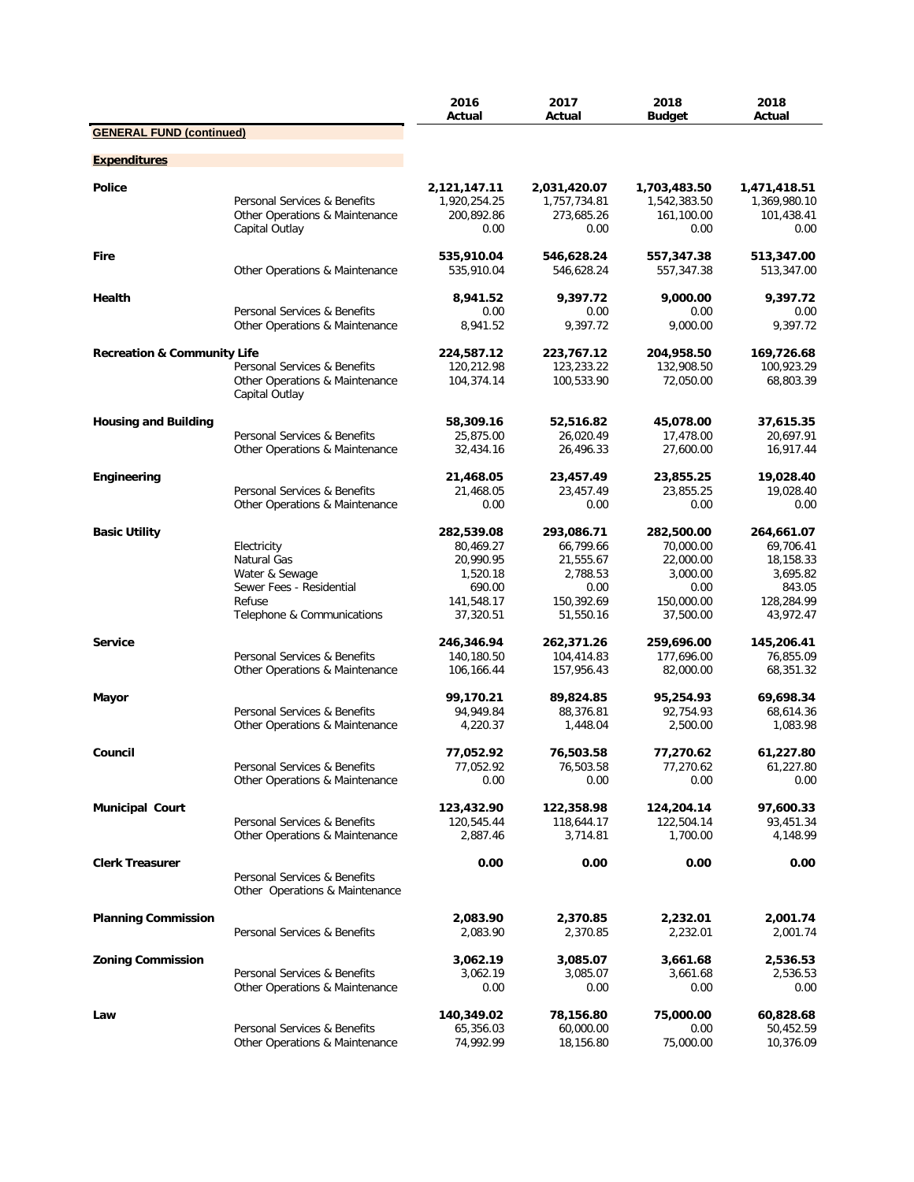|                                        |                                                                                                                  | 2016<br>Actual                                                                        | 2017<br>Actual                                                                      | 2018<br><b>Budget</b>                                                               | 2018<br>Actual                                                                        |
|----------------------------------------|------------------------------------------------------------------------------------------------------------------|---------------------------------------------------------------------------------------|-------------------------------------------------------------------------------------|-------------------------------------------------------------------------------------|---------------------------------------------------------------------------------------|
| <b>GENERAL FUND (continued)</b>        |                                                                                                                  |                                                                                       |                                                                                     |                                                                                     |                                                                                       |
| <b>Expenditures</b>                    |                                                                                                                  |                                                                                       |                                                                                     |                                                                                     |                                                                                       |
| Police                                 | Personal Services & Benefits<br>Other Operations & Maintenance<br>Capital Outlay                                 | 2,121,147.11<br>1,920,254.25<br>200,892.86<br>0.00                                    | 2,031,420.07<br>1,757,734.81<br>273,685.26<br>0.00                                  | 1,703,483.50<br>1,542,383.50<br>161,100.00<br>0.00                                  | 1,471,418.51<br>1,369,980.10<br>101,438.41<br>0.00                                    |
| <b>Fire</b>                            | Other Operations & Maintenance                                                                                   | 535,910.04<br>535,910.04                                                              | 546,628.24<br>546,628.24                                                            | 557,347.38<br>557,347.38                                                            | 513,347.00<br>513,347.00                                                              |
| Health                                 | Personal Services & Benefits                                                                                     | 8,941.52<br>0.00                                                                      | 9,397.72<br>0.00                                                                    | 9,000.00<br>0.00                                                                    | 9,397.72<br>0.00                                                                      |
|                                        | Other Operations & Maintenance                                                                                   | 8,941.52                                                                              | 9,397.72                                                                            | 9,000.00                                                                            | 9,397.72                                                                              |
| <b>Recreation &amp; Community Life</b> | Personal Services & Benefits<br>Other Operations & Maintenance<br>Capital Outlay                                 | 224,587.12<br>120,212.98<br>104,374.14                                                | 223,767.12<br>123,233.22<br>100,533.90                                              | 204,958.50<br>132,908.50<br>72,050.00                                               | 169,726.68<br>100,923.29<br>68,803.39                                                 |
| <b>Housing and Building</b>            | Personal Services & Benefits<br>Other Operations & Maintenance                                                   | 58,309.16<br>25,875.00<br>32,434.16                                                   | 52,516.82<br>26,020.49<br>26,496.33                                                 | 45,078.00<br>17,478.00<br>27,600.00                                                 | 37,615.35<br>20,697.91<br>16,917.44                                                   |
| Engineering                            | Personal Services & Benefits<br>Other Operations & Maintenance                                                   | 21,468.05<br>21,468.05<br>0.00                                                        | 23,457.49<br>23,457.49<br>0.00                                                      | 23,855.25<br>23,855.25<br>0.00                                                      | 19,028.40<br>19,028.40<br>0.00                                                        |
| <b>Basic Utility</b>                   | Electricity<br>Natural Gas<br>Water & Sewage<br>Sewer Fees - Residential<br>Refuse<br>Telephone & Communications | 282,539.08<br>80,469.27<br>20,990.95<br>1,520.18<br>690.00<br>141,548.17<br>37,320.51 | 293,086.71<br>66,799.66<br>21,555.67<br>2,788.53<br>0.00<br>150,392.69<br>51,550.16 | 282,500.00<br>70,000.00<br>22,000.00<br>3,000.00<br>0.00<br>150,000.00<br>37,500.00 | 264,661.07<br>69,706.41<br>18,158.33<br>3,695.82<br>843.05<br>128,284.99<br>43,972.47 |
| <b>Service</b>                         | Personal Services & Benefits<br>Other Operations & Maintenance                                                   | 246,346.94<br>140,180.50<br>106,166.44                                                | 262,371.26<br>104,414.83<br>157,956.43                                              | 259,696.00<br>177,696.00<br>82,000.00                                               | 145,206.41<br>76,855.09<br>68,351.32                                                  |
| Mayor                                  | Personal Services & Benefits<br>Other Operations & Maintenance                                                   | 99,170.21<br>94,949.84<br>4,220.37                                                    | 89,824.85<br>88,376.81<br>1,448.04                                                  | 95,254.93<br>92,754.93<br>2,500.00                                                  | 69,698.34<br>68,614.36<br>1,083.98                                                    |
| Council                                | Personal Services & Benefits<br>Other Operations & Maintenance                                                   | 77,052.92<br>77,052.92<br>0.00                                                        | 76,503.58<br>76,503.58<br>0.00                                                      | 77,270.62<br>77,270.62<br>0.00                                                      | 61,227.80<br>61,227.80<br>0.00                                                        |
| <b>Municipal Court</b>                 | Personal Services & Benefits<br>Other Operations & Maintenance                                                   | 123,432.90<br>120,545.44<br>2,887.46                                                  | 122,358.98<br>118,644.17<br>3,714.81                                                | 124,204.14<br>122,504.14<br>1,700.00                                                | 97,600.33<br>93,451.34<br>4,148.99                                                    |
| <b>Clerk Treasurer</b>                 | Personal Services & Benefits<br>Other Operations & Maintenance                                                   | 0.00                                                                                  | 0.00                                                                                | 0.00                                                                                | 0.00                                                                                  |
| <b>Planning Commission</b>             | Personal Services & Benefits                                                                                     | 2,083.90<br>2,083.90                                                                  | 2,370.85<br>2,370.85                                                                | 2,232.01<br>2,232.01                                                                | 2,001.74<br>2,001.74                                                                  |
| <b>Zoning Commission</b>               | Personal Services & Benefits<br>Other Operations & Maintenance                                                   | 3,062.19<br>3,062.19<br>0.00                                                          | 3,085.07<br>3,085.07<br>0.00                                                        | 3,661.68<br>3,661.68<br>0.00                                                        | 2,536.53<br>2,536.53<br>0.00                                                          |
| Law                                    | Personal Services & Benefits<br>Other Operations & Maintenance                                                   | 140,349.02<br>65,356.03<br>74,992.99                                                  | 78,156.80<br>60,000.00<br>18,156.80                                                 | 75,000.00<br>0.00<br>75,000.00                                                      | 60,828.68<br>50,452.59<br>10,376.09                                                   |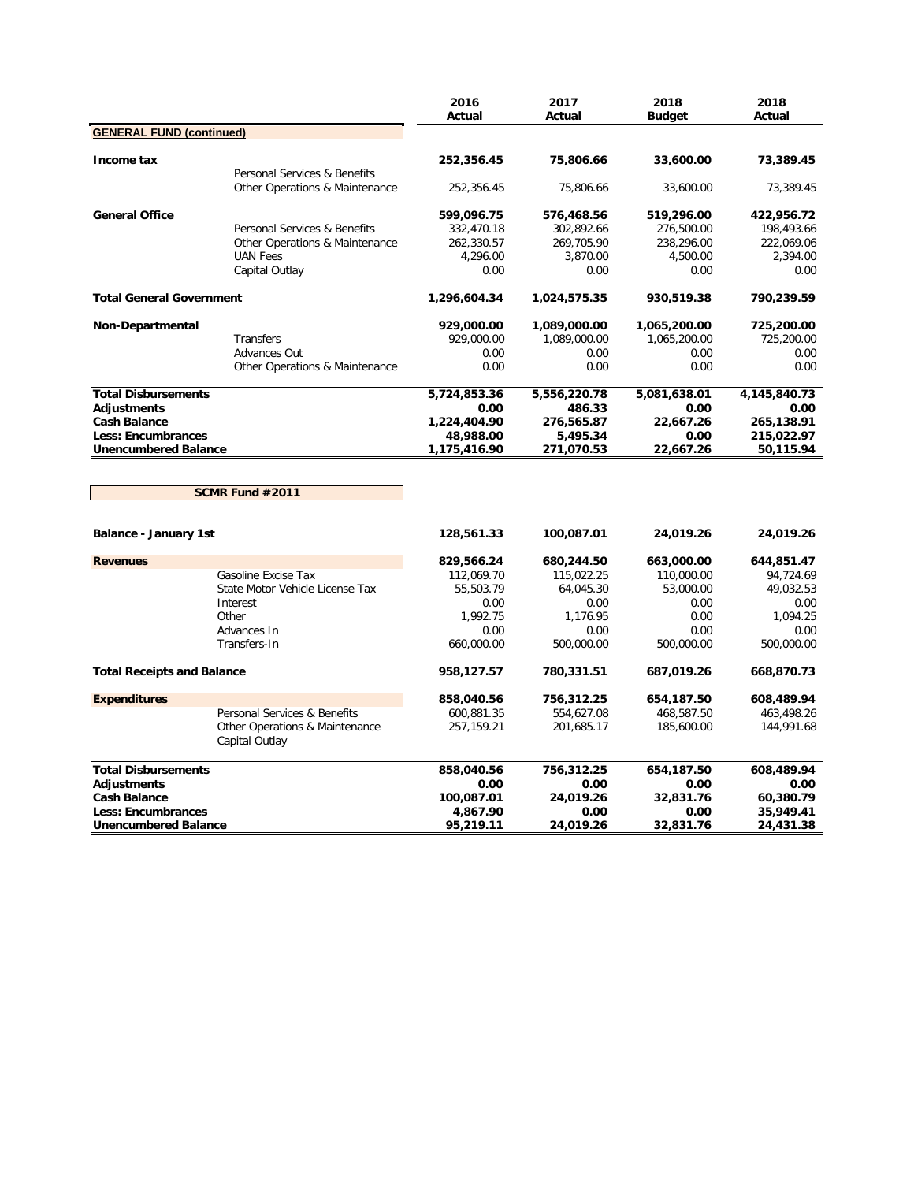|                                   |                                                  | 2016<br>Actual | 2017<br>Actual | 2018<br><b>Budget</b> | 2018<br>Actual |
|-----------------------------------|--------------------------------------------------|----------------|----------------|-----------------------|----------------|
| <b>GENERAL FUND (continued)</b>   |                                                  |                |                |                       |                |
| Income tax                        |                                                  | 252,356.45     | 75,806.66      | 33,600.00             | 73,389.45      |
|                                   | Personal Services & Benefits                     |                |                |                       |                |
|                                   | Other Operations & Maintenance                   | 252,356.45     | 75,806.66      | 33,600.00             | 73,389.45      |
| <b>General Office</b>             |                                                  | 599,096.75     | 576,468.56     | 519,296.00            | 422,956.72     |
|                                   | Personal Services & Benefits                     | 332,470.18     | 302,892.66     | 276,500.00            | 198,493.66     |
|                                   | Other Operations & Maintenance                   | 262,330.57     | 269,705.90     | 238,296.00            | 222,069.06     |
|                                   | <b>UAN Fees</b>                                  | 4,296.00       | 3,870.00       | 4,500.00              | 2,394.00       |
|                                   | Capital Outlay                                   | 0.00           | 0.00           | 0.00                  | 0.00           |
| <b>Total General Government</b>   |                                                  | 1,296,604.34   | 1,024,575.35   | 930,519.38            | 790,239.59     |
| Non-Departmental                  |                                                  | 929,000.00     | 1,089,000.00   | 1,065,200.00          | 725,200.00     |
|                                   | Transfers                                        | 929,000.00     | 1,089,000.00   | 1,065,200.00          | 725,200.00     |
|                                   | Advances Out                                     | 0.00           | 0.00           | 0.00                  | 0.00           |
|                                   | Other Operations & Maintenance                   | 0.00           | 0.00           | 0.00                  | 0.00           |
| <b>Total Disbursements</b>        |                                                  | 5,724,853.36   | 5,556,220.78   | 5,081,638.01          | 4,145,840.73   |
| Adjustments                       |                                                  | 0.00           | 486.33         | 0.00                  | 0.00           |
| <b>Cash Balance</b>               |                                                  | 1,224,404.90   | 276,565.87     | 22,667.26             | 265,138.91     |
| <b>Less: Encumbrances</b>         |                                                  | 48,988.00      | 5,495.34       | 0.00                  | 215,022.97     |
| <b>Unencumbered Balance</b>       |                                                  | 1,175,416.90   | 271,070.53     | 22,667.26             | 50,115.94      |
|                                   | SCMR Fund #2011                                  |                |                |                       |                |
| <b>Balance - January 1st</b>      |                                                  | 128,561.33     | 100,087.01     | 24,019.26             | 24,019.26      |
| <b>Revenues</b>                   |                                                  | 829,566.24     | 680,244.50     | 663,000.00            | 644,851.47     |
|                                   | Gasoline Excise Tax                              | 112,069.70     | 115,022.25     | 110,000.00            | 94,724.69      |
|                                   | State Motor Vehicle License Tax                  | 55,503.79      | 64,045.30      | 53,000.00             | 49,032.53      |
|                                   | Interest                                         | 0.00           | 0.00           | 0.00                  | 0.00           |
|                                   | Other                                            | 1,992.75       | 1,176.95       | 0.00                  | 1,094.25       |
|                                   | Advances In                                      | 0.00           | 0.00           | 0.00                  | 0.00           |
|                                   | Transfers-In                                     | 660,000.00     | 500,000.00     | 500,000.00            | 500,000.00     |
| <b>Total Receipts and Balance</b> |                                                  | 958,127.57     | 780,331.51     | 687,019.26            | 668,870.73     |
| <b>Expenditures</b>               |                                                  | 858,040.56     | 756,312.25     | 654,187.50            | 608,489.94     |
|                                   | Personal Services & Benefits                     | 600,881.35     | 554,627.08     | 468,587.50            | 463,498.26     |
|                                   | Other Operations & Maintenance<br>Capital Outlay | 257,159.21     | 201,685.17     | 185,600.00            | 144,991.68     |
| <b>Total Disbursements</b>        |                                                  | 858,040.56     | 756,312.25     | 654,187.50            | 608,489.94     |
| <b>Adjustments</b>                |                                                  | 0.00           | 0.00           | 0.00                  | 0.00           |
| <b>Cash Balance</b>               |                                                  | 100,087.01     | 24,019.26      | 32,831.76             | 60,380.79      |
| <b>Less: Encumbrances</b>         |                                                  | 4,867.90       | 0.00           | 0.00                  | 35,949.41      |
| <b>Unencumbered Balance</b>       |                                                  | 95,219.11      | 24,019.26      | 32,831.76             | 24,431.38      |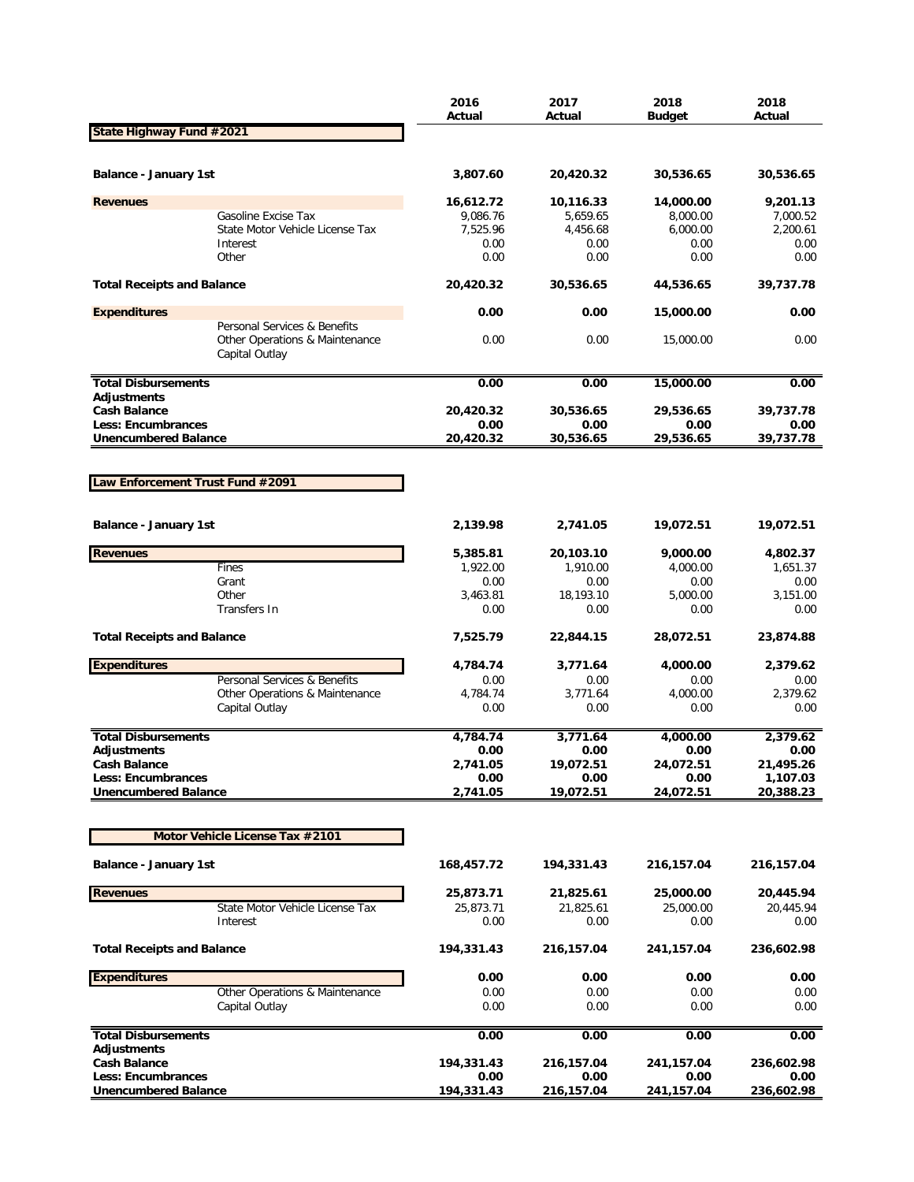|                                                          |                                                                                  | 2016<br>Actual    | 2017<br>Actual    | 2018<br><b>Budget</b> | 2018<br>Actual    |
|----------------------------------------------------------|----------------------------------------------------------------------------------|-------------------|-------------------|-----------------------|-------------------|
| State Highway Fund #2021                                 |                                                                                  |                   |                   |                       |                   |
|                                                          |                                                                                  |                   |                   |                       |                   |
| Balance - January 1st                                    |                                                                                  | 3,807.60          | 20,420.32         | 30,536.65             | 30,536.65         |
| <b>Revenues</b>                                          |                                                                                  | 16,612.72         | 10,116.33         | 14,000.00             | 9,201.13          |
|                                                          | Gasoline Excise Tax                                                              | 9,086.76          | 5,659.65          | 8,000.00              | 7,000.52          |
|                                                          | State Motor Vehicle License Tax                                                  | 7,525.96          | 4,456.68          | 6,000.00              | 2,200.61          |
|                                                          | Interest<br>Other                                                                | 0.00<br>0.00      | 0.00<br>0.00      | 0.00<br>0.00          | 0.00<br>0.00      |
|                                                          |                                                                                  |                   |                   |                       |                   |
| <b>Total Receipts and Balance</b>                        |                                                                                  | 20,420.32         | 30,536.65         | 44,536.65             | 39,737.78         |
| <b>Expenditures</b>                                      |                                                                                  | 0.00              | 0.00              | 15,000.00             | 0.00              |
|                                                          | Personal Services & Benefits<br>Other Operations & Maintenance<br>Capital Outlay | 0.00              | 0.00              | 15,000.00             | 0.00              |
| <b>Total Disbursements</b>                               |                                                                                  | 0.00              | 0.00              | 15,000.00             | 0.00              |
| <b>Adjustments</b>                                       |                                                                                  |                   |                   |                       |                   |
| <b>Cash Balance</b>                                      |                                                                                  | 20,420.32         | 30,536.65         | 29,536.65             | 39,737.78         |
| <b>Less: Encumbrances</b><br><b>Unencumbered Balance</b> |                                                                                  | 0.00<br>20,420.32 | 0.00              | 0.00<br>29,536.65     | 0.00<br>39,737.78 |
|                                                          |                                                                                  |                   | 30,536.65         |                       |                   |
|                                                          |                                                                                  |                   |                   |                       |                   |
| Law Enforcement Trust Fund #2091                         |                                                                                  |                   |                   |                       |                   |
| <b>Balance - January 1st</b>                             |                                                                                  | 2,139.98          | 2,741.05          | 19,072.51             | 19,072.51         |
|                                                          |                                                                                  |                   |                   |                       |                   |
| <b>Revenues</b>                                          |                                                                                  | 5,385.81          | 20,103.10         | 9,000.00              | 4,802.37          |
|                                                          | Fines                                                                            | 1,922.00          | 1,910.00          | 4,000.00              | 1,651.37          |
|                                                          | Grant<br>Other                                                                   | 0.00              | 0.00<br>18,193.10 | 0.00                  | 0.00              |
|                                                          | Transfers In                                                                     | 3,463.81<br>0.00  | 0.00              | 5,000.00<br>0.00      | 3,151.00<br>0.00  |
| <b>Total Receipts and Balance</b>                        |                                                                                  | 7,525.79          | 22,844.15         | 28,072.51             | 23,874.88         |
| <b>Expenditures</b>                                      |                                                                                  | 4,784.74          | 3,771.64          | 4,000.00              | 2,379.62          |
|                                                          | Personal Services & Benefits                                                     | 0.00              | 0.00              | 0.00                  | 0.00              |
|                                                          | Other Operations & Maintenance                                                   | 4,784.74          | 3,771.64          | 4,000.00              | 2,379.62          |
|                                                          | Capital Outlay                                                                   | 0.00              | 0.00              | 0.00                  | 0.00              |
| <b>Total Disbursements</b>                               |                                                                                  | 4,784.74          | 3,771.64          | 4,000.00              | 2,379.62          |
| <b>Adjustments</b>                                       |                                                                                  | 0.00              | 0.00              | 0.00                  | 0.00              |
| <b>Cash Balance</b>                                      |                                                                                  | 2,741.05          | 19,072.51         | 24,072.51             | 21,495.26         |
| <b>Less: Encumbrances</b>                                |                                                                                  | 0.00              | 0.00              | 0.00                  | 1,107.03          |
| <b>Unencumbered Balance</b>                              |                                                                                  | 2,741.05          | 19,072.51         | 24,072.51             | 20,388.23         |
|                                                          |                                                                                  |                   |                   |                       |                   |
|                                                          | Motor Vehicle License Tax #2101                                                  |                   |                   |                       |                   |
| <b>Balance - January 1st</b>                             |                                                                                  | 168,457.72        | 194,331.43        | 216,157.04            | 216,157.04        |
| <b>Revenues</b>                                          |                                                                                  | 25,873.71         | 21,825.61         | 25,000.00             | 20,445.94         |
|                                                          | State Motor Vehicle License Tax                                                  | 25,873.71         | 21,825.61         | 25,000.00             | 20,445.94         |
|                                                          | Interest                                                                         | 0.00              | 0.00              | 0.00                  | 0.00              |
| <b>Total Receipts and Balance</b>                        |                                                                                  | 194,331.43        | 216,157.04        | 241,157.04            | 236,602.98        |
| <b>Expenditures</b>                                      |                                                                                  | 0.00              | 0.00              | 0.00                  | 0.00              |
|                                                          | Other Operations & Maintenance                                                   | 0.00              | 0.00              | 0.00                  | 0.00              |
|                                                          | Capital Outlay                                                                   | 0.00              | 0.00              | 0.00                  | 0.00              |
| <b>Total Disbursements</b>                               |                                                                                  | 0.00              | 0.00              | 0.00                  | 0.00              |
| <b>Adjustments</b><br><b>Cash Balance</b>                |                                                                                  | 194,331.43        | 216,157.04        | 241,157.04            | 236,602.98        |
| Less: Encumbrances                                       |                                                                                  | 0.00              | 0.00              | 0.00                  | 0.00              |
| <b>Unencumbered Balance</b>                              |                                                                                  | 194,331.43        | 216,157.04        | 241,157.04            | 236,602.98        |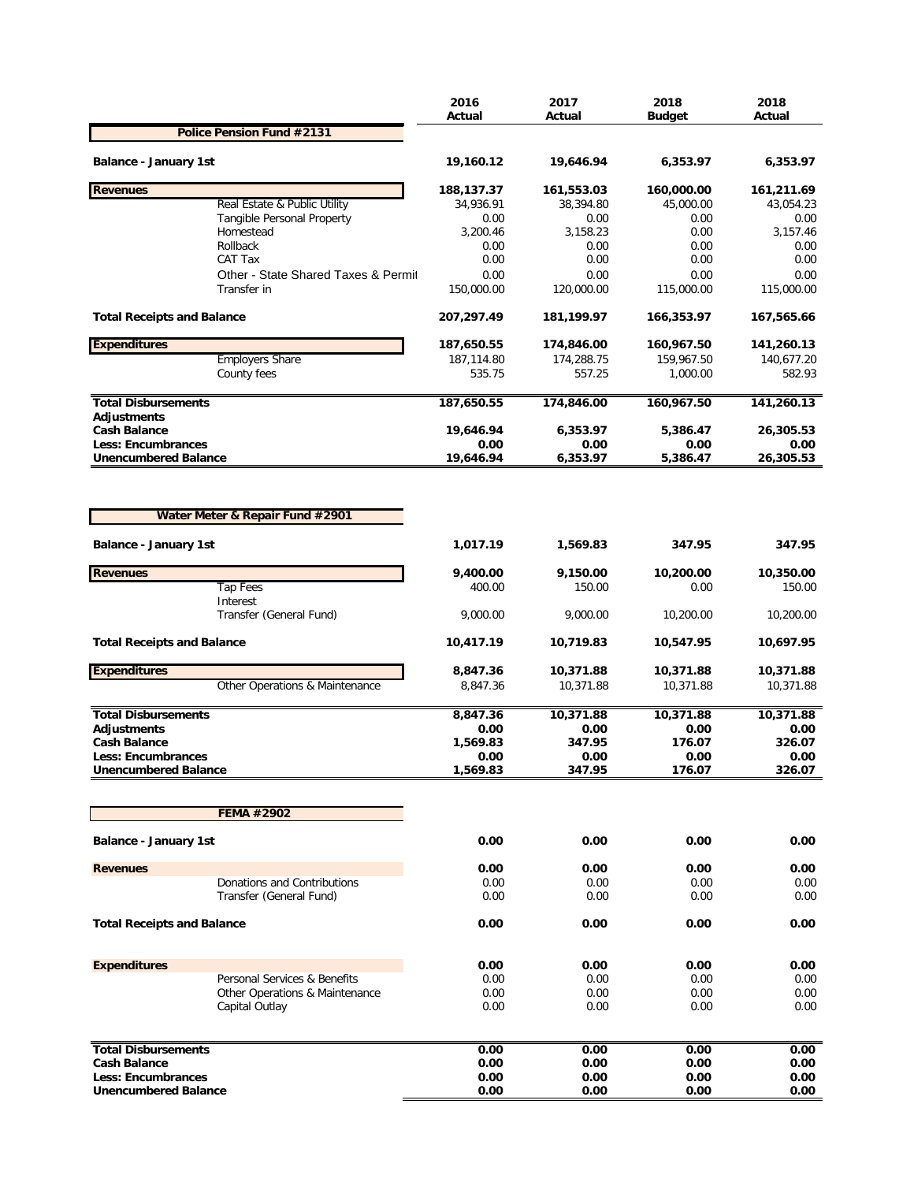|                                                            | 2016<br>Actual    | 2017<br>Actual    | 2018<br><b>Budget</b> | 2018<br>Actual    |
|------------------------------------------------------------|-------------------|-------------------|-----------------------|-------------------|
| Police Pension Fund #2131                                  |                   |                   |                       |                   |
| Balance - January 1st                                      | 19,160.12         | 19,646.94         | 6,353.97              | 6,353.97          |
|                                                            |                   |                   |                       |                   |
| <b>Revenues</b>                                            | 188,137.37        | 161,553.03        | 160,000.00            | 161,211.69        |
| Real Estate & Public Utility<br>Tangible Personal Property | 34,936.91<br>0.00 | 38,394.80<br>0.00 | 45,000.00<br>0.00     | 43,054.23<br>0.00 |
| Homestead                                                  | 3,200.46          | 3,158.23          | 0.00                  | 3,157.46          |
| Rollback                                                   | 0.00              | 0.00              | 0.00                  | 0.00              |
| CAT Tax                                                    | 0.00              | 0.00              | 0.00                  | 0.00              |
| Other - State Shared Taxes & Permit                        | 0.00              | 0.00              | 0.00                  | 0.00              |
| Transfer in                                                | 150,000.00        | 120,000.00        | 115,000.00            | 115,000.00        |
| <b>Total Receipts and Balance</b>                          | 207,297.49        | 181,199.97        | 166,353.97            | 167,565.66        |
| <b>Expenditures</b>                                        | 187,650.55        | 174,846.00        | 160,967.50            | 141,260.13        |
| <b>Employers Share</b>                                     | 187,114.80        | 174,288.75        | 159,967.50            | 140,677.20        |
| County fees                                                | 535.75            | 557.25            | 1,000.00              | 582.93            |
| <b>Total Disbursements</b>                                 | 187,650.55        | 174,846.00        | 160,967.50            | 141,260.13        |
| <b>Adjustments</b><br><b>Cash Balance</b>                  | 19,646.94         | 6,353.97          | 5,386.47              | 26,305.53         |
| Less: Encumbrances                                         | 0.00              | 0.00              | 0.00                  | 0.00              |
| <b>Unencumbered Balance</b>                                | 19,646.94         | 6,353.97          | 5,386.47              | 26,305.53         |
| Water Meter & Repair Fund #2901<br>Balance - January 1st   | 1,017.19          | 1,569.83          | 347.95                | 347.95            |
| <b>Revenues</b>                                            | 9,400.00          | 9,150.00          | 10,200.00             | 10,350.00         |
| <b>Tap Fees</b>                                            | 400.00            | 150.00            | 0.00                  | 150.00            |
| Interest                                                   |                   |                   |                       |                   |
| Transfer (General Fund)                                    | 9,000.00          | 9,000.00          | 10,200.00             | 10,200.00         |
| <b>Total Receipts and Balance</b>                          | 10,417.19         | 10,719.83         | 10,547.95             | 10,697.95         |
| <b>Expenditures</b>                                        | 8,847.36          | 10,371.88         | 10,371.88             | 10,371.88         |
| Other Operations & Maintenance                             | 8,847.36          | 10,371.88         | 10,371.88             | 10,371.88         |
| <b>Total Disbursements</b>                                 | 8,847.36          | 10,371.88         | 10,371.88             | 10,371.88         |
| <b>Adjustments</b>                                         | 0.00              | 0.00              | 0.00                  | 0.00              |
| <b>Cash Balance</b>                                        | 1,569.83          | 347.95            | 176.07                | 326.07            |
| Less: Encumbrances                                         | 0.00              | 0.00              | 0.00                  | 0.00              |
| <b>Unencumbered Balance</b>                                | 1,569.83          | 347.95            | 176.07                | 326.07            |
| FEMA #2902                                                 |                   |                   |                       |                   |
|                                                            |                   |                   |                       |                   |
| <b>Balance - January 1st</b>                               | 0.00              | 0.00              | 0.00                  | 0.00              |
| <b>Revenues</b>                                            | 0.00              | 0.00              | 0.00                  | 0.00              |
| Donations and Contributions                                | 0.00              | 0.00              | 0.00                  | 0.00              |
| Transfer (General Fund)                                    | 0.00              | 0.00              | 0.00                  | 0.00              |
| <b>Total Receipts and Balance</b>                          | 0.00              | 0.00              | 0.00                  | 0.00              |
|                                                            |                   |                   |                       |                   |
| <b>Expenditures</b>                                        | 0.00              | 0.00              | 0.00                  | 0.00              |
| Personal Services & Benefits                               | 0.00              | 0.00              | 0.00                  | 0.00              |
| Other Operations & Maintenance<br>Capital Outlay           | 0.00<br>0.00      | 0.00<br>0.00      | 0.00<br>0.00          | 0.00<br>0.00      |
|                                                            |                   |                   |                       |                   |
| <b>Total Disbursements</b>                                 | 0.00              | 0.00              | 0.00                  | 0.00              |
| <b>Cash Balance</b>                                        | 0.00              | 0.00              | 0.00                  | 0.00              |
| Less: Encumbrances                                         | 0.00              | 0.00              | 0.00                  | 0.00              |
| <b>Unencumbered Balance</b>                                | 0.00              | 0.00              | 0.00                  | 0.00              |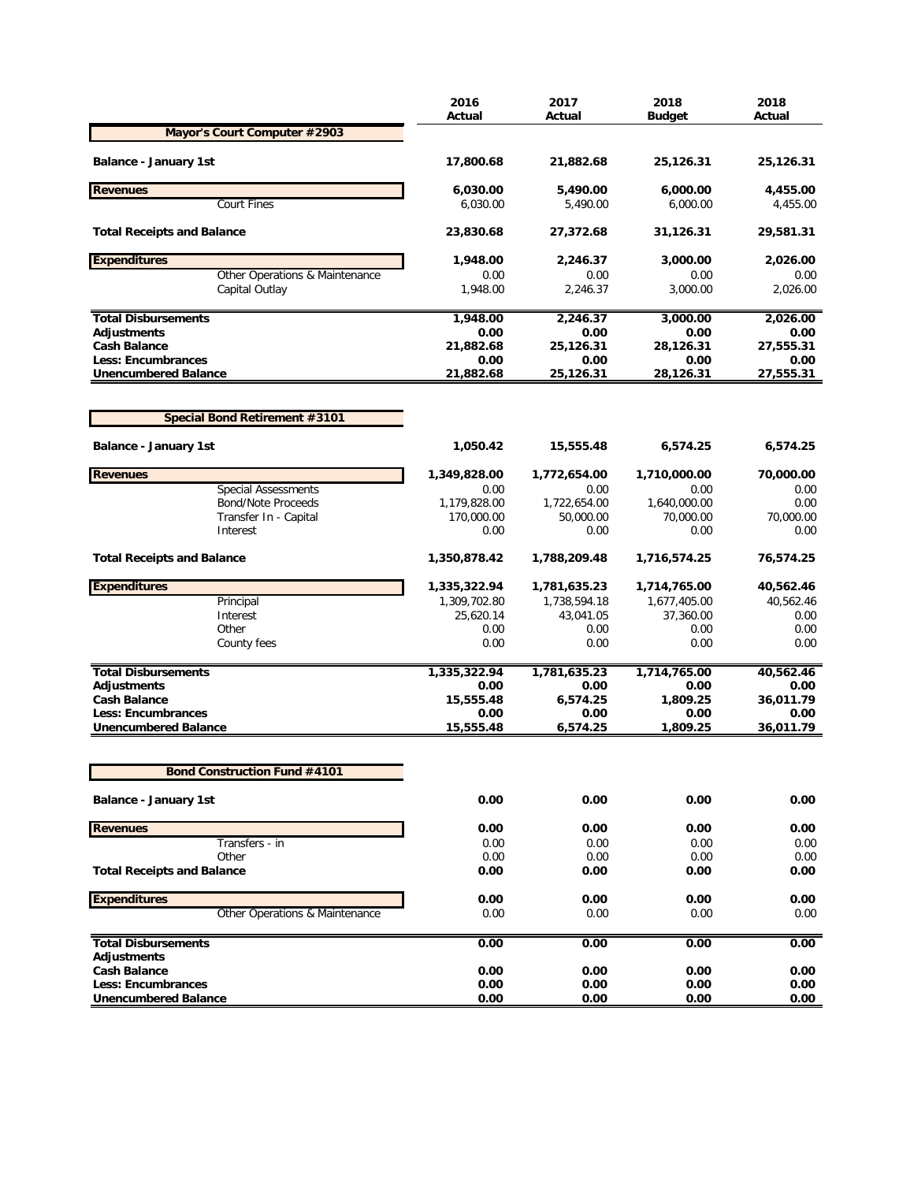| Mayor's Court Computer #2903<br><b>Balance - January 1st</b><br>17,800.68<br>21,882.68<br>25,126.31<br>25,126.31<br><b>Revenues</b><br>6,030.00<br>5,490.00<br>6,000.00<br>4,455.00<br><b>Court Fines</b><br>6,030.00<br>5,490.00<br>6,000.00<br>4,455.00<br><b>Total Receipts and Balance</b><br>23,830.68<br>27,372.68<br>31,126.31<br>29,581.31<br><b>Expenditures</b><br>1,948.00<br>2,246.37<br>3,000.00<br>2,026.00<br>Other Operations & Maintenance<br>0.00<br>0.00<br>0.00<br>0.00<br>1,948.00<br>2,246.37<br>3,000.00<br>2,026.00<br>Capital Outlay<br><b>Total Disbursements</b><br>1,948.00<br>3,000.00<br>2,246.37<br>2,026.00<br>0.00<br>Adjustments<br>0.00<br>0.00<br>0.00<br><b>Cash Balance</b><br>21,882.68<br>25,126.31<br>27,555.31<br>28,126.31<br><b>Less: Encumbrances</b><br>0.00<br>0.00<br>0.00<br>0.00<br><b>Unencumbered Balance</b><br>21,882.68<br>25,126.31<br>28,126.31<br>27,555.31<br><b>Special Bond Retirement #3101</b><br><b>Balance - January 1st</b><br>6,574.25<br>1,050.42<br>15,555.48<br>6,574.25<br><b>Revenues</b><br>1,710,000.00<br>70,000.00<br>1,349,828.00<br>1,772,654.00<br><b>Special Assessments</b><br>0.00<br>0.00<br>0.00<br>0.00<br><b>Bond/Note Proceeds</b><br>1,179,828.00<br>1,722,654.00<br>1,640,000.00<br>0.00<br>170,000.00<br>50,000.00<br>70,000.00<br>70,000.00<br>Transfer In - Capital<br>0.00<br>Interest<br>0.00<br>0.00<br>0.00<br><b>Total Receipts and Balance</b><br>1,350,878.42<br>1,788,209.48<br>1,716,574.25<br>76,574.25<br><b>Expenditures</b><br>1,335,322.94<br>1,781,635.23<br>1,714,765.00<br>40,562.46<br>Principal<br>1,309,702.80<br>1,738,594.18<br>1,677,405.00<br>40,562.46<br>Interest<br>25,620.14<br>43,041.05<br>37,360.00<br>0.00<br>0.00<br>Other<br>0.00<br>0.00<br>0.00<br>County fees<br>0.00<br>0.00<br>0.00<br>0.00<br><b>Total Disbursements</b><br>1,335,322.94<br>1,781,635.23<br>1,714,765.00<br>40,562.46<br>Adjustments<br>0.00<br>0.00<br>0.00<br>0.00<br>15,555.48<br>6,574.25<br>1,809.25<br>36,011.79<br><b>Cash Balance</b><br><b>Less: Encumbrances</b><br>0.00<br>0.00<br>0.00<br>0.00<br>15,555.48<br>6,574.25<br><b>Unencumbered Balance</b><br>1,809.25<br>36,011.79<br><b>Bond Construction Fund #4101</b><br>0.00<br>0.00<br>Balance - January 1st<br>0.00<br>0.00<br><b>Revenues</b><br>0.00<br>0.00<br>0.00<br>0.00<br>Transfers - in<br>0.00<br>0.00<br>0.00<br>0.00<br>0.00<br>Other<br>0.00<br>0.00<br>0.00<br><b>Total Receipts and Balance</b><br>0.00<br>0.00<br>0.00<br>0.00<br><b>Expenditures</b><br>0.00<br>0.00<br>0.00<br>0.00<br>Other Operations & Maintenance<br>0.00<br>0.00<br>0.00<br>0.00<br>0.00<br>0.00<br>0.00<br><b>Total Disbursements</b><br>0.00<br>Adjustments<br><b>Cash Balance</b><br>0.00<br>0.00<br>0.00<br>0.00<br>0.00<br><b>Less: Encumbrances</b><br>0.00<br>0.00<br>0.00<br><b>Unencumbered Balance</b><br>0.00<br>0.00<br>0.00<br>0.00 | 2016<br>Actual | 2017<br>Actual | 2018<br><b>Budget</b> | 2018<br>Actual |
|-------------------------------------------------------------------------------------------------------------------------------------------------------------------------------------------------------------------------------------------------------------------------------------------------------------------------------------------------------------------------------------------------------------------------------------------------------------------------------------------------------------------------------------------------------------------------------------------------------------------------------------------------------------------------------------------------------------------------------------------------------------------------------------------------------------------------------------------------------------------------------------------------------------------------------------------------------------------------------------------------------------------------------------------------------------------------------------------------------------------------------------------------------------------------------------------------------------------------------------------------------------------------------------------------------------------------------------------------------------------------------------------------------------------------------------------------------------------------------------------------------------------------------------------------------------------------------------------------------------------------------------------------------------------------------------------------------------------------------------------------------------------------------------------------------------------------------------------------------------------------------------------------------------------------------------------------------------------------------------------------------------------------------------------------------------------------------------------------------------------------------------------------------------------------------------------------------------------------------------------------------------------------------------------------------------------------------------------------------------------------------------------------------------------------------------------------------------------------------------------------------------------------------------------------------------------------------------------------------------------------------------------------------------------------------------------------------------------------------------------------------------------------------------------------------------------------------------------------------------------------------------------------------------|----------------|----------------|-----------------------|----------------|
|                                                                                                                                                                                                                                                                                                                                                                                                                                                                                                                                                                                                                                                                                                                                                                                                                                                                                                                                                                                                                                                                                                                                                                                                                                                                                                                                                                                                                                                                                                                                                                                                                                                                                                                                                                                                                                                                                                                                                                                                                                                                                                                                                                                                                                                                                                                                                                                                                                                                                                                                                                                                                                                                                                                                                                                                                                                                                                             |                |                |                       |                |
|                                                                                                                                                                                                                                                                                                                                                                                                                                                                                                                                                                                                                                                                                                                                                                                                                                                                                                                                                                                                                                                                                                                                                                                                                                                                                                                                                                                                                                                                                                                                                                                                                                                                                                                                                                                                                                                                                                                                                                                                                                                                                                                                                                                                                                                                                                                                                                                                                                                                                                                                                                                                                                                                                                                                                                                                                                                                                                             |                |                |                       |                |
|                                                                                                                                                                                                                                                                                                                                                                                                                                                                                                                                                                                                                                                                                                                                                                                                                                                                                                                                                                                                                                                                                                                                                                                                                                                                                                                                                                                                                                                                                                                                                                                                                                                                                                                                                                                                                                                                                                                                                                                                                                                                                                                                                                                                                                                                                                                                                                                                                                                                                                                                                                                                                                                                                                                                                                                                                                                                                                             |                |                |                       |                |
|                                                                                                                                                                                                                                                                                                                                                                                                                                                                                                                                                                                                                                                                                                                                                                                                                                                                                                                                                                                                                                                                                                                                                                                                                                                                                                                                                                                                                                                                                                                                                                                                                                                                                                                                                                                                                                                                                                                                                                                                                                                                                                                                                                                                                                                                                                                                                                                                                                                                                                                                                                                                                                                                                                                                                                                                                                                                                                             |                |                |                       |                |
|                                                                                                                                                                                                                                                                                                                                                                                                                                                                                                                                                                                                                                                                                                                                                                                                                                                                                                                                                                                                                                                                                                                                                                                                                                                                                                                                                                                                                                                                                                                                                                                                                                                                                                                                                                                                                                                                                                                                                                                                                                                                                                                                                                                                                                                                                                                                                                                                                                                                                                                                                                                                                                                                                                                                                                                                                                                                                                             |                |                |                       |                |
|                                                                                                                                                                                                                                                                                                                                                                                                                                                                                                                                                                                                                                                                                                                                                                                                                                                                                                                                                                                                                                                                                                                                                                                                                                                                                                                                                                                                                                                                                                                                                                                                                                                                                                                                                                                                                                                                                                                                                                                                                                                                                                                                                                                                                                                                                                                                                                                                                                                                                                                                                                                                                                                                                                                                                                                                                                                                                                             |                |                |                       |                |
|                                                                                                                                                                                                                                                                                                                                                                                                                                                                                                                                                                                                                                                                                                                                                                                                                                                                                                                                                                                                                                                                                                                                                                                                                                                                                                                                                                                                                                                                                                                                                                                                                                                                                                                                                                                                                                                                                                                                                                                                                                                                                                                                                                                                                                                                                                                                                                                                                                                                                                                                                                                                                                                                                                                                                                                                                                                                                                             |                |                |                       |                |
|                                                                                                                                                                                                                                                                                                                                                                                                                                                                                                                                                                                                                                                                                                                                                                                                                                                                                                                                                                                                                                                                                                                                                                                                                                                                                                                                                                                                                                                                                                                                                                                                                                                                                                                                                                                                                                                                                                                                                                                                                                                                                                                                                                                                                                                                                                                                                                                                                                                                                                                                                                                                                                                                                                                                                                                                                                                                                                             |                |                |                       |                |
|                                                                                                                                                                                                                                                                                                                                                                                                                                                                                                                                                                                                                                                                                                                                                                                                                                                                                                                                                                                                                                                                                                                                                                                                                                                                                                                                                                                                                                                                                                                                                                                                                                                                                                                                                                                                                                                                                                                                                                                                                                                                                                                                                                                                                                                                                                                                                                                                                                                                                                                                                                                                                                                                                                                                                                                                                                                                                                             |                |                |                       |                |
|                                                                                                                                                                                                                                                                                                                                                                                                                                                                                                                                                                                                                                                                                                                                                                                                                                                                                                                                                                                                                                                                                                                                                                                                                                                                                                                                                                                                                                                                                                                                                                                                                                                                                                                                                                                                                                                                                                                                                                                                                                                                                                                                                                                                                                                                                                                                                                                                                                                                                                                                                                                                                                                                                                                                                                                                                                                                                                             |                |                |                       |                |
|                                                                                                                                                                                                                                                                                                                                                                                                                                                                                                                                                                                                                                                                                                                                                                                                                                                                                                                                                                                                                                                                                                                                                                                                                                                                                                                                                                                                                                                                                                                                                                                                                                                                                                                                                                                                                                                                                                                                                                                                                                                                                                                                                                                                                                                                                                                                                                                                                                                                                                                                                                                                                                                                                                                                                                                                                                                                                                             |                |                |                       |                |
|                                                                                                                                                                                                                                                                                                                                                                                                                                                                                                                                                                                                                                                                                                                                                                                                                                                                                                                                                                                                                                                                                                                                                                                                                                                                                                                                                                                                                                                                                                                                                                                                                                                                                                                                                                                                                                                                                                                                                                                                                                                                                                                                                                                                                                                                                                                                                                                                                                                                                                                                                                                                                                                                                                                                                                                                                                                                                                             |                |                |                       |                |
|                                                                                                                                                                                                                                                                                                                                                                                                                                                                                                                                                                                                                                                                                                                                                                                                                                                                                                                                                                                                                                                                                                                                                                                                                                                                                                                                                                                                                                                                                                                                                                                                                                                                                                                                                                                                                                                                                                                                                                                                                                                                                                                                                                                                                                                                                                                                                                                                                                                                                                                                                                                                                                                                                                                                                                                                                                                                                                             |                |                |                       |                |
|                                                                                                                                                                                                                                                                                                                                                                                                                                                                                                                                                                                                                                                                                                                                                                                                                                                                                                                                                                                                                                                                                                                                                                                                                                                                                                                                                                                                                                                                                                                                                                                                                                                                                                                                                                                                                                                                                                                                                                                                                                                                                                                                                                                                                                                                                                                                                                                                                                                                                                                                                                                                                                                                                                                                                                                                                                                                                                             |                |                |                       |                |
|                                                                                                                                                                                                                                                                                                                                                                                                                                                                                                                                                                                                                                                                                                                                                                                                                                                                                                                                                                                                                                                                                                                                                                                                                                                                                                                                                                                                                                                                                                                                                                                                                                                                                                                                                                                                                                                                                                                                                                                                                                                                                                                                                                                                                                                                                                                                                                                                                                                                                                                                                                                                                                                                                                                                                                                                                                                                                                             |                |                |                       |                |
|                                                                                                                                                                                                                                                                                                                                                                                                                                                                                                                                                                                                                                                                                                                                                                                                                                                                                                                                                                                                                                                                                                                                                                                                                                                                                                                                                                                                                                                                                                                                                                                                                                                                                                                                                                                                                                                                                                                                                                                                                                                                                                                                                                                                                                                                                                                                                                                                                                                                                                                                                                                                                                                                                                                                                                                                                                                                                                             |                |                |                       |                |
|                                                                                                                                                                                                                                                                                                                                                                                                                                                                                                                                                                                                                                                                                                                                                                                                                                                                                                                                                                                                                                                                                                                                                                                                                                                                                                                                                                                                                                                                                                                                                                                                                                                                                                                                                                                                                                                                                                                                                                                                                                                                                                                                                                                                                                                                                                                                                                                                                                                                                                                                                                                                                                                                                                                                                                                                                                                                                                             |                |                |                       |                |
|                                                                                                                                                                                                                                                                                                                                                                                                                                                                                                                                                                                                                                                                                                                                                                                                                                                                                                                                                                                                                                                                                                                                                                                                                                                                                                                                                                                                                                                                                                                                                                                                                                                                                                                                                                                                                                                                                                                                                                                                                                                                                                                                                                                                                                                                                                                                                                                                                                                                                                                                                                                                                                                                                                                                                                                                                                                                                                             |                |                |                       |                |
|                                                                                                                                                                                                                                                                                                                                                                                                                                                                                                                                                                                                                                                                                                                                                                                                                                                                                                                                                                                                                                                                                                                                                                                                                                                                                                                                                                                                                                                                                                                                                                                                                                                                                                                                                                                                                                                                                                                                                                                                                                                                                                                                                                                                                                                                                                                                                                                                                                                                                                                                                                                                                                                                                                                                                                                                                                                                                                             |                |                |                       |                |
|                                                                                                                                                                                                                                                                                                                                                                                                                                                                                                                                                                                                                                                                                                                                                                                                                                                                                                                                                                                                                                                                                                                                                                                                                                                                                                                                                                                                                                                                                                                                                                                                                                                                                                                                                                                                                                                                                                                                                                                                                                                                                                                                                                                                                                                                                                                                                                                                                                                                                                                                                                                                                                                                                                                                                                                                                                                                                                             |                |                |                       |                |
|                                                                                                                                                                                                                                                                                                                                                                                                                                                                                                                                                                                                                                                                                                                                                                                                                                                                                                                                                                                                                                                                                                                                                                                                                                                                                                                                                                                                                                                                                                                                                                                                                                                                                                                                                                                                                                                                                                                                                                                                                                                                                                                                                                                                                                                                                                                                                                                                                                                                                                                                                                                                                                                                                                                                                                                                                                                                                                             |                |                |                       |                |
|                                                                                                                                                                                                                                                                                                                                                                                                                                                                                                                                                                                                                                                                                                                                                                                                                                                                                                                                                                                                                                                                                                                                                                                                                                                                                                                                                                                                                                                                                                                                                                                                                                                                                                                                                                                                                                                                                                                                                                                                                                                                                                                                                                                                                                                                                                                                                                                                                                                                                                                                                                                                                                                                                                                                                                                                                                                                                                             |                |                |                       |                |
|                                                                                                                                                                                                                                                                                                                                                                                                                                                                                                                                                                                                                                                                                                                                                                                                                                                                                                                                                                                                                                                                                                                                                                                                                                                                                                                                                                                                                                                                                                                                                                                                                                                                                                                                                                                                                                                                                                                                                                                                                                                                                                                                                                                                                                                                                                                                                                                                                                                                                                                                                                                                                                                                                                                                                                                                                                                                                                             |                |                |                       |                |
|                                                                                                                                                                                                                                                                                                                                                                                                                                                                                                                                                                                                                                                                                                                                                                                                                                                                                                                                                                                                                                                                                                                                                                                                                                                                                                                                                                                                                                                                                                                                                                                                                                                                                                                                                                                                                                                                                                                                                                                                                                                                                                                                                                                                                                                                                                                                                                                                                                                                                                                                                                                                                                                                                                                                                                                                                                                                                                             |                |                |                       |                |
|                                                                                                                                                                                                                                                                                                                                                                                                                                                                                                                                                                                                                                                                                                                                                                                                                                                                                                                                                                                                                                                                                                                                                                                                                                                                                                                                                                                                                                                                                                                                                                                                                                                                                                                                                                                                                                                                                                                                                                                                                                                                                                                                                                                                                                                                                                                                                                                                                                                                                                                                                                                                                                                                                                                                                                                                                                                                                                             |                |                |                       |                |
|                                                                                                                                                                                                                                                                                                                                                                                                                                                                                                                                                                                                                                                                                                                                                                                                                                                                                                                                                                                                                                                                                                                                                                                                                                                                                                                                                                                                                                                                                                                                                                                                                                                                                                                                                                                                                                                                                                                                                                                                                                                                                                                                                                                                                                                                                                                                                                                                                                                                                                                                                                                                                                                                                                                                                                                                                                                                                                             |                |                |                       |                |
|                                                                                                                                                                                                                                                                                                                                                                                                                                                                                                                                                                                                                                                                                                                                                                                                                                                                                                                                                                                                                                                                                                                                                                                                                                                                                                                                                                                                                                                                                                                                                                                                                                                                                                                                                                                                                                                                                                                                                                                                                                                                                                                                                                                                                                                                                                                                                                                                                                                                                                                                                                                                                                                                                                                                                                                                                                                                                                             |                |                |                       |                |
|                                                                                                                                                                                                                                                                                                                                                                                                                                                                                                                                                                                                                                                                                                                                                                                                                                                                                                                                                                                                                                                                                                                                                                                                                                                                                                                                                                                                                                                                                                                                                                                                                                                                                                                                                                                                                                                                                                                                                                                                                                                                                                                                                                                                                                                                                                                                                                                                                                                                                                                                                                                                                                                                                                                                                                                                                                                                                                             |                |                |                       |                |
|                                                                                                                                                                                                                                                                                                                                                                                                                                                                                                                                                                                                                                                                                                                                                                                                                                                                                                                                                                                                                                                                                                                                                                                                                                                                                                                                                                                                                                                                                                                                                                                                                                                                                                                                                                                                                                                                                                                                                                                                                                                                                                                                                                                                                                                                                                                                                                                                                                                                                                                                                                                                                                                                                                                                                                                                                                                                                                             |                |                |                       |                |
|                                                                                                                                                                                                                                                                                                                                                                                                                                                                                                                                                                                                                                                                                                                                                                                                                                                                                                                                                                                                                                                                                                                                                                                                                                                                                                                                                                                                                                                                                                                                                                                                                                                                                                                                                                                                                                                                                                                                                                                                                                                                                                                                                                                                                                                                                                                                                                                                                                                                                                                                                                                                                                                                                                                                                                                                                                                                                                             |                |                |                       |                |
|                                                                                                                                                                                                                                                                                                                                                                                                                                                                                                                                                                                                                                                                                                                                                                                                                                                                                                                                                                                                                                                                                                                                                                                                                                                                                                                                                                                                                                                                                                                                                                                                                                                                                                                                                                                                                                                                                                                                                                                                                                                                                                                                                                                                                                                                                                                                                                                                                                                                                                                                                                                                                                                                                                                                                                                                                                                                                                             |                |                |                       |                |
|                                                                                                                                                                                                                                                                                                                                                                                                                                                                                                                                                                                                                                                                                                                                                                                                                                                                                                                                                                                                                                                                                                                                                                                                                                                                                                                                                                                                                                                                                                                                                                                                                                                                                                                                                                                                                                                                                                                                                                                                                                                                                                                                                                                                                                                                                                                                                                                                                                                                                                                                                                                                                                                                                                                                                                                                                                                                                                             |                |                |                       |                |
|                                                                                                                                                                                                                                                                                                                                                                                                                                                                                                                                                                                                                                                                                                                                                                                                                                                                                                                                                                                                                                                                                                                                                                                                                                                                                                                                                                                                                                                                                                                                                                                                                                                                                                                                                                                                                                                                                                                                                                                                                                                                                                                                                                                                                                                                                                                                                                                                                                                                                                                                                                                                                                                                                                                                                                                                                                                                                                             |                |                |                       |                |
|                                                                                                                                                                                                                                                                                                                                                                                                                                                                                                                                                                                                                                                                                                                                                                                                                                                                                                                                                                                                                                                                                                                                                                                                                                                                                                                                                                                                                                                                                                                                                                                                                                                                                                                                                                                                                                                                                                                                                                                                                                                                                                                                                                                                                                                                                                                                                                                                                                                                                                                                                                                                                                                                                                                                                                                                                                                                                                             |                |                |                       |                |
|                                                                                                                                                                                                                                                                                                                                                                                                                                                                                                                                                                                                                                                                                                                                                                                                                                                                                                                                                                                                                                                                                                                                                                                                                                                                                                                                                                                                                                                                                                                                                                                                                                                                                                                                                                                                                                                                                                                                                                                                                                                                                                                                                                                                                                                                                                                                                                                                                                                                                                                                                                                                                                                                                                                                                                                                                                                                                                             |                |                |                       |                |
|                                                                                                                                                                                                                                                                                                                                                                                                                                                                                                                                                                                                                                                                                                                                                                                                                                                                                                                                                                                                                                                                                                                                                                                                                                                                                                                                                                                                                                                                                                                                                                                                                                                                                                                                                                                                                                                                                                                                                                                                                                                                                                                                                                                                                                                                                                                                                                                                                                                                                                                                                                                                                                                                                                                                                                                                                                                                                                             |                |                |                       |                |
|                                                                                                                                                                                                                                                                                                                                                                                                                                                                                                                                                                                                                                                                                                                                                                                                                                                                                                                                                                                                                                                                                                                                                                                                                                                                                                                                                                                                                                                                                                                                                                                                                                                                                                                                                                                                                                                                                                                                                                                                                                                                                                                                                                                                                                                                                                                                                                                                                                                                                                                                                                                                                                                                                                                                                                                                                                                                                                             |                |                |                       |                |
|                                                                                                                                                                                                                                                                                                                                                                                                                                                                                                                                                                                                                                                                                                                                                                                                                                                                                                                                                                                                                                                                                                                                                                                                                                                                                                                                                                                                                                                                                                                                                                                                                                                                                                                                                                                                                                                                                                                                                                                                                                                                                                                                                                                                                                                                                                                                                                                                                                                                                                                                                                                                                                                                                                                                                                                                                                                                                                             |                |                |                       |                |
|                                                                                                                                                                                                                                                                                                                                                                                                                                                                                                                                                                                                                                                                                                                                                                                                                                                                                                                                                                                                                                                                                                                                                                                                                                                                                                                                                                                                                                                                                                                                                                                                                                                                                                                                                                                                                                                                                                                                                                                                                                                                                                                                                                                                                                                                                                                                                                                                                                                                                                                                                                                                                                                                                                                                                                                                                                                                                                             |                |                |                       |                |
|                                                                                                                                                                                                                                                                                                                                                                                                                                                                                                                                                                                                                                                                                                                                                                                                                                                                                                                                                                                                                                                                                                                                                                                                                                                                                                                                                                                                                                                                                                                                                                                                                                                                                                                                                                                                                                                                                                                                                                                                                                                                                                                                                                                                                                                                                                                                                                                                                                                                                                                                                                                                                                                                                                                                                                                                                                                                                                             |                |                |                       |                |
|                                                                                                                                                                                                                                                                                                                                                                                                                                                                                                                                                                                                                                                                                                                                                                                                                                                                                                                                                                                                                                                                                                                                                                                                                                                                                                                                                                                                                                                                                                                                                                                                                                                                                                                                                                                                                                                                                                                                                                                                                                                                                                                                                                                                                                                                                                                                                                                                                                                                                                                                                                                                                                                                                                                                                                                                                                                                                                             |                |                |                       |                |
|                                                                                                                                                                                                                                                                                                                                                                                                                                                                                                                                                                                                                                                                                                                                                                                                                                                                                                                                                                                                                                                                                                                                                                                                                                                                                                                                                                                                                                                                                                                                                                                                                                                                                                                                                                                                                                                                                                                                                                                                                                                                                                                                                                                                                                                                                                                                                                                                                                                                                                                                                                                                                                                                                                                                                                                                                                                                                                             |                |                |                       |                |
|                                                                                                                                                                                                                                                                                                                                                                                                                                                                                                                                                                                                                                                                                                                                                                                                                                                                                                                                                                                                                                                                                                                                                                                                                                                                                                                                                                                                                                                                                                                                                                                                                                                                                                                                                                                                                                                                                                                                                                                                                                                                                                                                                                                                                                                                                                                                                                                                                                                                                                                                                                                                                                                                                                                                                                                                                                                                                                             |                |                |                       |                |
|                                                                                                                                                                                                                                                                                                                                                                                                                                                                                                                                                                                                                                                                                                                                                                                                                                                                                                                                                                                                                                                                                                                                                                                                                                                                                                                                                                                                                                                                                                                                                                                                                                                                                                                                                                                                                                                                                                                                                                                                                                                                                                                                                                                                                                                                                                                                                                                                                                                                                                                                                                                                                                                                                                                                                                                                                                                                                                             |                |                |                       |                |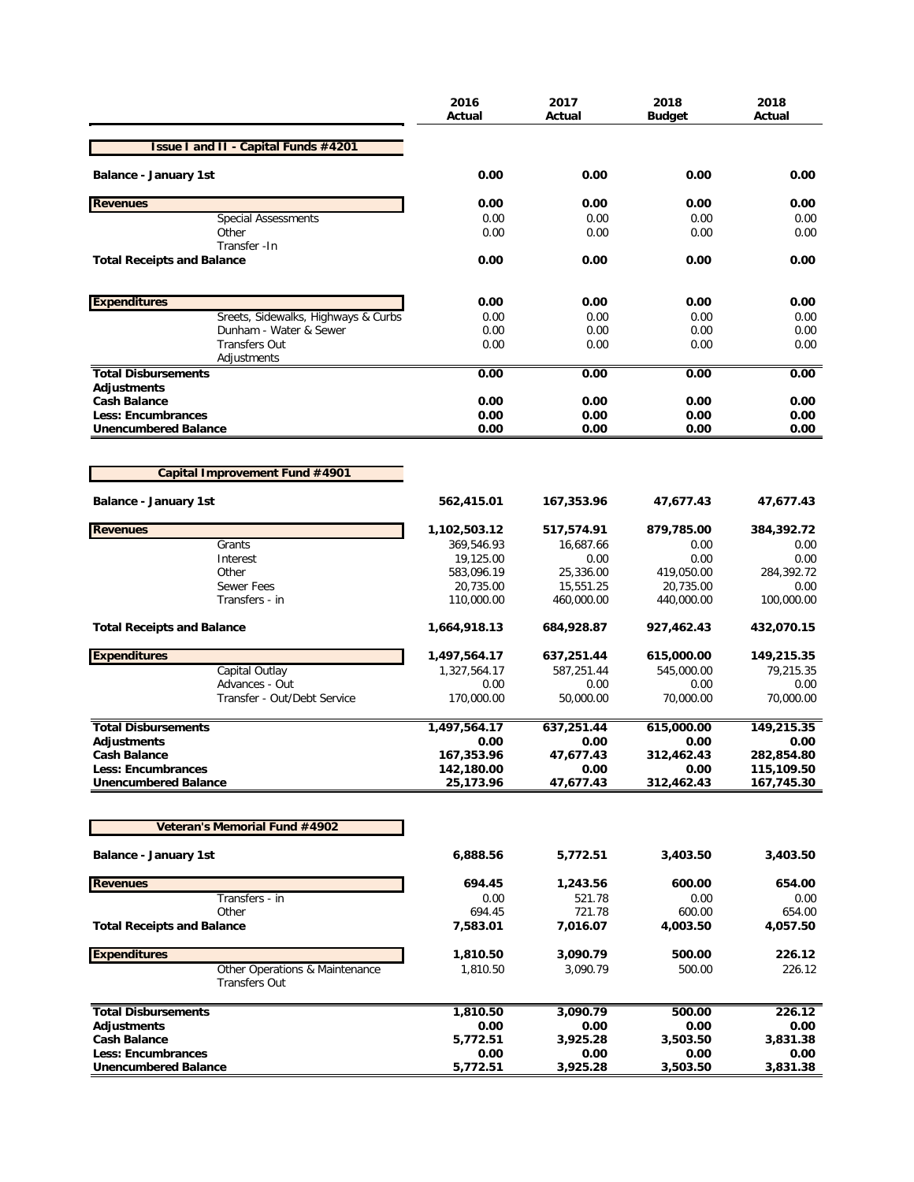|                                                        | 2016<br>Actual           | 2017<br>Actual         | 2018<br>Budget          | 2018<br>Actual           |
|--------------------------------------------------------|--------------------------|------------------------|-------------------------|--------------------------|
| <b>Issue I and II - Capital Funds #4201</b>            |                          |                        |                         |                          |
| <b>Balance - January 1st</b>                           | 0.00                     | 0.00                   | 0.00                    | 0.00                     |
| <b>Revenues</b>                                        | 0.00                     | 0.00                   | 0.00                    | 0.00                     |
| <b>Special Assessments</b>                             | 0.00                     | 0.00                   | 0.00                    | 0.00                     |
| Other                                                  | 0.00                     | 0.00                   | 0.00                    | 0.00                     |
| Transfer - In<br><b>Total Receipts and Balance</b>     | 0.00                     | 0.00                   | 0.00                    | 0.00                     |
| <b>Expenditures</b>                                    | 0.00                     | 0.00                   | 0.00                    | 0.00                     |
| Sreets, Sidewalks, Highways & Curbs                    | 0.00                     | 0.00                   | 0.00                    | 0.00                     |
| Dunham - Water & Sewer                                 | 0.00                     | 0.00                   | 0.00                    | 0.00                     |
| <b>Transfers Out</b>                                   | 0.00                     | 0.00                   | 0.00                    | 0.00                     |
| Adjustments                                            |                          |                        |                         |                          |
| <b>Total Disbursements</b><br>Adjustments              | 0.00                     | 0.00                   | 0.00                    | 0.00                     |
| <b>Cash Balance</b>                                    | 0.00                     | 0.00                   | 0.00                    | 0.00                     |
| <b>Less: Encumbrances</b>                              | 0.00                     | 0.00                   | 0.00                    | 0.00                     |
| <b>Unencumbered Balance</b>                            | 0.00                     | 0.00                   | 0.00                    | 0.00                     |
|                                                        |                          |                        |                         |                          |
| Capital Improvement Fund #4901                         |                          |                        |                         |                          |
| <b>Balance - January 1st</b>                           | 562,415.01               | 167,353.96             | 47,677.43               | 47,677.43                |
| <b>Revenues</b>                                        | 1,102,503.12             | 517,574.91             | 879,785.00              | 384,392.72               |
| Grants                                                 | 369,546.93               | 16,687.66              | 0.00                    | 0.00                     |
| Interest                                               | 19,125.00                | 0.00                   | 0.00                    | 0.00                     |
| Other<br><b>Sewer Fees</b>                             | 583,096.19               | 25,336.00<br>15,551.25 | 419,050.00              | 284,392.72<br>0.00       |
| Transfers - in                                         | 20,735.00<br>110,000.00  | 460,000.00             | 20,735.00<br>440,000.00 | 100,000.00               |
| <b>Total Receipts and Balance</b>                      | 1,664,918.13             | 684,928.87             | 927,462.43              | 432,070.15               |
| <b>Expenditures</b>                                    | 1,497,564.17             | 637,251.44             | 615,000.00              | 149,215.35               |
| Capital Outlay                                         | 1,327,564.17             | 587,251.44             | 545,000.00              | 79,215.35                |
| Advances - Out                                         | 0.00                     | 0.00                   | 0.00                    | 0.00                     |
| Transfer - Out/Debt Service                            | 170,000.00               | 50,000.00              | 70,000.00               | 70,000.00                |
| <b>Total Disbursements</b>                             | 1,497,564.17             | 637,251.44             | 615,000.00              | 149,215.35               |
| <b>Adjustments</b>                                     | 0.00                     | 0.00                   | 0.00                    | 0.00                     |
| <b>Cash Balance</b><br><b>Less: Encumbrances</b>       | 167,353.96<br>142,180.00 | 47,677.43<br>0.00      | 312,462.43<br>0.00      | 282,854.80<br>115,109.50 |
| <b>Unencumbered Balance</b>                            | 25,173.96                | 47,677.43              | 312,462.43              | 167,745.30               |
|                                                        |                          |                        |                         |                          |
| Veteran's Memorial Fund #4902                          |                          |                        |                         |                          |
| <b>Balance - January 1st</b>                           | 6,888.56                 | 5,772.51               | 3,403.50                | 3,403.50                 |
| <b>Revenues</b>                                        | 694.45                   | 1,243.56               | 600.00                  | 654.00                   |
| Transfers - in                                         | 0.00                     | 521.78                 | 0.00                    | 0.00                     |
| Other                                                  | 694.45                   | 721.78                 | 600.00                  | 654.00                   |
| <b>Total Receipts and Balance</b>                      | 7,583.01                 | 7,016.07               | 4,003.50                | 4,057.50                 |
| <b>Expenditures</b>                                    | 1,810.50                 | 3,090.79               | 500.00                  | 226.12                   |
| Other Operations & Maintenance<br><b>Transfers Out</b> | 1,810.50                 | 3,090.79               | 500.00                  | 226.12                   |
| <b>Total Disbursements</b>                             | 1,810.50                 | 3,090.79               | 500.00                  | 226.12                   |
| Adjustments                                            | 0.00                     | 0.00                   | 0.00                    | 0.00                     |
| <b>Cash Balance</b>                                    | 5,772.51                 | 3,925.28               | 3,503.50                | 3,831.38                 |
| <b>Less: Encumbrances</b>                              | 0.00                     | 0.00                   | 0.00                    | 0.00                     |
| <b>Unencumbered Balance</b>                            | 5,772.51                 | 3,925.28               | 3,503.50                | 3,831.38                 |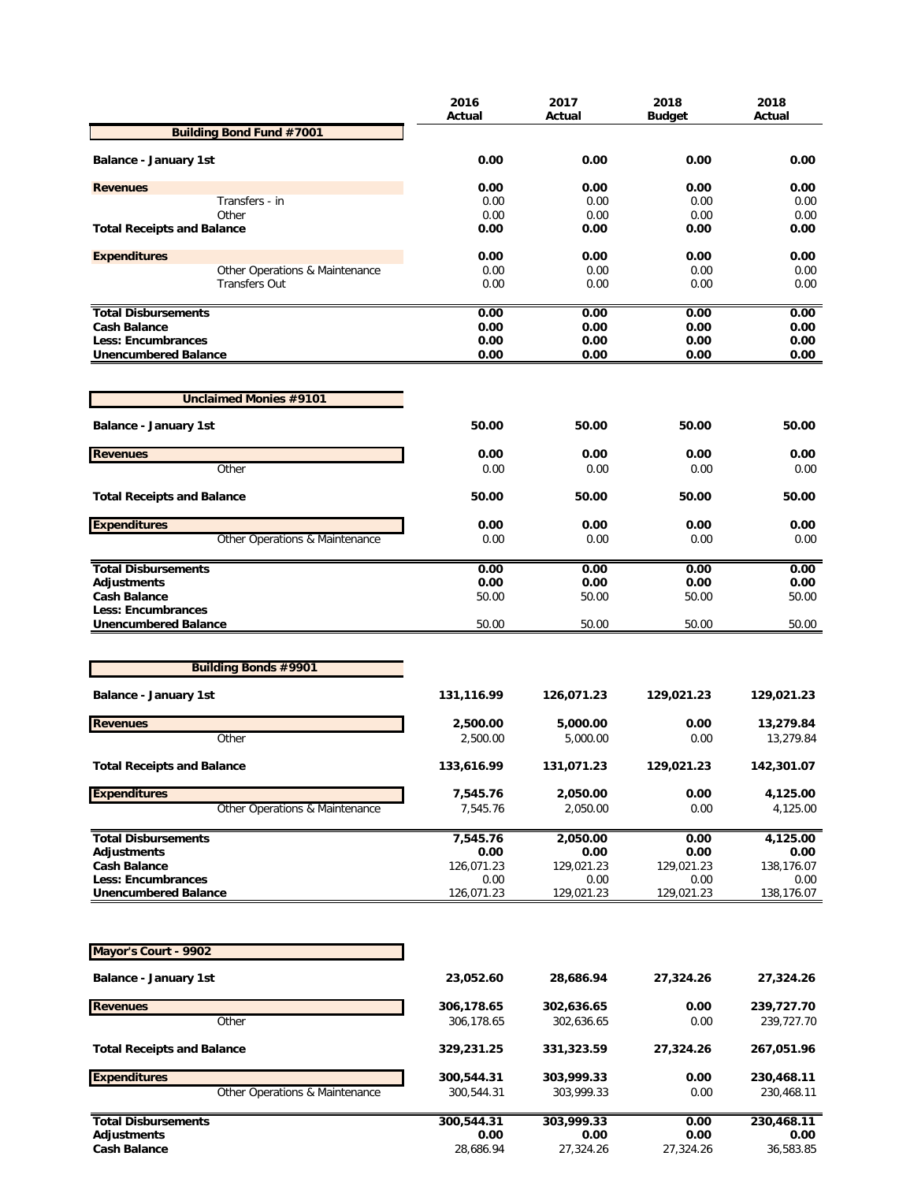|                                                  | 2016<br>Actual     | 2017<br>Actual     | 2018<br><b>Budget</b> | 2018<br>Actual     |
|--------------------------------------------------|--------------------|--------------------|-----------------------|--------------------|
| <b>Building Bond Fund #7001</b>                  |                    |                    |                       |                    |
| <b>Balance - January 1st</b>                     | 0.00               | 0.00               | 0.00                  | 0.00               |
|                                                  |                    |                    |                       |                    |
| <b>Revenues</b>                                  | 0.00               | 0.00               | 0.00                  | 0.00               |
| Transfers - in                                   | 0.00               | 0.00               | 0.00                  | 0.00               |
| Other                                            | 0.00               | 0.00               | 0.00                  | 0.00               |
| <b>Total Receipts and Balance</b>                | 0.00               | 0.00               | 0.00                  | 0.00               |
| <b>Expenditures</b>                              | 0.00               | 0.00               | 0.00                  | 0.00               |
| Other Operations & Maintenance                   | 0.00               | 0.00               | 0.00                  | 0.00               |
| <b>Transfers Out</b>                             | 0.00               | 0.00               | 0.00                  | 0.00               |
| <b>Total Disbursements</b>                       | 0.00               | 0.00               | 0.00                  | 0.00               |
| <b>Cash Balance</b>                              | 0.00               | 0.00               | 0.00                  | 0.00               |
| Less: Encumbrances                               | 0.00               | 0.00               | 0.00                  | 0.00               |
| <b>Unencumbered Balance</b>                      | 0.00               | 0.00               | 0.00                  | 0.00               |
|                                                  |                    |                    |                       |                    |
| <b>Unclaimed Monies #9101</b>                    |                    |                    |                       |                    |
| <b>Balance - January 1st</b>                     | 50.00              | 50.00              | 50.00                 | 50.00              |
| <b>Revenues</b>                                  | 0.00               | 0.00               | 0.00                  | 0.00               |
| Other                                            | 0.00               | 0.00               | 0.00                  | 0.00               |
| <b>Total Receipts and Balance</b>                | 50.00              | 50.00              | 50.00                 | 50.00              |
| <b>Expenditures</b>                              | 0.00               | 0.00               | 0.00                  | 0.00               |
| Other Operations & Maintenance                   | 0.00               | 0.00               | 0.00                  | 0.00               |
| <b>Total Disbursements</b>                       | 0.00               | 0.00               | 0.00                  | 0.00               |
| <b>Adjustments</b>                               | 0.00               | 0.00               | 0.00                  | 0.00               |
| <b>Cash Balance</b>                              | 50.00              | 50.00              | 50.00                 | 50.00              |
| Less: Encumbrances                               |                    |                    |                       |                    |
| <b>Unencumbered Balance</b>                      | 50.00              | 50.00              | 50.00                 | 50.00              |
|                                                  |                    |                    |                       |                    |
| <b>Building Bonds #9901</b>                      |                    |                    |                       |                    |
| <b>Balance - January 1st</b>                     | 131,116.99         | 126,071.23         | 129,021.23            | 129,021.23         |
| <b>Revenues</b>                                  | 2,500.00           | 5,000.00           | 0.00                  | 13,279.84          |
| Other                                            | 2,500.00           | 5,000.00           | 0.00                  | 13,279.84          |
| <b>Total Receipts and Balance</b>                | 133,616.99         | 131,071.23         | 129,021.23            | 142,301.07         |
|                                                  |                    |                    |                       |                    |
| <b>Expenditures</b>                              | 7,545.76           | 2,050.00           | 0.00                  | 4,125.00           |
| Other Operations & Maintenance                   | 7,545.76           | 2,050.00           | 0.00                  | 4,125.00           |
| <b>Total Disbursements</b>                       | 7,545.76           | 2,050.00           | 0.00                  | 4,125.00           |
| <b>Adjustments</b>                               | 0.00               | 0.00               | 0.00                  | 0.00               |
| <b>Cash Balance</b>                              | 126,071.23         | 129,021.23         | 129,021.23            | 138,176.07         |
| <b>Less: Encumbrances</b>                        | 0.00               | 0.00               | 0.00                  | 0.00               |
| <b>Unencumbered Balance</b>                      | 126,071.23         | 129,021.23         | 129,021.23            | 138,176.07         |
|                                                  |                    |                    |                       |                    |
| Mayor's Court - 9902                             |                    |                    |                       |                    |
| <b>Balance - January 1st</b>                     | 23,052.60          | 28,686.94          | 27,324.26             | 27,324.26          |
| <b>Revenues</b>                                  | 306,178.65         | 302,636.65         | 0.00                  | 239,727.70         |
| Other                                            | 306,178.65         | 302,636.65         | 0.00                  | 239,727.70         |
|                                                  |                    |                    |                       |                    |
| <b>Total Receipts and Balance</b>                | 329,231.25         | 331,323.59         | 27,324.26             | 267,051.96         |
| <b>Expenditures</b>                              | 300,544.31         | 303,999.33         | 0.00                  | 230,468.11         |
| Other Operations & Maintenance                   | 300,544.31         | 303,999.33         | 0.00                  | 230,468.11         |
|                                                  |                    |                    |                       |                    |
| <b>Total Disbursements</b><br><b>Adjustments</b> | 300,544.31<br>0.00 | 303,999.33<br>0.00 | 0.00<br>0.00          | 230,468.11<br>0.00 |
| <b>Cash Balance</b>                              | 28,686.94          | 27,324.26          | 27,324.26             | 36,583.85          |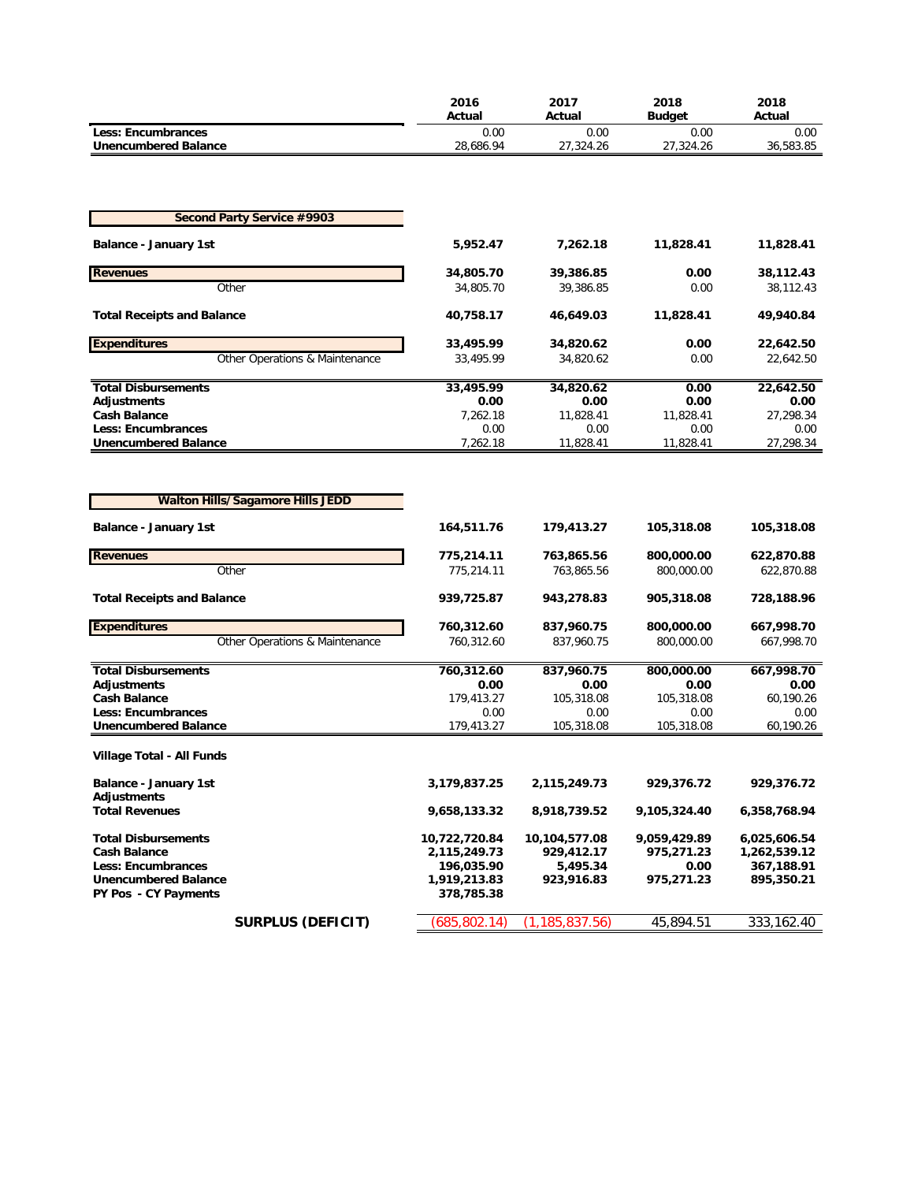|                                                  | 2016<br>Actual         | 2017<br>Actual         | 2018<br><b>Budget</b> | 2018<br>Actual         |
|--------------------------------------------------|------------------------|------------------------|-----------------------|------------------------|
| <b>Less: Encumbrances</b>                        | 0.00                   | 0.00                   | 0.00                  | 0.00                   |
| <b>Unencumbered Balance</b>                      | 28,686.94              | 27,324.26              | 27,324.26             | 36,583.85              |
|                                                  |                        |                        |                       |                        |
|                                                  |                        |                        |                       |                        |
| <b>Second Party Service #9903</b>                |                        |                        |                       |                        |
| <b>Balance - January 1st</b>                     | 5,952.47               | 7,262.18               | 11,828.41             | 11,828.41              |
|                                                  |                        |                        |                       |                        |
| <b>Revenues</b><br>Other                         | 34,805.70<br>34,805.70 | 39,386.85<br>39,386.85 | 0.00<br>0.00          | 38,112.43<br>38,112.43 |
|                                                  |                        |                        |                       |                        |
| <b>Total Receipts and Balance</b>                | 40,758.17              | 46,649.03              | 11,828.41             | 49,940.84              |
| <b>Expenditures</b>                              | 33,495.99              | 34,820.62              | 0.00                  | 22,642.50              |
| Other Operations & Maintenance                   | 33,495.99              | 34,820.62              | 0.00                  | 22,642.50              |
|                                                  |                        |                        |                       |                        |
| <b>Total Disbursements</b><br><b>Adjustments</b> | 33,495.99              | 34,820.62              | 0.00<br>0.00          | 22,642.50              |
| <b>Cash Balance</b>                              | 0.00<br>7,262.18       | 0.00<br>11,828.41      | 11,828.41             | 0.00<br>27,298.34      |
| <b>Less: Encumbrances</b>                        | 0.00                   | 0.00                   | 0.00                  | 0.00                   |
| <b>Unencumbered Balance</b>                      | 7,262.18               | 11,828.41              | 11,828.41             | 27,298.34              |
|                                                  |                        |                        |                       |                        |
|                                                  |                        |                        |                       |                        |
| <b>Walton Hills/Sagamore Hills JEDD</b>          |                        |                        |                       |                        |
| <b>Balance - January 1st</b>                     | 164,511.76             | 179,413.27             | 105,318.08            | 105,318.08             |
|                                                  |                        |                        |                       |                        |
| <b>Revenues</b>                                  | 775,214.11             | 763,865.56             | 800,000.00            | 622,870.88             |
| Other                                            | 775,214.11             | 763,865.56             | 800,000.00            | 622,870.88             |
| <b>Total Receipts and Balance</b>                | 939,725.87             | 943,278.83             | 905,318.08            | 728,188.96             |
|                                                  |                        |                        |                       |                        |
| <b>Expenditures</b>                              | 760,312.60             | 837,960.75             | 800,000.00            | 667,998.70             |
| Other Operations & Maintenance                   | 760,312.60             | 837,960.75             | 800,000.00            | 667,998.70             |
| <b>Total Disbursements</b>                       | 760,312.60             | 837,960.75             | 800,000.00            | 667,998.70             |
| <b>Adjustments</b>                               | 0.00                   | 0.00                   | 0.00                  | 0.00                   |
| <b>Cash Balance</b><br><b>Less: Encumbrances</b> | 179,413.27<br>0.00     | 105,318.08<br>0.00     | 105,318.08<br>0.00    | 60,190.26<br>0.00      |
| <b>Unencumbered Balance</b>                      | 179,413.27             | 105,318.08             | 105,318.08            | 60,190.26              |
|                                                  |                        |                        |                       |                        |
| Village Total - All Funds                        |                        |                        |                       |                        |
| <b>Balance - January 1st</b>                     | 3,179,837.25           | 2,115,249.73           | 929,376.72            | 929,376.72             |
| Adjustments                                      |                        |                        |                       |                        |
| <b>Total Revenues</b>                            | 9,658,133.32           | 8,918,739.52           | 9,105,324.40          | 6,358,768.94           |
| <b>Total Disbursements</b>                       | 10,722,720.84          | 10,104,577.08          | 9,059,429.89          | 6,025,606.54           |
| <b>Cash Balance</b>                              | 2,115,249.73           | 929,412.17             | 975,271.23            | 1,262,539.12           |
| <b>Less: Encumbrances</b>                        | 196,035.90             | 5,495.34               | 0.00                  | 367,188.91             |
| <b>Unencumbered Balance</b>                      | 1,919,213.83           | 923,916.83             | 975,271.23            | 895,350.21             |
| PY Pos - CY Payments                             | 378,785.38             |                        |                       |                        |
| <b>SURPLUS (DEFICIT)</b>                         | (685, 802.14)          | (1, 185, 837.56)       | 45,894.51             | 333, 162.40            |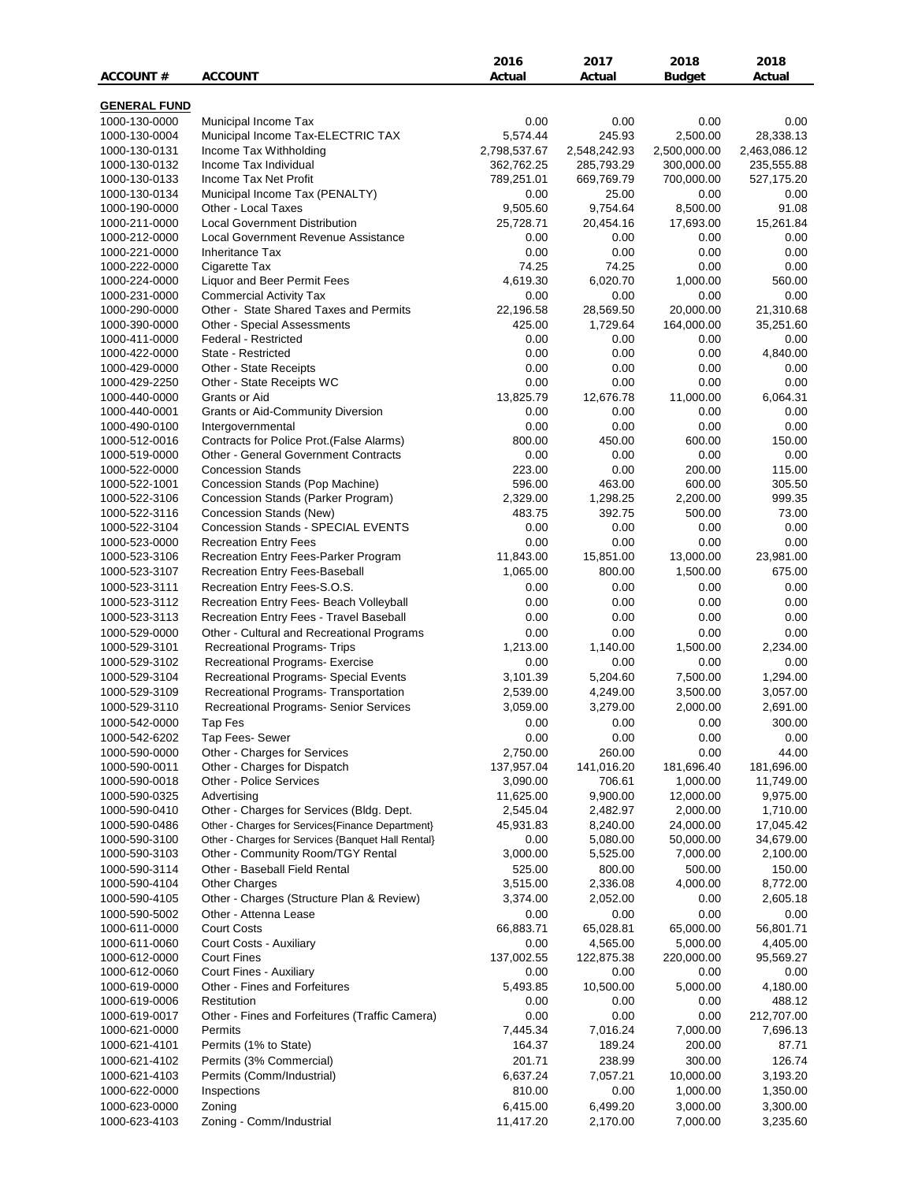|                                |                                                             | 2016                     | 2017                   | 2018                     | 2018                      |
|--------------------------------|-------------------------------------------------------------|--------------------------|------------------------|--------------------------|---------------------------|
| <b>ACCOUNT#</b>                | <b>ACCOUNT</b>                                              | Actual                   | Actual                 | Budget                   | Actual                    |
|                                |                                                             |                          |                        |                          |                           |
| <b>GENERAL FUND</b>            |                                                             |                          |                        |                          |                           |
| 1000-130-0000                  | Municipal Income Tax                                        | 0.00                     | 0.00                   | 0.00                     | 0.00                      |
| 1000-130-0004                  | Municipal Income Tax-ELECTRIC TAX<br>Income Tax Withholding | 5,574.44<br>2,798,537.67 | 245.93<br>2,548,242.93 | 2,500.00<br>2,500,000.00 | 28,338.13<br>2,463,086.12 |
| 1000-130-0131<br>1000-130-0132 | Income Tax Individual                                       | 362,762.25               | 285,793.29             | 300,000.00               | 235,555.88                |
| 1000-130-0133                  | Income Tax Net Profit                                       | 789,251.01               | 669,769.79             | 700,000.00               | 527,175.20                |
| 1000-130-0134                  | Municipal Income Tax (PENALTY)                              | 0.00                     | 25.00                  | 0.00                     | 0.00                      |
| 1000-190-0000                  | Other - Local Taxes                                         | 9,505.60                 | 9,754.64               | 8,500.00                 | 91.08                     |
| 1000-211-0000                  | <b>Local Government Distribution</b>                        | 25,728.71                | 20,454.16              | 17,693.00                | 15,261.84                 |
| 1000-212-0000                  | Local Government Revenue Assistance                         | 0.00                     | 0.00                   | 0.00                     | 0.00                      |
| 1000-221-0000                  | <b>Inheritance Tax</b>                                      | 0.00                     | 0.00                   | 0.00                     | 0.00                      |
| 1000-222-0000                  | Cigarette Tax                                               | 74.25                    | 74.25                  | 0.00                     | 0.00                      |
| 1000-224-0000                  | Liquor and Beer Permit Fees                                 | 4,619.30                 | 6,020.70               | 1,000.00                 | 560.00                    |
| 1000-231-0000                  | <b>Commercial Activity Tax</b>                              | 0.00                     | 0.00                   | 0.00                     | 0.00                      |
| 1000-290-0000                  | Other - State Shared Taxes and Permits                      | 22,196.58                | 28,569.50              | 20,000.00                | 21,310.68                 |
| 1000-390-0000                  | Other - Special Assessments                                 | 425.00                   | 1,729.64               | 164,000.00               | 35,251.60                 |
| 1000-411-0000                  | Federal - Restricted                                        | 0.00                     | 0.00                   | 0.00                     | 0.00                      |
| 1000-422-0000                  | State - Restricted                                          | 0.00                     | 0.00                   | 0.00                     | 4,840.00                  |
| 1000-429-0000                  | Other - State Receipts<br>Other - State Receipts WC         | 0.00<br>0.00             | 0.00                   | 0.00<br>0.00             | 0.00<br>0.00              |
| 1000-429-2250<br>1000-440-0000 | Grants or Aid                                               | 13,825.79                | 0.00<br>12,676.78      | 11,000.00                | 6,064.31                  |
| 1000-440-0001                  | <b>Grants or Aid-Community Diversion</b>                    | 0.00                     | 0.00                   | 0.00                     | 0.00                      |
| 1000-490-0100                  | Intergovernmental                                           | 0.00                     | 0.00                   | 0.00                     | 0.00                      |
| 1000-512-0016                  | Contracts for Police Prot. (False Alarms)                   | 800.00                   | 450.00                 | 600.00                   | 150.00                    |
| 1000-519-0000                  | <b>Other - General Government Contracts</b>                 | 0.00                     | 0.00                   | 0.00                     | 0.00                      |
| 1000-522-0000                  | <b>Concession Stands</b>                                    | 223.00                   | 0.00                   | 200.00                   | 115.00                    |
| 1000-522-1001                  | Concession Stands (Pop Machine)                             | 596.00                   | 463.00                 | 600.00                   | 305.50                    |
| 1000-522-3106                  | Concession Stands (Parker Program)                          | 2,329.00                 | 1,298.25               | 2,200.00                 | 999.35                    |
| 1000-522-3116                  | Concession Stands (New)                                     | 483.75                   | 392.75                 | 500.00                   | 73.00                     |
| 1000-522-3104                  | Concession Stands - SPECIAL EVENTS                          | 0.00                     | 0.00                   | 0.00                     | 0.00                      |
| 1000-523-0000                  | <b>Recreation Entry Fees</b>                                | 0.00                     | 0.00                   | 0.00                     | 0.00                      |
| 1000-523-3106                  | Recreation Entry Fees-Parker Program                        | 11,843.00                | 15,851.00              | 13,000.00                | 23,981.00                 |
| 1000-523-3107                  | Recreation Entry Fees-Baseball                              | 1,065.00                 | 800.00                 | 1,500.00                 | 675.00                    |
| 1000-523-3111                  | Recreation Entry Fees-S.O.S.                                | 0.00                     | 0.00                   | 0.00                     | 0.00                      |
| 1000-523-3112                  | Recreation Entry Fees- Beach Volleyball                     | 0.00                     | 0.00                   | 0.00                     | 0.00                      |
| 1000-523-3113                  | Recreation Entry Fees - Travel Baseball                     | 0.00                     | 0.00                   | 0.00                     | 0.00                      |
| 1000-529-0000                  | Other - Cultural and Recreational Programs                  | 0.00                     | 0.00                   | 0.00                     | 0.00                      |
| 1000-529-3101                  | Recreational Programs- Trips                                | 1,213.00                 | 1,140.00               | 1,500.00                 | 2,234.00                  |
| 1000-529-3102                  | Recreational Programs- Exercise                             | 0.00                     | 0.00                   | 0.00                     | 0.00                      |
| 1000-529-3104                  | Recreational Programs- Special Events                       | 3,101.39                 | 5,204.60               | 7,500.00                 | 1,294.00                  |
| 1000-529-3109                  | Recreational Programs- Transportation                       | 2,539.00                 | 4,249.00<br>3,279.00   | 3,500.00                 | 3,057.00                  |
| 1000-529-3110<br>1000-542-0000 | Recreational Programs- Senior Services                      | 3,059.00<br>0.00         | 0.00                   | 2,000.00<br>0.00         | 2,691.00<br>300.00        |
| 1000-542-6202                  | Tap Fes<br>Tap Fees- Sewer                                  | 0.00                     | 0.00                   | 0.00                     | 0.00                      |
| 1000-590-0000                  | Other - Charges for Services                                | 2,750.00                 | 260.00                 | 0.00                     | 44.00                     |
| 1000-590-0011                  | Other - Charges for Dispatch                                | 137,957.04               | 141,016.20             | 181,696.40               | 181,696.00                |
| 1000-590-0018                  | Other - Police Services                                     | 3,090.00                 | 706.61                 | 1,000.00                 | 11,749.00                 |
| 1000-590-0325                  | Advertising                                                 | 11,625.00                | 9,900.00               | 12,000.00                | 9,975.00                  |
| 1000-590-0410                  | Other - Charges for Services (Bldg. Dept.                   | 2,545.04                 | 2,482.97               | 2,000.00                 | 1,710.00                  |
| 1000-590-0486                  | Other - Charges for Services{Finance Department}            | 45,931.83                | 8,240.00               | 24,000.00                | 17,045.42                 |
| 1000-590-3100                  | Other - Charges for Services {Banquet Hall Rental}          | 0.00                     | 5,080.00               | 50,000.00                | 34,679.00                 |
| 1000-590-3103                  | Other - Community Room/TGY Rental                           | 3,000.00                 | 5,525.00               | 7,000.00                 | 2,100.00                  |
| 1000-590-3114                  | Other - Baseball Field Rental                               | 525.00                   | 800.00                 | 500.00                   | 150.00                    |
| 1000-590-4104                  | <b>Other Charges</b>                                        | 3,515.00                 | 2,336.08               | 4,000.00                 | 8,772.00                  |
| 1000-590-4105                  | Other - Charges (Structure Plan & Review)                   | 3,374.00                 | 2,052.00               | 0.00                     | 2,605.18                  |
| 1000-590-5002                  | Other - Attenna Lease                                       | 0.00                     | 0.00                   | 0.00                     | 0.00                      |
| 1000-611-0000                  | <b>Court Costs</b>                                          | 66,883.71                | 65,028.81              | 65,000.00                | 56,801.71                 |
| 1000-611-0060                  | Court Costs - Auxiliary                                     | 0.00                     | 4,565.00               | 5,000.00                 | 4,405.00                  |
| 1000-612-0000<br>1000-612-0060 | <b>Court Fines</b><br>Court Fines - Auxiliary               | 137,002.55<br>0.00       | 122,875.38<br>0.00     | 220,000.00<br>0.00       | 95,569.27<br>0.00         |
| 1000-619-0000                  | Other - Fines and Forfeitures                               | 5,493.85                 | 10,500.00              | 5,000.00                 | 4,180.00                  |
| 1000-619-0006                  | Restitution                                                 | 0.00                     | 0.00                   | 0.00                     | 488.12                    |
| 1000-619-0017                  | Other - Fines and Forfeitures (Traffic Camera)              | 0.00                     | 0.00                   | 0.00                     | 212,707.00                |
| 1000-621-0000                  | Permits                                                     | 7,445.34                 | 7,016.24               | 7,000.00                 | 7,696.13                  |
| 1000-621-4101                  | Permits (1% to State)                                       | 164.37                   | 189.24                 | 200.00                   | 87.71                     |
| 1000-621-4102                  | Permits (3% Commercial)                                     | 201.71                   | 238.99                 | 300.00                   | 126.74                    |
| 1000-621-4103                  | Permits (Comm/Industrial)                                   | 6,637.24                 | 7,057.21               | 10,000.00                | 3,193.20                  |
| 1000-622-0000                  | Inspections                                                 | 810.00                   | 0.00                   | 1,000.00                 | 1,350.00                  |
| 1000-623-0000                  | Zoning                                                      | 6,415.00                 | 6,499.20               | 3,000.00                 | 3,300.00                  |
| 1000-623-4103                  | Zoning - Comm/Industrial                                    | 11,417.20                | 2,170.00               | 7,000.00                 | 3,235.60                  |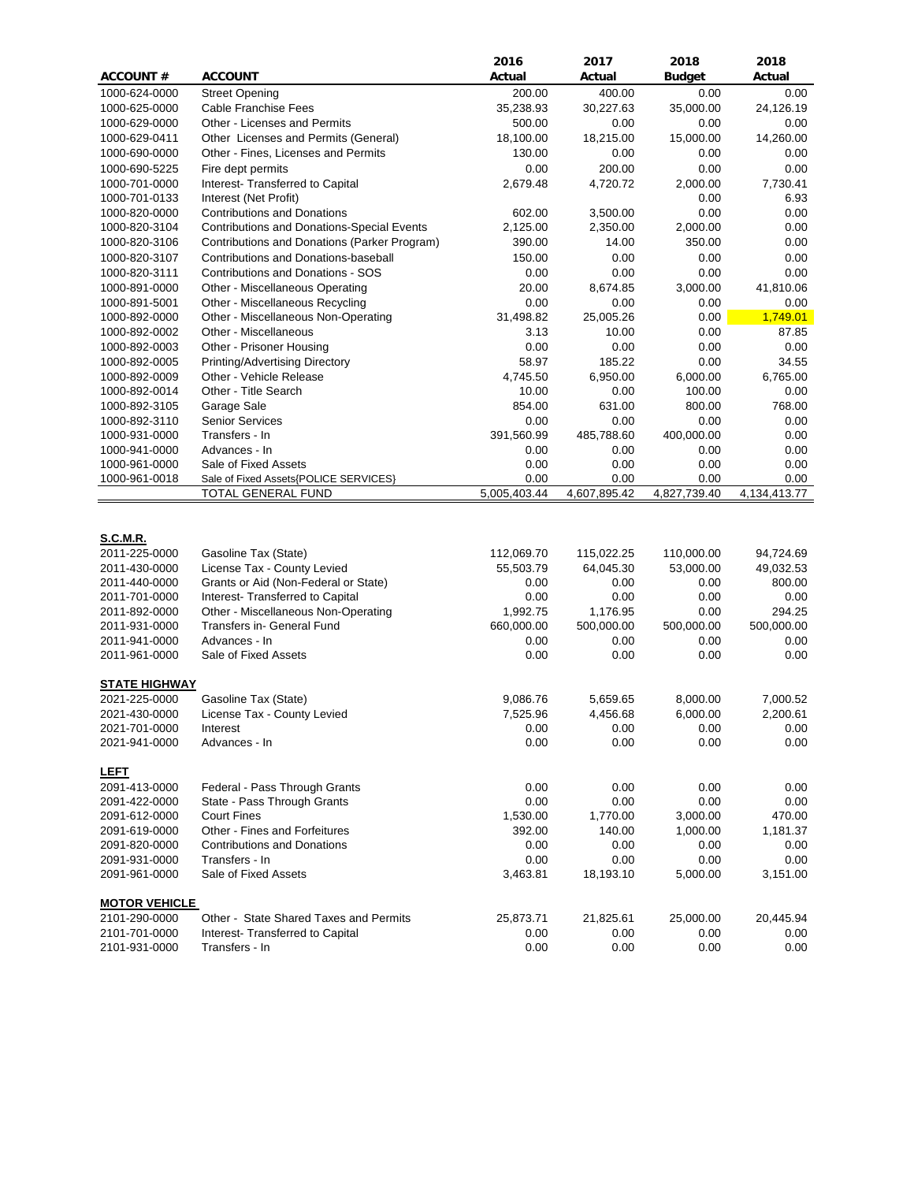|                      |                                                   | 2016         | 2017         | 2018          | 2018         |
|----------------------|---------------------------------------------------|--------------|--------------|---------------|--------------|
| <b>ACCOUNT#</b>      | <b>ACCOUNT</b>                                    | Actual       | Actual       | <b>Budget</b> | Actual       |
| 1000-624-0000        | <b>Street Opening</b>                             | 200.00       | 400.00       | 0.00          | 0.00         |
| 1000-625-0000        | Cable Franchise Fees                              | 35,238.93    | 30,227.63    | 35,000.00     | 24,126.19    |
| 1000-629-0000        | Other - Licenses and Permits                      | 500.00       | 0.00         | 0.00          | 0.00         |
| 1000-629-0411        | Other Licenses and Permits (General)              | 18,100.00    | 18,215.00    | 15,000.00     | 14,260.00    |
| 1000-690-0000        | Other - Fines, Licenses and Permits               | 130.00       | 0.00         | 0.00          | 0.00         |
| 1000-690-5225        | Fire dept permits                                 | 0.00         | 200.00       | 0.00          | 0.00         |
| 1000-701-0000        | Interest- Transferred to Capital                  | 2,679.48     | 4,720.72     | 2,000.00      | 7,730.41     |
| 1000-701-0133        | Interest (Net Profit)                             |              |              | 0.00          | 6.93         |
| 1000-820-0000        | <b>Contributions and Donations</b>                | 602.00       | 3,500.00     | 0.00          | 0.00         |
| 1000-820-3104        | <b>Contributions and Donations-Special Events</b> | 2,125.00     | 2,350.00     | 2,000.00      | 0.00         |
| 1000-820-3106        | Contributions and Donations (Parker Program)      | 390.00       | 14.00        | 350.00        | 0.00         |
| 1000-820-3107        | Contributions and Donations-baseball              | 150.00       | 0.00         | 0.00          | 0.00         |
| 1000-820-3111        | Contributions and Donations - SOS                 | 0.00         | 0.00         | 0.00          | 0.00         |
| 1000-891-0000        | Other - Miscellaneous Operating                   | 20.00        | 8,674.85     | 3,000.00      | 41,810.06    |
| 1000-891-5001        | Other - Miscellaneous Recycling                   | 0.00         | 0.00         | 0.00          | 0.00         |
| 1000-892-0000        | Other - Miscellaneous Non-Operating               | 31,498.82    | 25,005.26    | 0.00          | 1,749.01     |
| 1000-892-0002        | Other - Miscellaneous                             | 3.13         | 10.00        | 0.00          | 87.85        |
| 1000-892-0003        | Other - Prisoner Housing                          | 0.00         | 0.00         | 0.00          | 0.00         |
| 1000-892-0005        | Printing/Advertising Directory                    | 58.97        | 185.22       | 0.00          | 34.55        |
| 1000-892-0009        | Other - Vehicle Release                           | 4,745.50     | 6,950.00     | 6,000.00      | 6,765.00     |
| 1000-892-0014        | Other - Title Search                              | 10.00        | 0.00         | 100.00        | 0.00         |
| 1000-892-3105        | Garage Sale                                       | 854.00       | 631.00       | 800.00        | 768.00       |
| 1000-892-3110        | <b>Senior Services</b>                            | 0.00         | 0.00         | 0.00          | 0.00         |
| 1000-931-0000        | Transfers - In                                    | 391,560.99   | 485,788.60   | 400,000.00    | 0.00         |
| 1000-941-0000        | Advances - In                                     | 0.00         | 0.00         | 0.00          | 0.00         |
| 1000-961-0000        | Sale of Fixed Assets                              | 0.00         | 0.00         | 0.00          | 0.00         |
| 1000-961-0018        | Sale of Fixed Assets{POLICE SERVICES}             | 0.00         | 0.00         | 0.00          | 0.00         |
|                      | TOTAL GENERAL FUND                                | 5,005,403.44 | 4,607,895.42 | 4,827,739.40  | 4,134,413.77 |
| <b>S.C.M.R.</b>      |                                                   |              |              |               |              |
| 2011-225-0000        | Gasoline Tax (State)                              | 112,069.70   | 115,022.25   | 110,000.00    | 94,724.69    |
| 2011-430-0000        | License Tax - County Levied                       | 55,503.79    | 64,045.30    | 53,000.00     | 49,032.53    |
| 2011-440-0000        | Grants or Aid (Non-Federal or State)              | 0.00         | 0.00         | 0.00          | 800.00       |
| 2011-701-0000        | Interest- Transferred to Capital                  | 0.00         | 0.00         | 0.00          | 0.00         |
| 2011-892-0000        | Other - Miscellaneous Non-Operating               | 1,992.75     | 1,176.95     | 0.00          | 294.25       |
| 2011-931-0000        | Transfers in- General Fund                        | 660,000.00   | 500,000.00   | 500,000.00    | 500,000.00   |
| 2011-941-0000        | Advances - In                                     | 0.00         | 0.00         | 0.00          | 0.00         |
| 2011-961-0000        | Sale of Fixed Assets                              | 0.00         | 0.00         | 0.00          | 0.00         |
| <b>STATE HIGHWAY</b> |                                                   |              |              |               |              |
| 2021-225-0000        | Gasoline Tax (State)                              | 9,086.76     | 5,659.65     | 8,000.00      | 7,000.52     |
| 2021-430-0000        | License Tax - County Levied                       | 7,525.96     | 4,456.68     | 6,000.00      | 2,200.61     |
| 2021-701-0000        | Interest                                          | 0.00         | 0.00         | 0.00          | 0.00         |
| 2021-941-0000        | Advances - In                                     | 0.00         | 0.00         | 0.00          | 0.00         |
|                      |                                                   |              |              |               |              |
| <b>LEFT</b>          |                                                   |              |              |               |              |
| 2091-413-0000        | Federal - Pass Through Grants                     | 0.00         | 0.00         | 0.00          | 0.00         |
| 2091-422-0000        | State - Pass Through Grants                       | 0.00         | 0.00         | 0.00          | 0.00         |
| 2091-612-0000        | <b>Court Fines</b>                                | 1,530.00     | 1,770.00     | 3,000.00      | 470.00       |
| 2091-619-0000        | Other - Fines and Forfeitures                     | 392.00       | 140.00       | 1,000.00      | 1,181.37     |
| 2091-820-0000        | <b>Contributions and Donations</b>                | 0.00         | 0.00         | 0.00          | 0.00         |
| 2091-931-0000        | Transfers - In                                    | 0.00         | 0.00         | 0.00          | 0.00         |
| 2091-961-0000        | Sale of Fixed Assets                              | 3,463.81     | 18,193.10    | 5,000.00      | 3,151.00     |
|                      |                                                   |              |              |               |              |
| <b>MOTOR VEHICLE</b> |                                                   |              |              |               |              |
| 2101-290-0000        | Other - State Shared Taxes and Permits            | 25,873.71    | 21,825.61    | 25,000.00     | 20,445.94    |
| 2101-701-0000        | Interest-Transferred to Capital                   | 0.00         | 0.00         | 0.00          | 0.00         |
| 2101-931-0000        | Transfers - In                                    | 0.00         | 0.00         | 0.00          | 0.00         |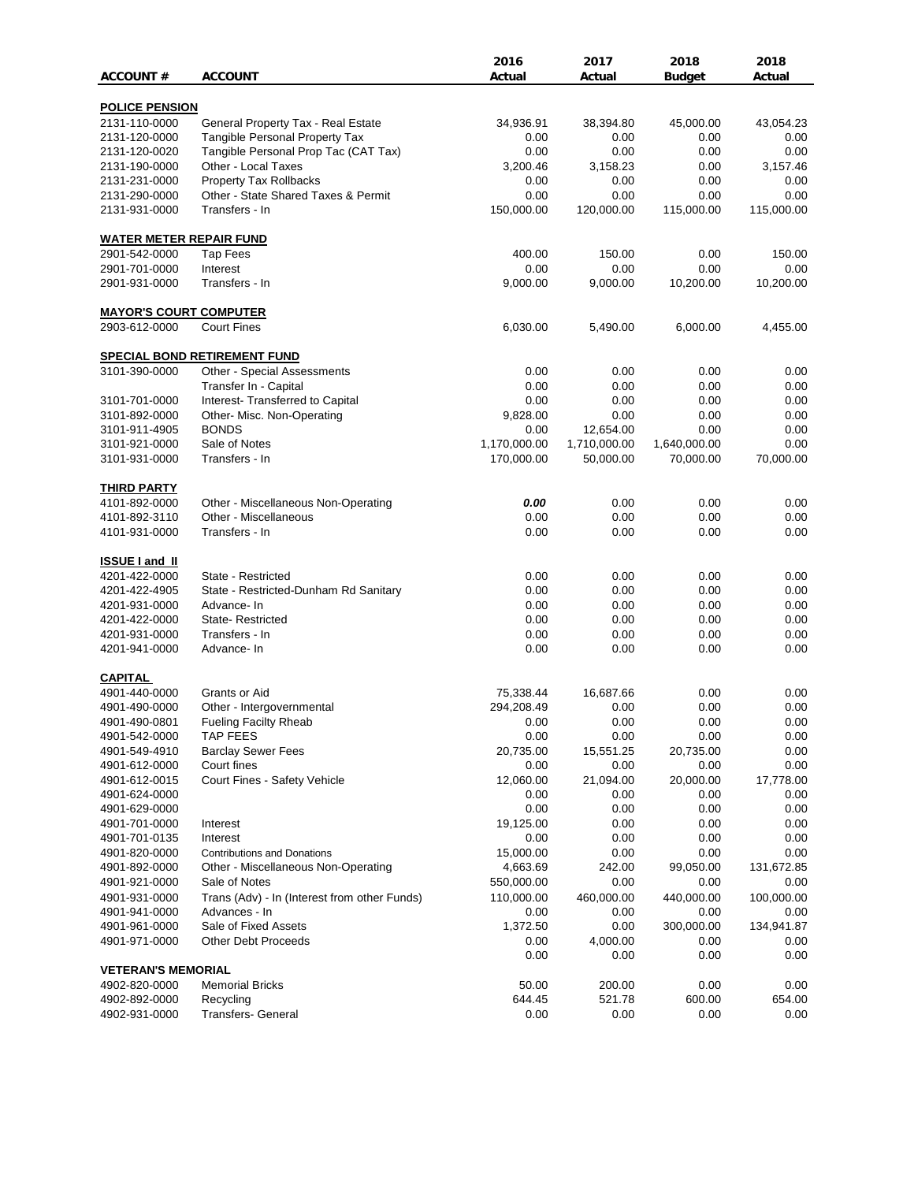|                                |                                              | 2016            | 2017             | 2018           | 2018           |
|--------------------------------|----------------------------------------------|-----------------|------------------|----------------|----------------|
| <b>ACCOUNT #</b>               | <b>ACCOUNT</b>                               | Actual          | Actual           | Budget         | Actual         |
| <b>POLICE PENSION</b>          |                                              |                 |                  |                |                |
| 2131-110-0000                  | General Property Tax - Real Estate           | 34,936.91       | 38,394.80        | 45,000.00      | 43,054.23      |
| 2131-120-0000                  | <b>Tangible Personal Property Tax</b>        | 0.00            | 0.00             | 0.00           | 0.00           |
| 2131-120-0020                  | Tangible Personal Prop Tac (CAT Tax)         | 0.00            | 0.00             | 0.00           | 0.00           |
| 2131-190-0000                  | Other - Local Taxes                          | 3,200.46        | 3,158.23         | 0.00           | 3,157.46       |
| 2131-231-0000                  | <b>Property Tax Rollbacks</b>                | 0.00            | 0.00             | 0.00           | 0.00           |
| 2131-290-0000                  | Other - State Shared Taxes & Permit          | 0.00            | 0.00             | 0.00           | 0.00           |
| 2131-931-0000                  | Transfers - In                               | 150,000.00      | 120,000.00       | 115,000.00     | 115,000.00     |
| <b>WATER METER REPAIR FUND</b> |                                              |                 |                  |                |                |
| 2901-542-0000                  | Tap Fees                                     | 400.00          | 150.00           | 0.00           | 150.00         |
| 2901-701-0000                  | Interest                                     | 0.00            | 0.00             | 0.00           | 0.00           |
| 2901-931-0000                  | Transfers - In                               | 9,000.00        | 9,000.00         | 10,200.00      | 10,200.00      |
|                                |                                              |                 |                  |                |                |
| <b>MAYOR'S COURT COMPUTER</b>  |                                              |                 |                  |                |                |
| 2903-612-0000                  | <b>Court Fines</b>                           | 6,030.00        | 5,490.00         | 6,000.00       | 4,455.00       |
|                                | <b>SPECIAL BOND RETIREMENT FUND</b>          |                 |                  |                |                |
| 3101-390-0000                  | Other - Special Assessments                  | 0.00            | 0.00             | 0.00           | 0.00           |
|                                | Transfer In - Capital                        | 0.00            | 0.00             | 0.00           | 0.00           |
| 3101-701-0000                  | Interest- Transferred to Capital             | 0.00            | 0.00             | 0.00           | 0.00           |
| 3101-892-0000                  | Other- Misc. Non-Operating                   | 9,828.00        | 0.00             | 0.00           | 0.00           |
| 3101-911-4905                  | <b>BONDS</b>                                 | 0.00            | 12,654.00        | 0.00           | 0.00           |
| 3101-921-0000                  | Sale of Notes                                | 1,170,000.00    | 1,710,000.00     | 1,640,000.00   | 0.00           |
| 3101-931-0000                  | Transfers - In                               | 170,000.00      | 50,000.00        | 70,000.00      | 70,000.00      |
|                                |                                              |                 |                  |                |                |
| <b>THIRD PARTY</b>             |                                              |                 |                  |                |                |
| 4101-892-0000                  | Other - Miscellaneous Non-Operating          | 0.00            | 0.00             | 0.00           | 0.00           |
| 4101-892-3110                  | Other - Miscellaneous                        | 0.00            | 0.00             | 0.00           | 0.00           |
| 4101-931-0000                  | Transfers - In                               | 0.00            | 0.00             | 0.00           | 0.00           |
| <b>ISSUE I and II</b>          |                                              |                 |                  |                |                |
| 4201-422-0000                  | State - Restricted                           | 0.00            | 0.00             | 0.00           | 0.00           |
| 4201-422-4905                  | State - Restricted-Dunham Rd Sanitary        | 0.00            | 0.00             | 0.00           | 0.00           |
| 4201-931-0000                  | Advance-In                                   | 0.00            | 0.00             | 0.00           | 0.00           |
| 4201-422-0000                  | State-Restricted                             | 0.00            | 0.00             | 0.00           | 0.00           |
| 4201-931-0000                  | Transfers - In                               | 0.00            | 0.00             | 0.00           | 0.00           |
| 4201-941-0000                  | Advance- In                                  | 0.00            | 0.00             | 0.00           | 0.00           |
| <b>CAPITAL</b>                 |                                              |                 |                  |                |                |
| 4901-440-0000                  | Grants or Aid                                | 75,338.44       | 16,687.66        | 0.00           | 0.00           |
| 4901-490-0000                  | Other - Intergovernmental                    | 294,208.49      | 0.00             | 0.00           | 0.00           |
| 4901-490-0801                  | <b>Fueling Facilty Rheab</b>                 | 0.00            | 0.00             | 0.00           | 0.00           |
| 4901-542-0000                  | <b>TAP FEES</b>                              | 0.00            | 0.00             | 0.00           | 0.00           |
| 4901-549-4910                  | <b>Barclay Sewer Fees</b>                    | 20,735.00       | 15,551.25        | 20,735.00      | 0.00           |
| 4901-612-0000                  | Court fines                                  | 0.00            | 0.00             | 0.00           | 0.00           |
| 4901-612-0015                  | Court Fines - Safety Vehicle                 | 12,060.00       | 21,094.00        | 20,000.00      | 17,778.00      |
| 4901-624-0000                  |                                              | 0.00            | 0.00             | 0.00           | 0.00           |
| 4901-629-0000                  |                                              | 0.00            | 0.00             | 0.00           | 0.00           |
| 4901-701-0000                  | Interest                                     | 19,125.00       | 0.00             | 0.00           | 0.00           |
| 4901-701-0135                  | Interest                                     | 0.00            | 0.00             | 0.00           | 0.00           |
| 4901-820-0000                  | <b>Contributions and Donations</b>           | 15,000.00       | 0.00             | 0.00           | 0.00           |
|                                |                                              |                 |                  |                |                |
| 4901-892-0000                  | Other - Miscellaneous Non-Operating          | 4,663.69        | 242.00           | 99,050.00      | 131,672.85     |
| 4901-921-0000                  | Sale of Notes                                | 550,000.00      | 0.00             | 0.00           | 0.00           |
| 4901-931-0000                  | Trans (Adv) - In (Interest from other Funds) | 110,000.00      | 460,000.00       | 440,000.00     | 100,000.00     |
| 4901-941-0000                  | Advances - In                                | 0.00            | 0.00             | 0.00           | 0.00           |
| 4901-961-0000                  | Sale of Fixed Assets                         | 1,372.50        | 0.00             | 300,000.00     | 134,941.87     |
| 4901-971-0000                  | Other Debt Proceeds                          | 0.00            | 4,000.00         | 0.00           | 0.00           |
| <b>VETERAN'S MEMORIAL</b>      |                                              | 0.00            | 0.00             | 0.00           | 0.00           |
|                                |                                              |                 |                  |                |                |
| 4902-820-0000<br>4902-892-0000 | <b>Memorial Bricks</b>                       | 50.00<br>644.45 | 200.00<br>521.78 | 0.00<br>600.00 | 0.00<br>654.00 |
| 4902-931-0000                  | Recycling<br>Transfers- General              | 0.00            | 0.00             | 0.00           | 0.00           |
|                                |                                              |                 |                  |                |                |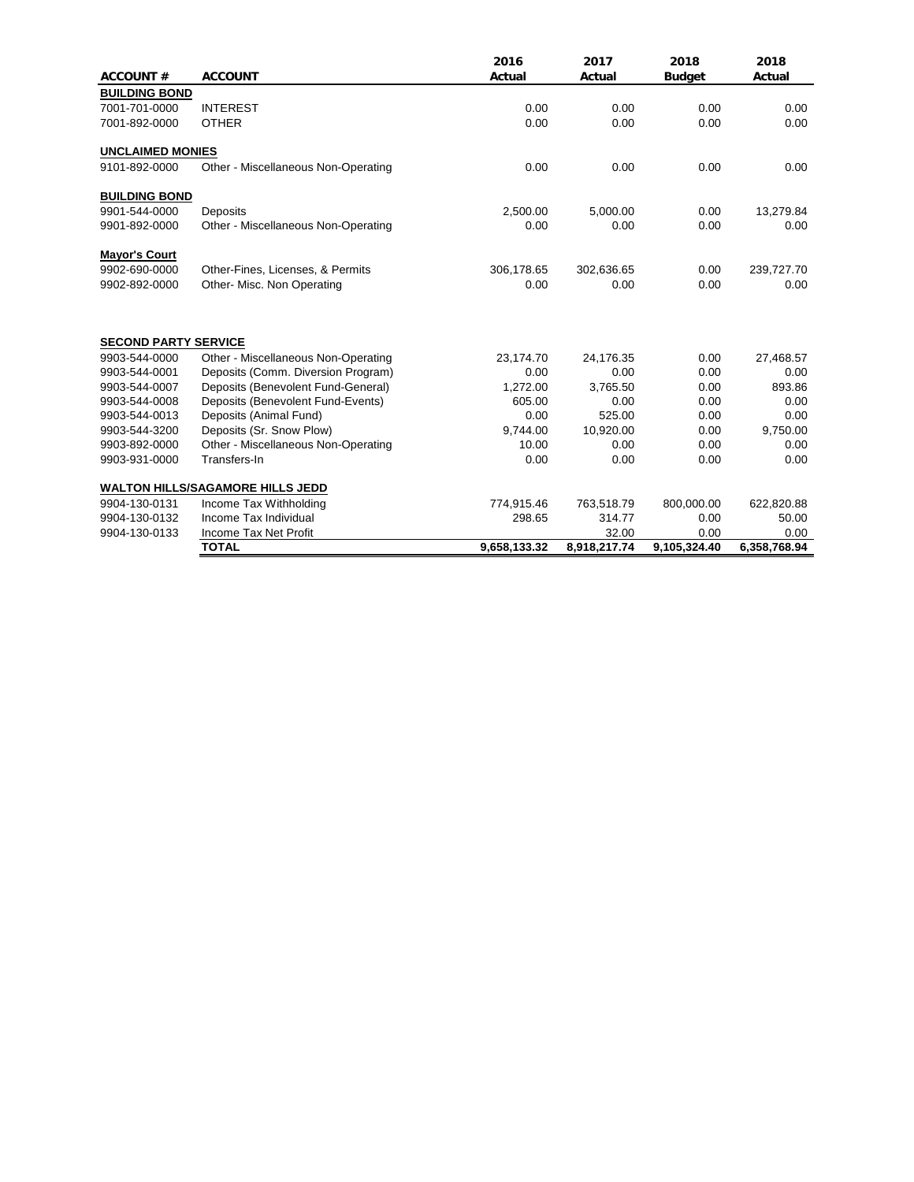|                             |                                         | 2016         | 2017         | 2018          | 2018         |
|-----------------------------|-----------------------------------------|--------------|--------------|---------------|--------------|
| <b>ACCOUNT#</b>             | <b>ACCOUNT</b>                          | Actual       | Actual       | <b>Budget</b> | Actual       |
| <b>BUILDING BOND</b>        |                                         |              |              |               |              |
| 7001-701-0000               | <b>INTEREST</b>                         | 0.00         | 0.00         | 0.00          | 0.00         |
| 7001-892-0000               | <b>OTHER</b>                            | 0.00         | 0.00         | 0.00          | 0.00         |
| <b>UNCLAIMED MONIES</b>     |                                         |              |              |               |              |
| 9101-892-0000               | Other - Miscellaneous Non-Operating     | 0.00         | 0.00         | 0.00          | 0.00         |
| <b>BUILDING BOND</b>        |                                         |              |              |               |              |
| 9901-544-0000               | Deposits                                | 2,500.00     | 5,000.00     | 0.00          | 13,279.84    |
| 9901-892-0000               | Other - Miscellaneous Non-Operating     | 0.00         | 0.00         | 0.00          | 0.00         |
| <b>Mayor's Court</b>        |                                         |              |              |               |              |
| 9902-690-0000               | Other-Fines, Licenses, & Permits        | 306,178.65   | 302,636.65   | 0.00          | 239,727.70   |
| 9902-892-0000               | Other- Misc. Non Operating              | 0.00         | 0.00         | 0.00          | 0.00         |
| <b>SECOND PARTY SERVICE</b> |                                         |              |              |               |              |
| 9903-544-0000               | Other - Miscellaneous Non-Operating     | 23,174.70    | 24,176.35    | 0.00          | 27,468.57    |
| 9903-544-0001               | Deposits (Comm. Diversion Program)      | 0.00         | 0.00         | 0.00          | 0.00         |
| 9903-544-0007               | Deposits (Benevolent Fund-General)      | 1,272.00     | 3,765.50     | 0.00          | 893.86       |
| 9903-544-0008               | Deposits (Benevolent Fund-Events)       | 605.00       | 0.00         | 0.00          | 0.00         |
| 9903-544-0013               | Deposits (Animal Fund)                  | 0.00         | 525.00       | 0.00          | 0.00         |
| 9903-544-3200               | Deposits (Sr. Snow Plow)                | 9,744.00     | 10,920.00    | 0.00          | 9,750.00     |
| 9903-892-0000               | Other - Miscellaneous Non-Operating     | 10.00        | 0.00         | 0.00          | 0.00         |
| 9903-931-0000               | Transfers-In                            | 0.00         | 0.00         | 0.00          | 0.00         |
|                             | <b>WALTON HILLS/SAGAMORE HILLS JEDD</b> |              |              |               |              |
| 9904-130-0131               | Income Tax Withholding                  | 774,915.46   | 763,518.79   | 800,000.00    | 622,820.88   |
| 9904-130-0132               | Income Tax Individual                   | 298.65       | 314.77       | 0.00          | 50.00        |
| 9904-130-0133               | Income Tax Net Profit                   |              | 32.00        | 0.00          | 0.00         |
|                             | <b>TOTAL</b>                            | 9,658,133.32 | 8,918,217.74 | 9,105,324.40  | 6,358,768.94 |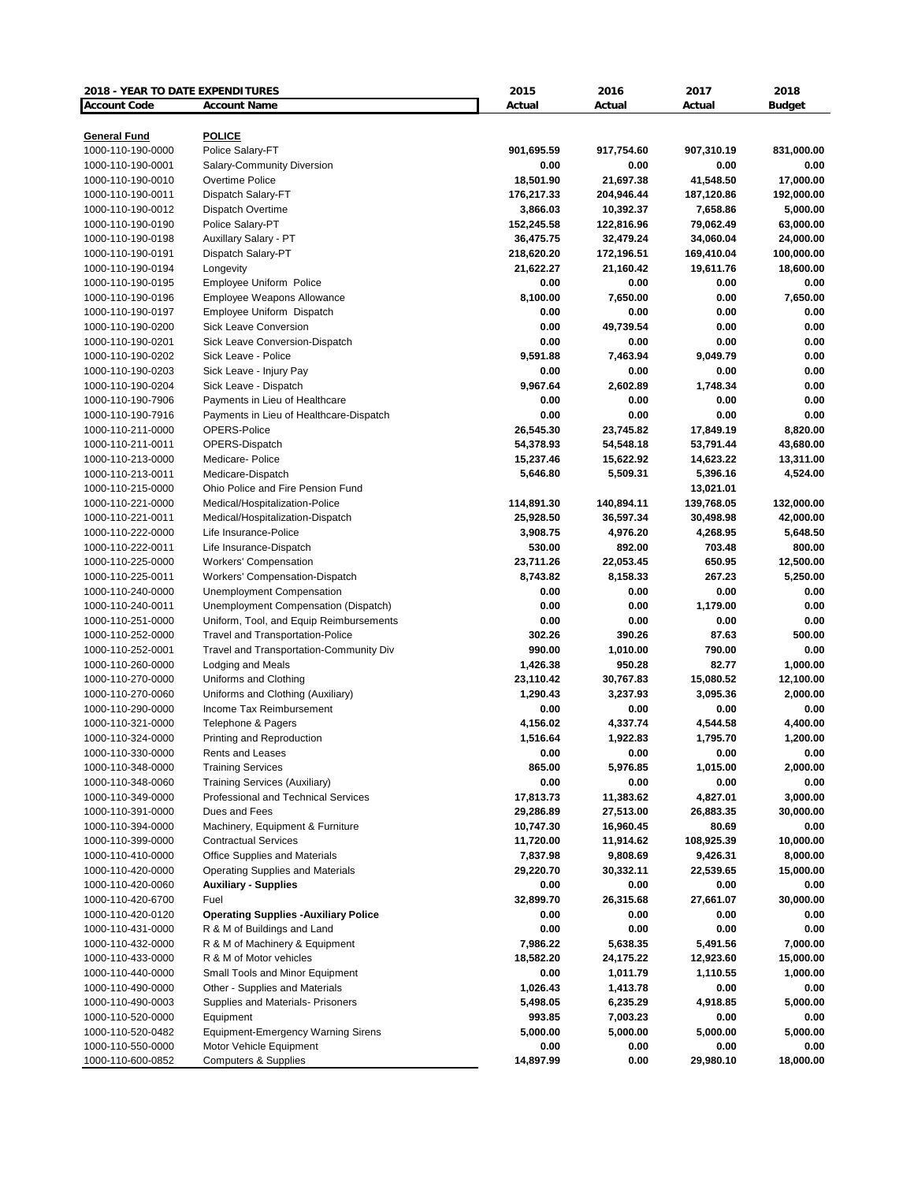| 2018 - YEAR TO DATE EXPENDITURES |                                                     | 2015       | 2016       | 2017       | 2018          |
|----------------------------------|-----------------------------------------------------|------------|------------|------------|---------------|
| <b>Account Code</b>              | <b>Account Name</b>                                 | Actual     | Actual     | Actual     | <b>Budget</b> |
|                                  |                                                     |            |            |            |               |
| <b>General Fund</b>              | <b>POLICE</b>                                       |            |            |            |               |
| 1000-110-190-0000                | Police Salary-FT                                    | 901,695.59 | 917,754.60 | 907,310.19 | 831,000.00    |
| 1000-110-190-0001                | Salary-Community Diversion                          | 0.00       | 0.00       | 0.00       | 0.00          |
| 1000-110-190-0010                | Overtime Police                                     | 18,501.90  | 21,697.38  | 41,548.50  | 17,000.00     |
| 1000-110-190-0011                | Dispatch Salary-FT                                  | 176,217.33 | 204,946.44 | 187,120.86 | 192,000.00    |
| 1000-110-190-0012                | Dispatch Overtime                                   | 3,866.03   | 10,392.37  | 7,658.86   | 5,000.00      |
| 1000-110-190-0190                | Police Salary-PT                                    | 152,245.58 | 122,816.96 | 79,062.49  | 63,000.00     |
| 1000-110-190-0198                | Auxillary Salary - PT                               | 36,475.75  | 32,479.24  | 34,060.04  | 24,000.00     |
| 1000-110-190-0191                | Dispatch Salary-PT                                  | 218,620.20 | 172,196.51 | 169,410.04 | 100,000.00    |
| 1000-110-190-0194                | Longevity                                           | 21,622.27  | 21,160.42  | 19,611.76  | 18,600.00     |
| 1000-110-190-0195                | Employee Uniform Police                             | 0.00       | 0.00       | 0.00       | 0.00          |
| 1000-110-190-0196                | <b>Employee Weapons Allowance</b>                   | 8,100.00   | 7,650.00   | 0.00       | 7,650.00      |
| 1000-110-190-0197                | Employee Uniform Dispatch                           | 0.00       | 0.00       | 0.00       | 0.00          |
| 1000-110-190-0200                | <b>Sick Leave Conversion</b>                        | 0.00       | 49,739.54  | 0.00       | 0.00          |
| 1000-110-190-0201                | Sick Leave Conversion-Dispatch                      | 0.00       | 0.00       | 0.00       | 0.00          |
| 1000-110-190-0202                | Sick Leave - Police                                 | 9,591.88   | 7,463.94   | 9,049.79   | 0.00          |
| 1000-110-190-0203                | Sick Leave - Injury Pay                             | 0.00       | 0.00       | 0.00       | 0.00          |
| 1000-110-190-0204                | Sick Leave - Dispatch                               | 9,967.64   | 2,602.89   | 1,748.34   | 0.00          |
| 1000-110-190-7906                | Payments in Lieu of Healthcare                      | 0.00       | 0.00       | 0.00       | 0.00          |
| 1000-110-190-7916                | Payments in Lieu of Healthcare-Dispatch             | 0.00       | 0.00       | 0.00       | 0.00          |
| 1000-110-211-0000                | <b>OPERS-Police</b>                                 | 26,545.30  | 23,745.82  | 17,849.19  | 8,820.00      |
| 1000-110-211-0011                | OPERS-Dispatch                                      | 54,378.93  | 54,548.18  | 53,791.44  | 43,680.00     |
| 1000-110-213-0000                | Medicare-Police                                     | 15,237.46  | 15,622.92  | 14,623.22  | 13,311.00     |
| 1000-110-213-0011                | Medicare-Dispatch                                   | 5,646.80   | 5,509.31   | 5,396.16   | 4,524.00      |
| 1000-110-215-0000                | Ohio Police and Fire Pension Fund                   |            |            | 13,021.01  |               |
| 1000-110-221-0000                | Medical/Hospitalization-Police                      | 114,891.30 | 140,894.11 | 139,768.05 | 132,000.00    |
| 1000-110-221-0011                | Medical/Hospitalization-Dispatch                    | 25,928.50  | 36,597.34  | 30,498.98  | 42,000.00     |
| 1000-110-222-0000                | Life Insurance-Police                               | 3,908.75   | 4,976.20   | 4,268.95   | 5,648.50      |
| 1000-110-222-0011                | Life Insurance-Dispatch                             | 530.00     | 892.00     | 703.48     | 800.00        |
| 1000-110-225-0000                | <b>Workers' Compensation</b>                        | 23,711.26  | 22,053.45  | 650.95     | 12,500.00     |
| 1000-110-225-0011                | Workers' Compensation-Dispatch                      | 8,743.82   | 8,158.33   | 267.23     | 5,250.00      |
| 1000-110-240-0000                | <b>Unemployment Compensation</b>                    | 0.00       | 0.00       | 0.00       | 0.00          |
| 1000-110-240-0011                | Unemployment Compensation (Dispatch)                | 0.00       | 0.00       | 1,179.00   | 0.00          |
| 1000-110-251-0000                | Uniform, Tool, and Equip Reimbursements             | 0.00       | 0.00       | 0.00       | 0.00          |
| 1000-110-252-0000                | <b>Travel and Transportation-Police</b>             | 302.26     | 390.26     | 87.63      | 500.00        |
| 1000-110-252-0001                | Travel and Transportation-Community Div             | 990.00     | 1,010.00   | 790.00     | 0.00          |
| 1000-110-260-0000                | Lodging and Meals                                   | 1,426.38   | 950.28     | 82.77      | 1,000.00      |
| 1000-110-270-0000                | Uniforms and Clothing                               | 23,110.42  | 30,767.83  | 15,080.52  | 12,100.00     |
| 1000-110-270-0060                | Uniforms and Clothing (Auxiliary)                   | 1,290.43   | 3,237.93   | 3,095.36   | 2,000.00      |
| 1000-110-290-0000                | Income Tax Reimbursement                            | 0.00       | 0.00       | 0.00       | 0.00          |
| 1000-110-321-0000                | Telephone & Pagers                                  | 4,156.02   | 4,337.74   | 4,544.58   | 4,400.00      |
| 1000-110-324-0000                | Printing and Reproduction                           | 1,516.64   | 1,922.83   | 1,795.70   | 1,200.00      |
| 1000-110-330-0000                | Rents and Leases                                    | 0.00       | 0.00       | 0.00       | 0.00          |
| 1000-110-348-0000                | <b>Training Services</b>                            | 865.00     | 5,976.85   | 1,015.00   | 2,000.00      |
| 1000-110-348-0060                | Training Services (Auxiliary)                       | 0.00       | 0.00       | 0.00       | 0.00          |
| 1000-110-349-0000                | Professional and Technical Services                 | 17,813.73  | 11,383.62  | 4,827.01   | 3,000.00      |
| 1000-110-391-0000                | Dues and Fees                                       | 29,286.89  | 27,513.00  | 26,883.35  | 30,000.00     |
| 1000-110-394-0000                | Machinery, Equipment & Furniture                    | 10,747.30  | 16,960.45  | 80.69      | 0.00          |
| 1000-110-399-0000                | <b>Contractual Services</b>                         | 11,720.00  | 11,914.62  | 108,925.39 | 10,000.00     |
| 1000-110-410-0000                | <b>Office Supplies and Materials</b>                | 7,837.98   |            | 9,426.31   | 8,000.00      |
| 1000-110-420-0000                | <b>Operating Supplies and Materials</b>             | 29,220.70  | 9,808.69   |            |               |
|                                  |                                                     |            | 30,332.11  | 22,539.65  | 15,000.00     |
| 1000-110-420-0060                | <b>Auxiliary - Supplies</b>                         | 0.00       | 0.00       | 0.00       | 0.00          |
| 1000-110-420-6700                | Fuel<br><b>Operating Supplies -Auxiliary Police</b> | 32,899.70  | 26,315.68  | 27,661.07  | 30,000.00     |
| 1000-110-420-0120                |                                                     | 0.00       | 0.00       | 0.00       | 0.00          |
| 1000-110-431-0000                | R & M of Buildings and Land                         | 0.00       | 0.00       | 0.00       | 0.00          |
| 1000-110-432-0000                | R & M of Machinery & Equipment                      | 7,986.22   | 5,638.35   | 5,491.56   | 7,000.00      |
| 1000-110-433-0000                | R & M of Motor vehicles                             | 18,582.20  | 24,175.22  | 12,923.60  | 15,000.00     |
| 1000-110-440-0000                | Small Tools and Minor Equipment                     | 0.00       | 1,011.79   | 1,110.55   | 1,000.00      |
| 1000-110-490-0000                | Other - Supplies and Materials                      | 1,026.43   | 1,413.78   | 0.00       | 0.00          |
| 1000-110-490-0003                | Supplies and Materials- Prisoners                   | 5,498.05   | 6,235.29   | 4,918.85   | 5,000.00      |
| 1000-110-520-0000                | Equipment                                           | 993.85     | 7,003.23   | 0.00       | 0.00          |
| 1000-110-520-0482                | <b>Equipment-Emergency Warning Sirens</b>           | 5,000.00   | 5,000.00   | 5,000.00   | 5,000.00      |
| 1000-110-550-0000                | Motor Vehicle Equipment                             | 0.00       | 0.00       | 0.00       | 0.00          |
| 1000-110-600-0852                | <b>Computers &amp; Supplies</b>                     | 14,897.99  | 0.00       | 29,980.10  | 18,000.00     |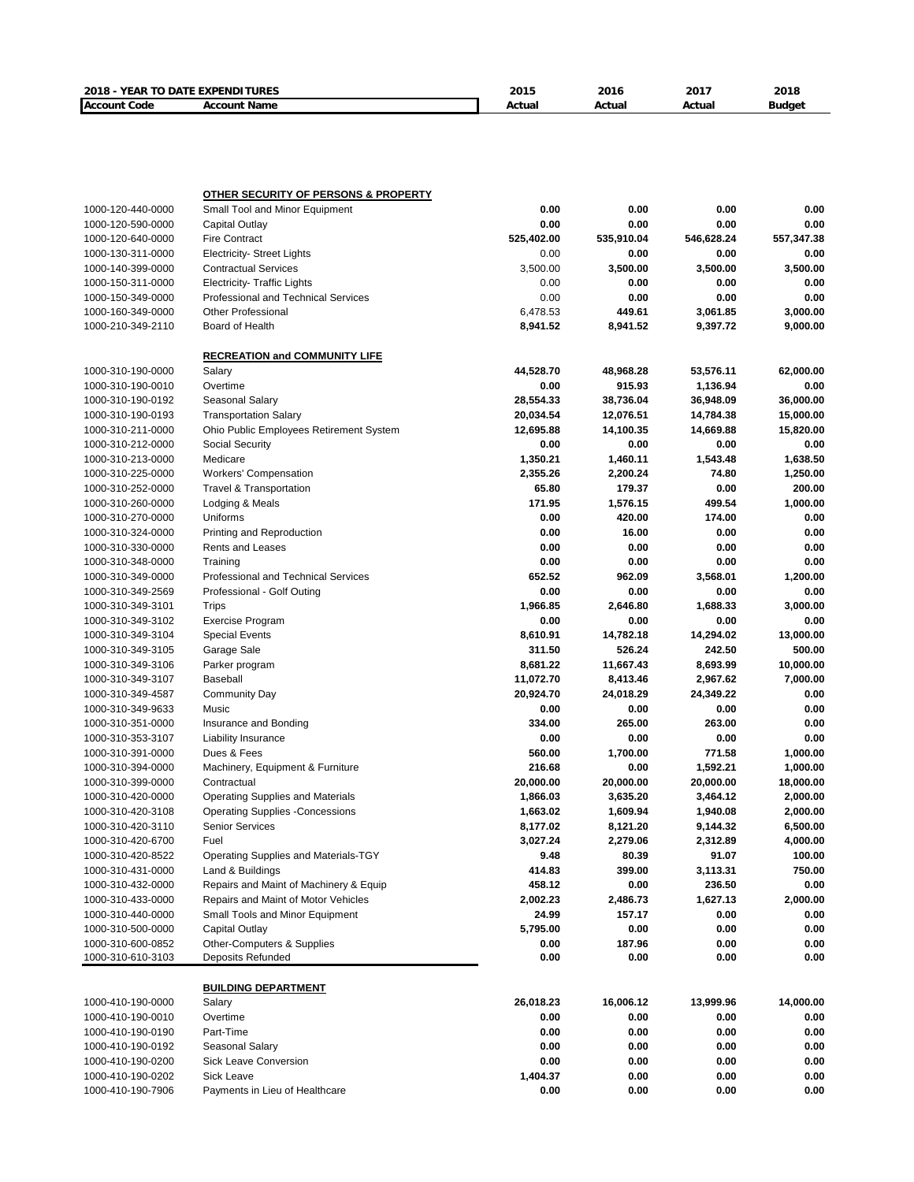| 2018 - YEAR TO DATE EXPENDITURES |                                                 | 2015       | 2016       | 2017       | 2018          |
|----------------------------------|-------------------------------------------------|------------|------------|------------|---------------|
| <b>Account Code</b>              | <b>Account Name</b>                             | Actual     | Actual     | Actual     | <b>Budget</b> |
|                                  |                                                 |            |            |            |               |
|                                  |                                                 |            |            |            |               |
|                                  |                                                 |            |            |            |               |
|                                  |                                                 |            |            |            |               |
|                                  |                                                 |            |            |            |               |
|                                  | <b>OTHER SECURITY OF PERSONS &amp; PROPERTY</b> |            |            |            |               |
| 1000-120-440-0000                | Small Tool and Minor Equipment                  | 0.00       | 0.00       | 0.00       | 0.00          |
| 1000-120-590-0000                | Capital Outlay                                  | 0.00       | 0.00       | 0.00       | 0.00          |
| 1000-120-640-0000                | <b>Fire Contract</b>                            | 525,402.00 | 535,910.04 | 546,628.24 | 557,347.38    |
| 1000-130-311-0000                | <b>Electricity- Street Lights</b>               | 0.00       | 0.00       | 0.00       | 0.00          |
| 1000-140-399-0000                | <b>Contractual Services</b>                     | 3,500.00   | 3,500.00   | 3,500.00   | 3,500.00      |
| 1000-150-311-0000                |                                                 | 0.00       | 0.00       | 0.00       | 0.00          |
|                                  | <b>Electricity- Traffic Lights</b>              |            |            |            |               |
| 1000-150-349-0000                | Professional and Technical Services             | 0.00       | 0.00       | 0.00       | 0.00          |
| 1000-160-349-0000                | <b>Other Professional</b><br>Board of Health    | 6,478.53   | 449.61     | 3,061.85   | 3,000.00      |
| 1000-210-349-2110                |                                                 | 8,941.52   | 8,941.52   | 9,397.72   | 9,000.00      |
|                                  | <b>RECREATION and COMMUNITY LIFE</b>            |            |            |            |               |
|                                  |                                                 |            |            |            |               |
| 1000-310-190-0000                | Salary                                          | 44,528.70  | 48,968.28  | 53,576.11  | 62,000.00     |
| 1000-310-190-0010                | Overtime                                        | 0.00       | 915.93     | 1,136.94   | 0.00          |
| 1000-310-190-0192                | Seasonal Salary                                 | 28,554.33  | 38,736.04  | 36,948.09  | 36,000.00     |
| 1000-310-190-0193                | <b>Transportation Salary</b>                    | 20,034.54  | 12,076.51  | 14,784.38  | 15,000.00     |
| 1000-310-211-0000                | Ohio Public Employees Retirement System         | 12,695.88  | 14,100.35  | 14,669.88  | 15,820.00     |
| 1000-310-212-0000                | Social Security                                 | 0.00       | 0.00       | 0.00       | 0.00          |
| 1000-310-213-0000                | Medicare                                        | 1,350.21   | 1,460.11   | 1,543.48   | 1,638.50      |
| 1000-310-225-0000                | <b>Workers' Compensation</b>                    | 2,355.26   | 2,200.24   | 74.80      | 1,250.00      |
| 1000-310-252-0000                | Travel & Transportation                         | 65.80      | 179.37     | 0.00       | 200.00        |
| 1000-310-260-0000                | Lodging & Meals                                 | 171.95     | 1,576.15   | 499.54     | 1,000.00      |
| 1000-310-270-0000                | Uniforms                                        | 0.00       | 420.00     | 174.00     | 0.00          |
| 1000-310-324-0000                | Printing and Reproduction                       | 0.00       | 16.00      | 0.00       | 0.00          |
| 1000-310-330-0000                | Rents and Leases                                | 0.00       | 0.00       | 0.00       | 0.00          |
| 1000-310-348-0000                | Training                                        | 0.00       | 0.00       | 0.00       | 0.00          |
| 1000-310-349-0000                | Professional and Technical Services             | 652.52     | 962.09     | 3,568.01   | 1,200.00      |
| 1000-310-349-2569                | Professional - Golf Outing                      | 0.00       | 0.00       | 0.00       | 0.00          |
| 1000-310-349-3101                | <b>Trips</b>                                    | 1,966.85   | 2,646.80   | 1,688.33   | 3,000.00      |
| 1000-310-349-3102                | Exercise Program                                | 0.00       | 0.00       | 0.00       | 0.00          |
| 1000-310-349-3104                | <b>Special Events</b>                           | 8,610.91   | 14,782.18  | 14,294.02  | 13,000.00     |
| 1000-310-349-3105                | Garage Sale                                     | 311.50     | 526.24     | 242.50     | 500.00        |
| 1000-310-349-3106                | Parker program                                  | 8,681.22   | 11,667.43  | 8,693.99   | 10,000.00     |
| 1000-310-349-3107                | Baseball                                        | 11,072.70  | 8,413.46   | 2,967.62   | 7,000.00      |
| 1000-310-349-4587                | <b>Community Day</b>                            | 20,924.70  | 24,018.29  | 24,349.22  | 0.00          |
| 1000-310-349-9633                | Music                                           | 0.00       | 0.00       | 0.00       | 0.00          |
| 1000-310-351-0000                | Insurance and Bonding                           | 334.00     | 265.00     | 263.00     | 0.00          |
| 1000-310-353-3107                | <b>Liability Insurance</b>                      | 0.00       | 0.00       | 0.00       | 0.00          |
| 1000-310-391-0000                | Dues & Fees                                     | 560.00     | 1,700.00   | 771.58     | 1,000.00      |
|                                  |                                                 | 216.68     |            |            |               |
| 1000-310-394-0000                | Machinery, Equipment & Furniture                |            | 0.00       | 1,592.21   | 1,000.00      |
| 1000-310-399-0000                | Contractual                                     | 20,000.00  | 20,000.00  | 20,000.00  | 18,000.00     |
| 1000-310-420-0000                | Operating Supplies and Materials                | 1,866.03   | 3,635.20   | 3,464.12   | 2,000.00      |
| 1000-310-420-3108                | <b>Operating Supplies -Concessions</b>          | 1,663.02   | 1,609.94   | 1,940.08   | 2,000.00      |
| 1000-310-420-3110                | <b>Senior Services</b>                          | 8,177.02   | 8,121.20   | 9,144.32   | 6,500.00      |
| 1000-310-420-6700                | Fuel                                            | 3,027.24   | 2,279.06   | 2,312.89   | 4,000.00      |
| 1000-310-420-8522                | Operating Supplies and Materials-TGY            | 9.48       | 80.39      | 91.07      | 100.00        |
| 1000-310-431-0000                | Land & Buildings                                | 414.83     | 399.00     | 3,113.31   | 750.00        |
| 1000-310-432-0000                | Repairs and Maint of Machinery & Equip          | 458.12     | 0.00       | 236.50     | 0.00          |
| 1000-310-433-0000                | Repairs and Maint of Motor Vehicles             | 2,002.23   | 2,486.73   | 1,627.13   | 2,000.00      |
| 1000-310-440-0000                | Small Tools and Minor Equipment                 | 24.99      | 157.17     | 0.00       | 0.00          |
| 1000-310-500-0000                | Capital Outlay                                  | 5,795.00   | 0.00       | 0.00       | 0.00          |
| 1000-310-600-0852                | Other-Computers & Supplies                      | 0.00       | 187.96     | 0.00       | 0.00          |
| 1000-310-610-3103                | Deposits Refunded                               | 0.00       | 0.00       | 0.00       | 0.00          |
|                                  |                                                 |            |            |            |               |
|                                  | <b>BUILDING DEPARTMENT</b>                      |            |            |            |               |
| 1000-410-190-0000                | Salary                                          | 26,018.23  | 16,006.12  | 13,999.96  | 14,000.00     |
| 1000-410-190-0010                | Overtime                                        | 0.00       | 0.00       | 0.00       | 0.00          |
| 1000-410-190-0190                | Part-Time                                       | 0.00       | 0.00       | 0.00       | 0.00          |
| 1000-410-190-0192                | Seasonal Salary                                 | 0.00       | 0.00       | 0.00       | 0.00          |
| 1000-410-190-0200                | <b>Sick Leave Conversion</b>                    | 0.00       | 0.00       | 0.00       | 0.00          |
| 1000-410-190-0202                | Sick Leave                                      | 1,404.37   | 0.00       | 0.00       | 0.00          |
| 1000-410-190-7906                | Payments in Lieu of Healthcare                  | 0.00       | 0.00       | 0.00       | 0.00          |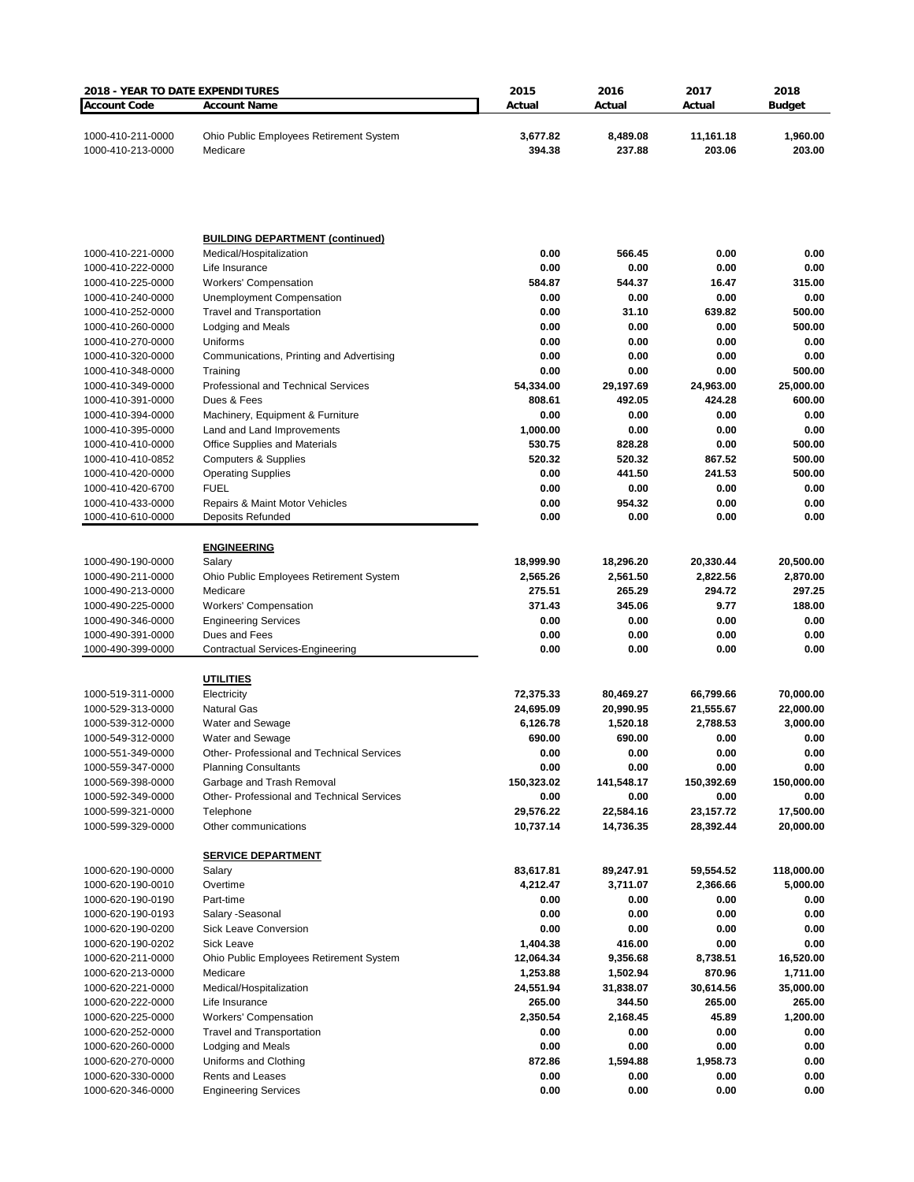| 2018 - YEAR TO DATE EXPENDITURES       |                                                           | 2015                  | 2016                | 2017                | 2018                |
|----------------------------------------|-----------------------------------------------------------|-----------------------|---------------------|---------------------|---------------------|
| <b>Account Code</b>                    | <b>Account Name</b>                                       | Actual                | Actual              | Actual              | <b>Budget</b>       |
| 1000-410-211-0000<br>1000-410-213-0000 | Ohio Public Employees Retirement System<br>Medicare       | 3,677.82<br>394.38    | 8,489.08<br>237.88  | 11,161.18<br>203.06 | 1,960.00<br>203.00  |
|                                        |                                                           |                       |                     |                     |                     |
|                                        | <b>BUILDING DEPARTMENT (continued)</b>                    |                       |                     |                     |                     |
| 1000-410-221-0000                      | Medical/Hospitalization                                   | 0.00                  | 566.45              | 0.00                | 0.00                |
| 1000-410-222-0000                      | Life Insurance                                            | 0.00                  | 0.00                | 0.00                | 0.00                |
| 1000-410-225-0000<br>1000-410-240-0000 | <b>Workers' Compensation</b><br>Unemployment Compensation | 584.87<br>0.00        | 544.37<br>0.00      | 16.47<br>0.00       | 315.00<br>0.00      |
| 1000-410-252-0000                      | <b>Travel and Transportation</b>                          | 0.00                  | 31.10               | 639.82              | 500.00              |
| 1000-410-260-0000                      | Lodging and Meals                                         | 0.00                  | 0.00                | 0.00                | 500.00              |
| 1000-410-270-0000                      | Uniforms                                                  | 0.00                  | 0.00                | 0.00                | 0.00                |
| 1000-410-320-0000                      | Communications, Printing and Advertising                  | 0.00                  | 0.00                | 0.00                | 0.00                |
| 1000-410-348-0000                      | Training                                                  | 0.00                  | 0.00                | 0.00                | 500.00              |
| 1000-410-349-0000                      | Professional and Technical Services<br>Dues & Fees        | 54,334.00<br>808.61   | 29,197.69<br>492.05 | 24,963.00<br>424.28 | 25,000.00<br>600.00 |
| 1000-410-391-0000<br>1000-410-394-0000 | Machinery, Equipment & Furniture                          | 0.00                  | 0.00                | 0.00                | 0.00                |
| 1000-410-395-0000                      | Land and Land Improvements                                | 1,000.00              | 0.00                | 0.00                | 0.00                |
| 1000-410-410-0000                      | <b>Office Supplies and Materials</b>                      | 530.75                | 828.28              | 0.00                | 500.00              |
| 1000-410-410-0852                      | <b>Computers &amp; Supplies</b>                           | 520.32                | 520.32              | 867.52              | 500.00              |
| 1000-410-420-0000                      | <b>Operating Supplies</b>                                 | 0.00                  | 441.50              | 241.53              | 500.00              |
| 1000-410-420-6700                      | <b>FUEL</b>                                               | 0.00                  | 0.00                | 0.00                | 0.00                |
| 1000-410-433-0000                      | Repairs & Maint Motor Vehicles                            | 0.00                  | 954.32              | 0.00                | 0.00                |
| 1000-410-610-0000                      | Deposits Refunded                                         | 0.00                  | 0.00                | 0.00                | 0.00                |
|                                        | <b>ENGINEERING</b>                                        |                       |                     |                     |                     |
| 1000-490-190-0000                      | Salary                                                    | 18,999.90             | 18,296.20           | 20,330.44           | 20,500.00           |
| 1000-490-211-0000                      | Ohio Public Employees Retirement System                   | 2,565.26              | 2,561.50            | 2,822.56            | 2,870.00            |
| 1000-490-213-0000                      | Medicare                                                  | 275.51                | 265.29              | 294.72              | 297.25              |
| 1000-490-225-0000                      | <b>Workers' Compensation</b>                              | 371.43                | 345.06              | 9.77                | 188.00              |
| 1000-490-346-0000                      | <b>Engineering Services</b><br>Dues and Fees              | 0.00<br>0.00          | 0.00<br>0.00        | 0.00<br>0.00        | 0.00<br>0.00        |
| 1000-490-391-0000<br>1000-490-399-0000 | <b>Contractual Services-Engineering</b>                   | 0.00                  | 0.00                | 0.00                | 0.00                |
|                                        |                                                           |                       |                     |                     |                     |
|                                        | <b>UTILITIES</b>                                          |                       |                     |                     |                     |
| 1000-519-311-0000                      | Electricity                                               | 72,375.33             | 80,469.27           | 66,799.66           | 70,000.00           |
| 1000-529-313-0000                      | <b>Natural Gas</b>                                        | 24,695.09             | 20,990.95           | 21,555.67           | 22,000.00           |
| 1000-539-312-0000<br>1000-549-312-0000 | Water and Sewage<br>Water and Sewage                      | 6,126.78<br>690.00    | 1,520.18<br>690.00  | 2,788.53<br>0.00    | 3,000.00<br>0.00    |
| 1000-551-349-0000                      | Other-Professional and Technical Services                 | $0.00\,$              | 0.00                | 0.00                | 0.00                |
| 1000-559-347-0000                      | <b>Planning Consultants</b>                               | 0.00                  | 0.00                | 0.00                | 0.00                |
| 1000-569-398-0000                      | Garbage and Trash Removal                                 | 150,323.02            | 141,548.17          | 150,392.69          | 150,000.00          |
| 1000-592-349-0000                      | Other- Professional and Technical Services                | 0.00                  | 0.00                | 0.00                | 0.00                |
| 1000-599-321-0000                      | Telephone                                                 | 29,576.22             | 22,584.16           | 23,157.72           | 17,500.00           |
| 1000-599-329-0000                      | Other communications                                      | 10,737.14             | 14,736.35           | 28,392.44           | 20,000.00           |
|                                        | <b>SERVICE DEPARTMENT</b>                                 |                       |                     |                     |                     |
| 1000-620-190-0000                      | Salary                                                    | 83,617.81             | 89,247.91           | 59,554.52           | 118,000.00          |
| 1000-620-190-0010                      | Overtime                                                  | 4,212.47              | 3,711.07            | 2,366.66            | 5,000.00            |
| 1000-620-190-0190                      | Part-time                                                 | 0.00                  | 0.00                | 0.00                | 0.00                |
| 1000-620-190-0193                      | Salary - Seasonal                                         | 0.00                  | 0.00                | 0.00                | 0.00                |
| 1000-620-190-0200                      | <b>Sick Leave Conversion</b><br>Sick Leave                | 0.00                  | 0.00                | 0.00                | 0.00<br>0.00        |
| 1000-620-190-0202<br>1000-620-211-0000 | Ohio Public Employees Retirement System                   | 1,404.38<br>12,064.34 | 416.00<br>9,356.68  | 0.00<br>8,738.51    | 16,520.00           |
| 1000-620-213-0000                      | Medicare                                                  | 1,253.88              | 1,502.94            | 870.96              | 1,711.00            |
| 1000-620-221-0000                      | Medical/Hospitalization                                   | 24,551.94             | 31,838.07           | 30,614.56           | 35,000.00           |
| 1000-620-222-0000                      | Life Insurance                                            | 265.00                | 344.50              | 265.00              | 265.00              |
| 1000-620-225-0000                      | <b>Workers' Compensation</b>                              | 2,350.54              | 2,168.45            | 45.89               | 1,200.00            |
| 1000-620-252-0000                      | <b>Travel and Transportation</b>                          | 0.00                  | 0.00                | 0.00                | 0.00                |
| 1000-620-260-0000                      | Lodging and Meals                                         | 0.00                  | 0.00                | 0.00                | 0.00                |
| 1000-620-270-0000                      | Uniforms and Clothing                                     | 872.86                | 1,594.88            | 1,958.73            | 0.00                |
| 1000-620-330-0000                      | <b>Rents and Leases</b>                                   | 0.00                  | 0.00                | 0.00                | 0.00                |
| 1000-620-346-0000                      | <b>Engineering Services</b>                               | 0.00                  | 0.00                | 0.00                | 0.00                |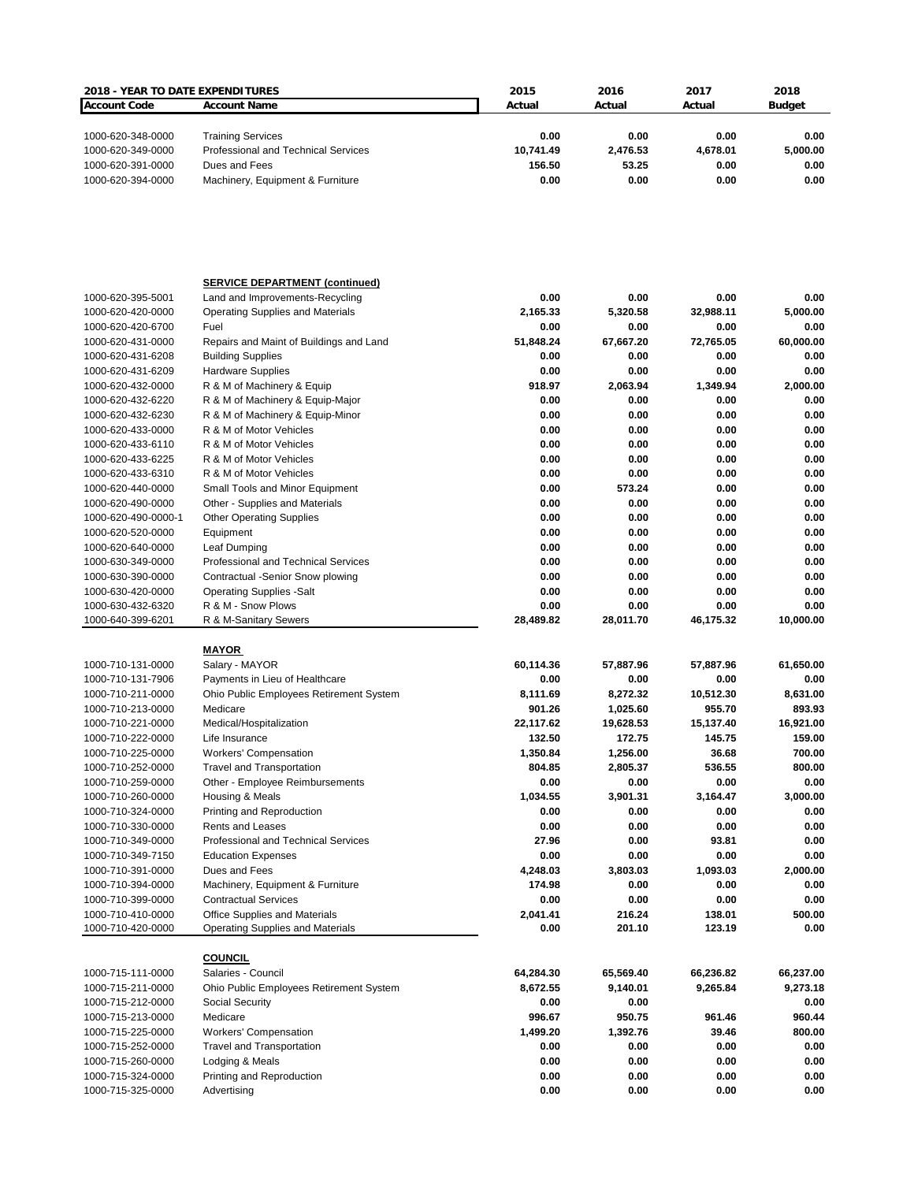| <b>2018 - YEAR TO DATE EXPENDITURES</b>  |                                                                   | 2015             | 2016             | 2017          | 2018           |
|------------------------------------------|-------------------------------------------------------------------|------------------|------------------|---------------|----------------|
| <b>Account Code</b>                      | <b>Account Name</b>                                               | Actual           | Actual           | Actual        | <b>Budget</b>  |
|                                          |                                                                   |                  |                  |               |                |
| 1000-620-348-0000                        | <b>Training Services</b>                                          | 0.00             | 0.00             | 0.00          | 0.00           |
| 1000-620-349-0000                        | Professional and Technical Services                               | 10,741.49        | 2,476.53         | 4,678.01      | 5,000.00       |
| 1000-620-391-0000                        | Dues and Fees                                                     | 156.50           | 53.25            | 0.00          | 0.00           |
| 1000-620-394-0000                        | Machinery, Equipment & Furniture                                  | 0.00             | 0.00             | 0.00          | 0.00           |
|                                          |                                                                   |                  |                  |               |                |
|                                          | <b>SERVICE DEPARTMENT (continued)</b>                             |                  |                  |               |                |
| 1000-620-395-5001                        | Land and Improvements-Recycling                                   | 0.00             | 0.00             | 0.00          | 0.00           |
| 1000-620-420-0000                        | <b>Operating Supplies and Materials</b>                           | 2,165.33         | 5,320.58         | 32,988.11     | 5,000.00       |
| 1000-620-420-6700                        | Fuel                                                              | 0.00             | 0.00             | 0.00          | 0.00           |
| 1000-620-431-0000                        | Repairs and Maint of Buildings and Land                           | 51,848.24        | 67,667.20        | 72,765.05     | 60,000.00      |
| 1000-620-431-6208                        | <b>Building Supplies</b>                                          | 0.00             | 0.00             | 0.00          | 0.00           |
| 1000-620-431-6209                        | <b>Hardware Supplies</b>                                          | 0.00             | 0.00             | 0.00          | 0.00           |
| 1000-620-432-0000                        | R & M of Machinery & Equip                                        | 918.97           | 2,063.94         | 1,349.94      | 2,000.00       |
| 1000-620-432-6220                        | R & M of Machinery & Equip-Major                                  | 0.00             | 0.00             | 0.00          | 0.00           |
| 1000-620-432-6230                        | R & M of Machinery & Equip-Minor                                  | 0.00             | 0.00             | 0.00          | 0.00           |
| 1000-620-433-0000                        | R & M of Motor Vehicles                                           | 0.00             | 0.00             | 0.00          | 0.00           |
| 1000-620-433-6110                        | R & M of Motor Vehicles                                           | 0.00             | 0.00             | 0.00          | 0.00           |
| 1000-620-433-6225                        | R & M of Motor Vehicles                                           | 0.00             | 0.00             | 0.00          | 0.00           |
| 1000-620-433-6310                        | R & M of Motor Vehicles                                           | 0.00             | 0.00             | 0.00          | 0.00           |
| 1000-620-440-0000                        | Small Tools and Minor Equipment                                   | 0.00<br>0.00     | 573.24<br>0.00   | 0.00<br>0.00  | 0.00<br>0.00   |
| 1000-620-490-0000<br>1000-620-490-0000-1 | Other - Supplies and Materials<br><b>Other Operating Supplies</b> | 0.00             | 0.00             | 0.00          | 0.00           |
| 1000-620-520-0000                        | Equipment                                                         | 0.00             | 0.00             | 0.00          | 0.00           |
| 1000-620-640-0000                        | Leaf Dumping                                                      | 0.00             | 0.00             | 0.00          | 0.00           |
| 1000-630-349-0000                        | Professional and Technical Services                               | 0.00             | 0.00             | 0.00          | 0.00           |
| 1000-630-390-0000                        | Contractual -Senior Snow plowing                                  | 0.00             | 0.00             | 0.00          | 0.00           |
| 1000-630-420-0000                        | <b>Operating Supplies - Salt</b>                                  | 0.00             | 0.00             | 0.00          | 0.00           |
| 1000-630-432-6320                        | R & M - Snow Plows                                                | 0.00             | 0.00             | 0.00          | 0.00           |
| 1000-640-399-6201                        | R & M-Sanitary Sewers                                             | 28,489.82        | 28,011.70        | 46,175.32     | 10,000.00      |
|                                          | <b>MAYOR</b>                                                      |                  |                  |               |                |
| 1000-710-131-0000                        | Salary - MAYOR                                                    | 60,114.36        | 57,887.96        | 57,887.96     | 61,650.00      |
| 1000-710-131-7906                        | Payments in Lieu of Healthcare                                    | 0.00             | 0.00             | 0.00          | 0.00           |
| 1000-710-211-0000                        | Ohio Public Employees Retirement System                           | 8,111.69         | 8,272.32         | 10,512.30     | 8,631.00       |
| 1000-710-213-0000                        | Medicare                                                          | 901.26           | 1,025.60         | 955.70        | 893.93         |
| 1000-710-221-0000                        | Medical/Hospitalization                                           | 22,117.62        | 19,628.53        | 15,137.40     | 16,921.00      |
| 1000-710-222-0000                        | Life Insurance                                                    | 132.50           | 172.75           | 145.75        | 159.00         |
| 1000-710-225-0000                        | Workers' Compensation                                             | 1,350.84         | 1,256.00         | 36.68         | 700.00         |
| 1000-710-252-0000                        | <b>Travel and Transportation</b>                                  | 804.85           | 2,805.37         | 536.55        | 800.00         |
| 1000-710-259-0000                        | Other - Employee Reimbursements                                   | 0.00             | 0.00             | 0.00          | 0.00           |
| 1000-710-260-0000                        | Housing & Meals                                                   | 1,034.55         | 3,901.31         | 3,164.47      | 3,000.00       |
| 1000-710-324-0000                        | Printing and Reproduction                                         | 0.00             | 0.00             | 0.00          | 0.00           |
| 1000-710-330-0000                        | <b>Rents and Leases</b>                                           | 0.00             | 0.00             | 0.00          | 0.00           |
| 1000-710-349-0000<br>1000-710-349-7150   | Professional and Technical Services<br><b>Education Expenses</b>  | 27.96<br>0.00    | 0.00<br>0.00     | 93.81<br>0.00 | 0.00<br>0.00   |
| 1000-710-391-0000                        | Dues and Fees                                                     | 4,248.03         | 3,803.03         | 1,093.03      | 2,000.00       |
| 1000-710-394-0000                        | Machinery, Equipment & Furniture                                  | 174.98           | 0.00             | 0.00          | 0.00           |
| 1000-710-399-0000                        | <b>Contractual Services</b>                                       | 0.00             | 0.00             | 0.00          | 0.00           |
| 1000-710-410-0000                        | Office Supplies and Materials                                     | 2,041.41         | 216.24           | 138.01        | 500.00         |
| 1000-710-420-0000                        | <b>Operating Supplies and Materials</b>                           | 0.00             | 201.10           | 123.19        | 0.00           |
|                                          |                                                                   |                  |                  |               |                |
|                                          | <b>COUNCIL</b>                                                    |                  |                  |               |                |
| 1000-715-111-0000                        | Salaries - Council                                                | 64,284.30        | 65,569.40        | 66,236.82     | 66,237.00      |
| 1000-715-211-0000                        | Ohio Public Employees Retirement System                           | 8,672.55         | 9,140.01         | 9,265.84      | 9,273.18       |
| 1000-715-212-0000                        | Social Security                                                   | 0.00             | 0.00             |               | 0.00           |
| 1000-715-213-0000                        | Medicare                                                          | 996.67           | 950.75           | 961.46        | 960.44         |
| 1000-715-225-0000                        | <b>Workers' Compensation</b>                                      | 1,499.20<br>0.00 | 1,392.76<br>0.00 | 39.46<br>0.00 | 800.00<br>0.00 |
| 1000-715-252-0000<br>1000-715-260-0000   | <b>Travel and Transportation</b><br>Lodging & Meals               | 0.00             | 0.00             | 0.00          | 0.00           |
| 1000-715-324-0000                        | Printing and Reproduction                                         | 0.00             | 0.00             | 0.00          | 0.00           |
| 1000-715-325-0000                        | Advertising                                                       | 0.00             | 0.00             | 0.00          | 0.00           |
|                                          |                                                                   |                  |                  |               |                |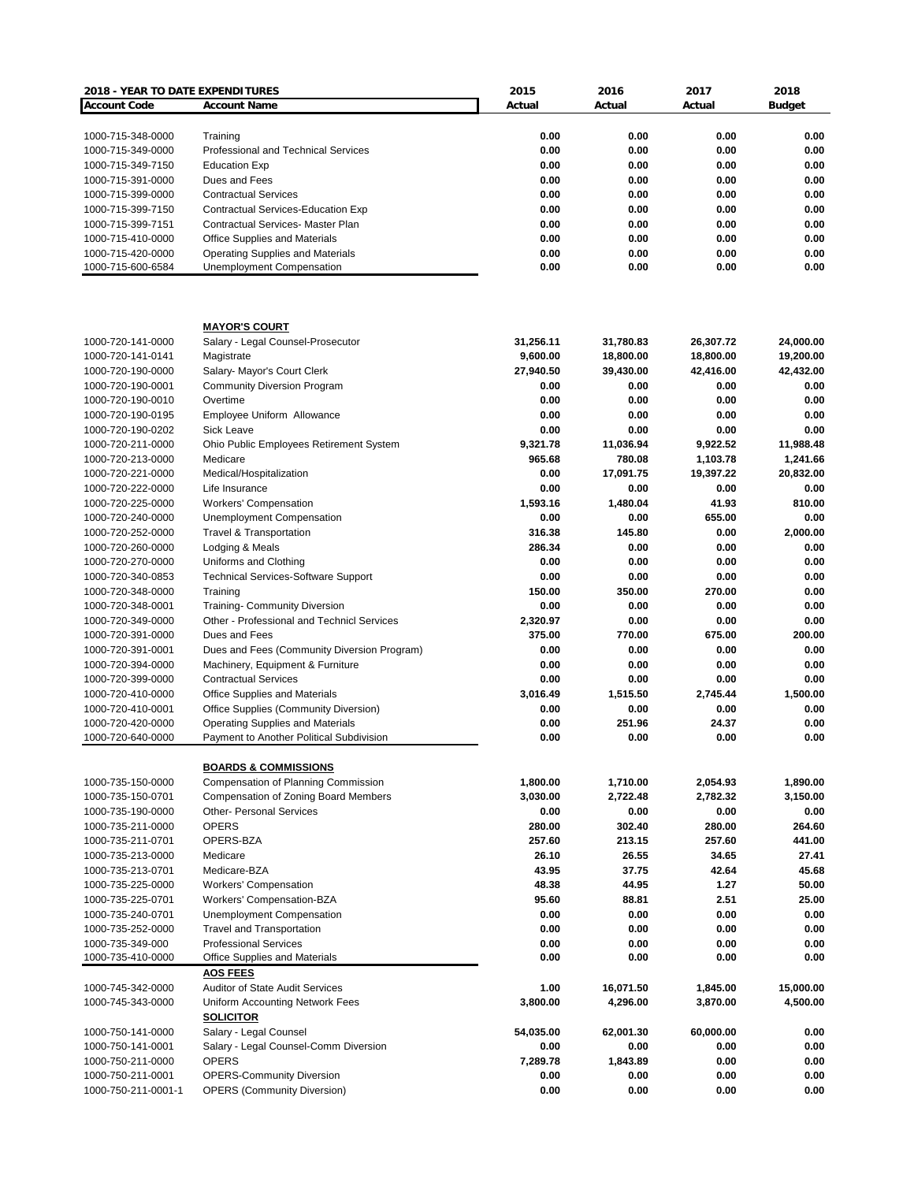| <b>2018 - YEAR TO DATE EXPENDITURES</b> |                                             | 2015      | 2016      | 2017      | 2018          |
|-----------------------------------------|---------------------------------------------|-----------|-----------|-----------|---------------|
| <b>Account Code</b>                     | <b>Account Name</b>                         | Actual    | Actual    | Actual    | <b>Budget</b> |
|                                         |                                             |           |           |           |               |
| 1000-715-348-0000                       | Training                                    | 0.00      | 0.00      | 0.00      | 0.00          |
| 1000-715-349-0000                       | Professional and Technical Services         | 0.00      | 0.00      | 0.00      | 0.00          |
| 1000-715-349-7150                       | <b>Education Exp</b>                        | 0.00      | 0.00      | 0.00      | 0.00          |
| 1000-715-391-0000                       | Dues and Fees                               | 0.00      | 0.00      | 0.00      | 0.00          |
| 1000-715-399-0000                       | <b>Contractual Services</b>                 | 0.00      | 0.00      | 0.00      | 0.00          |
| 1000-715-399-7150                       | Contractual Services-Education Exp          | 0.00      | 0.00      | 0.00      | 0.00          |
| 1000-715-399-7151                       | <b>Contractual Services- Master Plan</b>    | 0.00      | 0.00      | 0.00      | 0.00          |
| 1000-715-410-0000                       | <b>Office Supplies and Materials</b>        | 0.00      | 0.00      | 0.00      | 0.00          |
| 1000-715-420-0000                       | <b>Operating Supplies and Materials</b>     | 0.00      | 0.00      | 0.00      | 0.00          |
| 1000-715-600-6584                       | Unemployment Compensation                   | 0.00      | 0.00      | 0.00      | 0.00          |
|                                         |                                             |           |           |           |               |
|                                         | <b>MAYOR'S COURT</b>                        |           |           |           |               |
| 1000-720-141-0000                       | Salary - Legal Counsel-Prosecutor           | 31,256.11 | 31,780.83 | 26,307.72 | 24,000.00     |
| 1000-720-141-0141                       | Magistrate                                  | 9,600.00  | 18,800.00 | 18,800.00 | 19,200.00     |
| 1000-720-190-0000                       | Salary- Mayor's Court Clerk                 | 27,940.50 | 39,430.00 | 42,416.00 | 42,432.00     |
| 1000-720-190-0001                       | <b>Community Diversion Program</b>          | 0.00      | 0.00      | 0.00      | 0.00          |
| 1000-720-190-0010                       | Overtime                                    | 0.00      | 0.00      | 0.00      | 0.00          |
| 1000-720-190-0195                       | Employee Uniform Allowance                  | 0.00      | 0.00      | 0.00      | 0.00          |
| 1000-720-190-0202                       | <b>Sick Leave</b>                           | 0.00      | 0.00      | 0.00      | 0.00          |
| 1000-720-211-0000                       | Ohio Public Employees Retirement System     | 9,321.78  | 11,036.94 | 9,922.52  | 11,988.48     |
| 1000-720-213-0000                       | Medicare                                    | 965.68    | 780.08    | 1,103.78  | 1,241.66      |
| 1000-720-221-0000                       | Medical/Hospitalization                     | 0.00      | 17,091.75 | 19,397.22 | 20,832.00     |
| 1000-720-222-0000                       | Life Insurance                              | 0.00      | 0.00      | 0.00      | 0.00          |
| 1000-720-225-0000                       | <b>Workers' Compensation</b>                | 1,593.16  | 1,480.04  | 41.93     | 810.00        |
| 1000-720-240-0000                       | Unemployment Compensation                   | 0.00      | 0.00      | 655.00    | 0.00          |
| 1000-720-252-0000                       | <b>Travel &amp; Transportation</b>          | 316.38    | 145.80    | 0.00      | 2,000.00      |
| 1000-720-260-0000                       | Lodging & Meals                             | 286.34    | 0.00      | 0.00      | 0.00          |
| 1000-720-270-0000                       | Uniforms and Clothing                       | 0.00      | 0.00      | 0.00      | 0.00          |
|                                         |                                             | 0.00      | 0.00      | 0.00      | 0.00          |
| 1000-720-340-0853                       | <b>Technical Services-Software Support</b>  |           |           |           |               |
| 1000-720-348-0000                       | Training                                    | 150.00    | 350.00    | 270.00    | 0.00          |
| 1000-720-348-0001                       | <b>Training- Community Diversion</b>        | 0.00      | 0.00      | 0.00      | 0.00          |
| 1000-720-349-0000                       | Other - Professional and Technicl Services  | 2,320.97  | 0.00      | 0.00      | 0.00          |
| 1000-720-391-0000                       | Dues and Fees                               | 375.00    | 770.00    | 675.00    | 200.00        |
| 1000-720-391-0001                       | Dues and Fees (Community Diversion Program) | 0.00      | 0.00      | 0.00      | 0.00          |
| 1000-720-394-0000                       | Machinery, Equipment & Furniture            | 0.00      | 0.00      | 0.00      | 0.00          |
| 1000-720-399-0000                       | <b>Contractual Services</b>                 | 0.00      | 0.00      | 0.00      | 0.00          |
| 1000-720-410-0000                       | Office Supplies and Materials               | 3,016.49  | 1,515.50  | 2,745.44  | 1,500.00      |
| 1000-720-410-0001                       | Office Supplies (Community Diversion)       | 0.00      | 0.00      | 0.00      | 0.00          |
| 1000-720-420-0000                       | Operating Supplies and Materials            | 0.00      | 251.96    | 24.37     | 0.00          |
| 1000-720-640-0000                       | Payment to Another Political Subdivision    | 0.00      | 0.00      | 0.00      | 0.00          |
|                                         | <b>BOARDS &amp; COMMISSIONS</b>             |           |           |           |               |
| 1000-735-150-0000                       | Compensation of Planning Commission         | 1,800.00  | 1,710.00  | 2,054.93  | 1,890.00      |
| 1000-735-150-0701                       | <b>Compensation of Zoning Board Members</b> | 3,030.00  | 2,722.48  | 2,782.32  | 3,150.00      |
| 1000-735-190-0000                       | <b>Other- Personal Services</b>             | 0.00      | 0.00      | 0.00      | 0.00          |
| 1000-735-211-0000                       | <b>OPERS</b>                                | 280.00    | 302.40    | 280.00    | 264.60        |
| 1000-735-211-0701                       | OPERS-BZA                                   | 257.60    | 213.15    | 257.60    | 441.00        |
| 1000-735-213-0000                       | Medicare                                    | 26.10     | 26.55     | 34.65     | 27.41         |
| 1000-735-213-0701                       | Medicare-BZA                                | 43.95     | 37.75     | 42.64     | 45.68         |
| 1000-735-225-0000                       | <b>Workers' Compensation</b>                | 48.38     | 44.95     | 1.27      | 50.00         |
| 1000-735-225-0701                       | Workers' Compensation-BZA                   | 95.60     | 88.81     | 2.51      | 25.00         |
| 1000-735-240-0701                       | <b>Unemployment Compensation</b>            | 0.00      | 0.00      | 0.00      | 0.00          |
| 1000-735-252-0000                       | <b>Travel and Transportation</b>            | 0.00      | 0.00      | 0.00      | 0.00          |
| 1000-735-349-000                        | <b>Professional Services</b>                | 0.00      | 0.00      | 0.00      | 0.00          |
| 1000-735-410-0000                       | Office Supplies and Materials               | 0.00      | 0.00      | 0.00      | 0.00          |
|                                         | <b>AOS FEES</b>                             |           |           |           |               |
|                                         | <b>Auditor of State Audit Services</b>      | 1.00      | 16,071.50 | 1,845.00  | 15,000.00     |
| 1000-745-342-0000                       |                                             |           |           |           |               |
| 1000-745-343-0000                       | Uniform Accounting Network Fees             | 3,800.00  | 4,296.00  | 3,870.00  | 4,500.00      |
|                                         | <b>SOLICITOR</b>                            |           |           |           |               |
| 1000-750-141-0000                       | Salary - Legal Counsel                      | 54,035.00 | 62,001.30 | 60,000.00 | 0.00          |
| 1000-750-141-0001                       | Salary - Legal Counsel-Comm Diversion       | 0.00      | 0.00      | 0.00      | 0.00          |
| 1000-750-211-0000                       | <b>OPERS</b>                                | 7,289.78  | 1,843.89  | 0.00      | 0.00          |
| 1000-750-211-0001                       | <b>OPERS-Community Diversion</b>            | 0.00      | 0.00      | 0.00      | 0.00          |
| 1000-750-211-0001-1                     | <b>OPERS (Community Diversion)</b>          | 0.00      | 0.00      | 0.00      | 0.00          |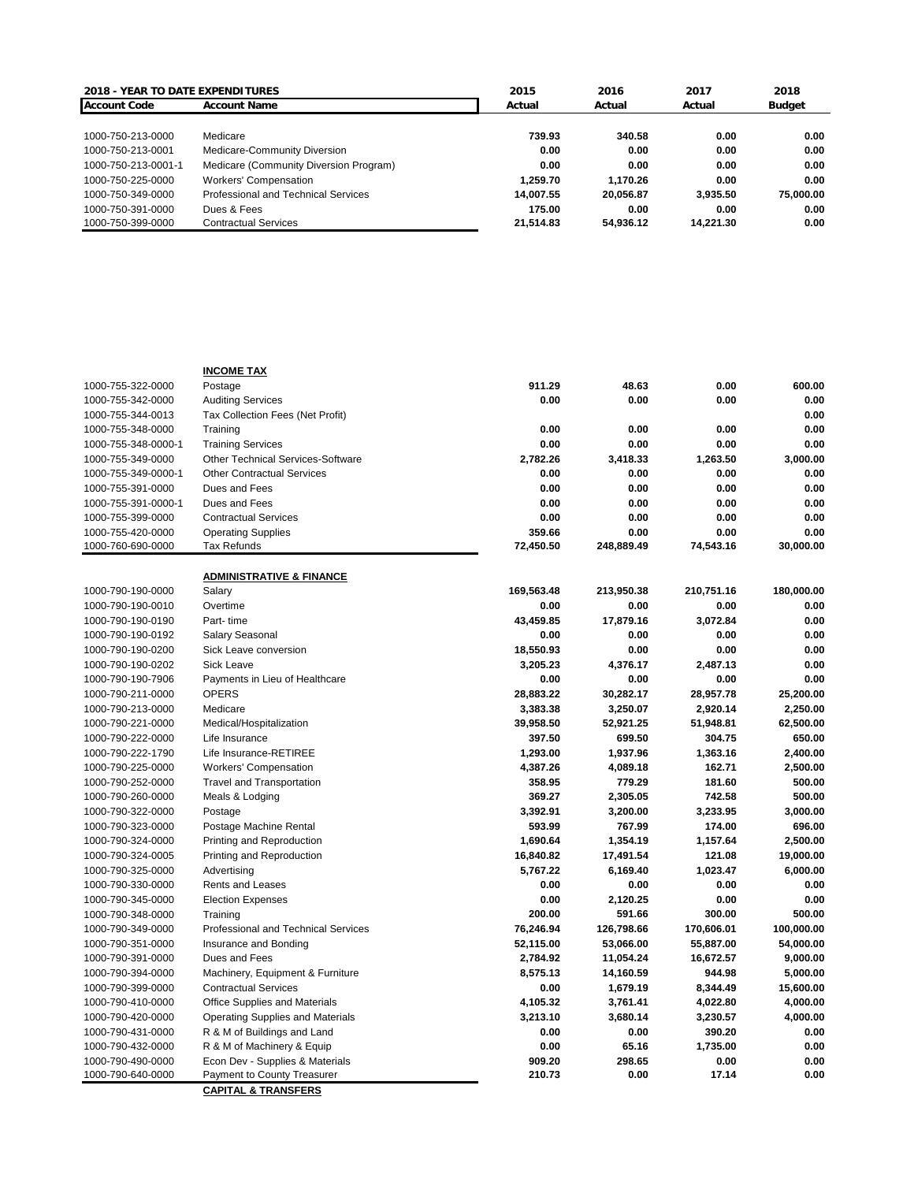| <b>2018 - YEAR TO DATE EXPENDITURES</b> |                                        | 2015      | 2016      | 2017      | 2018          |
|-----------------------------------------|----------------------------------------|-----------|-----------|-----------|---------------|
| <b>Account Code</b>                     | <b>Account Name</b>                    | Actual    | Actual    | Actual    | <b>Budget</b> |
|                                         |                                        |           |           |           |               |
| 1000-750-213-0000                       | Medicare                               | 739.93    | 340.58    | 0.00      | 0.00          |
| 1000-750-213-0001                       | Medicare-Community Diversion           | 0.00      | 0.00      | 0.00      | 0.00          |
| 1000-750-213-0001-1                     | Medicare (Community Diversion Program) | 0.00      | 0.00      | 0.00      | 0.00          |
| 1000-750-225-0000                       | <b>Workers' Compensation</b>           | 1.259.70  | 1.170.26  | 0.00      | 0.00          |
| 1000-750-349-0000                       | Professional and Technical Services    | 14.007.55 | 20.056.87 | 3.935.50  | 75,000.00     |
| 1000-750-391-0000                       | Dues & Fees                            | 175.00    | 0.00      | 0.00      | 0.00          |
| 1000-750-399-0000                       | <b>Contractual Services</b>            | 21.514.83 | 54.936.12 | 14.221.30 | 0.00          |

|                     | <b>INCOME TAX</b>                   |            |            |            |            |
|---------------------|-------------------------------------|------------|------------|------------|------------|
| 1000-755-322-0000   | Postage                             | 911.29     | 48.63      | 0.00       | 600.00     |
| 1000-755-342-0000   | <b>Auditing Services</b>            | 0.00       | 0.00       | 0.00       | 0.00       |
| 1000-755-344-0013   | Tax Collection Fees (Net Profit)    |            |            |            | 0.00       |
| 1000-755-348-0000   | Training                            | 0.00       | 0.00       | 0.00       | 0.00       |
| 1000-755-348-0000-1 | <b>Training Services</b>            | 0.00       | 0.00       | 0.00       | 0.00       |
| 1000-755-349-0000   | Other Technical Services-Software   | 2,782.26   | 3,418.33   | 1,263.50   | 3,000.00   |
| 1000-755-349-0000-1 | <b>Other Contractual Services</b>   | 0.00       | 0.00       | 0.00       | 0.00       |
| 1000-755-391-0000   | Dues and Fees                       | 0.00       | 0.00       | 0.00       | 0.00       |
| 1000-755-391-0000-1 | Dues and Fees                       | 0.00       | 0.00       | 0.00       | 0.00       |
| 1000-755-399-0000   | <b>Contractual Services</b>         | 0.00       | 0.00       | 0.00       | 0.00       |
| 1000-755-420-0000   | <b>Operating Supplies</b>           | 359.66     | 0.00       | 0.00       | 0.00       |
| 1000-760-690-0000   | <b>Tax Refunds</b>                  | 72,450.50  | 248,889.49 | 74,543.16  | 30,000.00  |
|                     |                                     |            |            |            |            |
|                     | <b>ADMINISTRATIVE &amp; FINANCE</b> |            |            |            |            |
| 1000-790-190-0000   | Salary                              | 169,563.48 | 213,950.38 | 210,751.16 | 180,000.00 |
| 1000-790-190-0010   | Overtime                            | 0.00       | 0.00       | 0.00       | 0.00       |
| 1000-790-190-0190   | Part-time                           | 43,459.85  | 17,879.16  | 3,072.84   | 0.00       |
| 1000-790-190-0192   | Salary Seasonal                     | 0.00       | 0.00       | 0.00       | 0.00       |
| 1000-790-190-0200   | Sick Leave conversion               | 18,550.93  | 0.00       | 0.00       | 0.00       |
| 1000-790-190-0202   | <b>Sick Leave</b>                   | 3,205.23   | 4,376.17   | 2,487.13   | 0.00       |
| 1000-790-190-7906   | Payments in Lieu of Healthcare      | 0.00       | 0.00       | 0.00       | 0.00       |
| 1000-790-211-0000   | <b>OPERS</b>                        | 28,883.22  | 30,282.17  | 28,957.78  | 25,200.00  |
| 1000-790-213-0000   | Medicare                            | 3,383.38   | 3,250.07   | 2,920.14   | 2,250.00   |
| 1000-790-221-0000   | Medical/Hospitalization             | 39,958.50  | 52,921.25  | 51,948.81  | 62,500.00  |
| 1000-790-222-0000   | Life Insurance                      | 397.50     | 699.50     | 304.75     | 650.00     |
| 1000-790-222-1790   | Life Insurance-RETIREE              | 1,293.00   | 1,937.96   | 1,363.16   | 2,400.00   |
| 1000-790-225-0000   | <b>Workers' Compensation</b>        | 4,387.26   | 4,089.18   | 162.71     | 2,500.00   |
| 1000-790-252-0000   | <b>Travel and Transportation</b>    | 358.95     | 779.29     | 181.60     | 500.00     |
| 1000-790-260-0000   | Meals & Lodging                     | 369.27     | 2,305.05   | 742.58     | 500.00     |
| 1000-790-322-0000   | Postage                             | 3,392.91   | 3,200.00   | 3,233.95   | 3,000.00   |
| 1000-790-323-0000   | Postage Machine Rental              | 593.99     | 767.99     | 174.00     | 696.00     |
| 1000-790-324-0000   | Printing and Reproduction           | 1,690.64   | 1,354.19   | 1,157.64   | 2,500.00   |
| 1000-790-324-0005   | Printing and Reproduction           | 16,840.82  | 17,491.54  | 121.08     | 19,000.00  |
| 1000-790-325-0000   | Advertising                         | 5,767.22   | 6,169.40   | 1,023.47   | 6,000.00   |
| 1000-790-330-0000   | Rents and Leases                    | 0.00       | 0.00       | 0.00       | 0.00       |
| 1000-790-345-0000   | <b>Election Expenses</b>            | 0.00       | 2,120.25   | 0.00       | 0.00       |
| 1000-790-348-0000   | Training                            | 200.00     | 591.66     | 300.00     | 500.00     |
| 1000-790-349-0000   | Professional and Technical Services | 76,246.94  | 126,798.66 | 170,606.01 | 100,000.00 |
| 1000-790-351-0000   | Insurance and Bonding               | 52,115.00  | 53,066.00  | 55,887.00  | 54,000.00  |
| 1000-790-391-0000   | Dues and Fees                       | 2,784.92   | 11,054.24  | 16,672.57  | 9,000.00   |
| 1000-790-394-0000   | Machinery, Equipment & Furniture    | 8,575.13   | 14,160.59  | 944.98     | 5,000.00   |
| 1000-790-399-0000   | <b>Contractual Services</b>         | 0.00       | 1,679.19   | 8,344.49   | 15,600.00  |
| 1000-790-410-0000   | Office Supplies and Materials       | 4,105.32   | 3,761.41   | 4,022.80   | 4,000.00   |
| 1000-790-420-0000   | Operating Supplies and Materials    | 3,213.10   | 3,680.14   | 3,230.57   | 4,000.00   |
| 1000-790-431-0000   | R & M of Buildings and Land         | 0.00       | 0.00       | 390.20     | 0.00       |
| 1000-790-432-0000   | R & M of Machinery & Equip          | 0.00       | 65.16      | 1,735.00   | 0.00       |
| 1000-790-490-0000   | Econ Dev - Supplies & Materials     | 909.20     | 298.65     | 0.00       | 0.00       |
| 1000-790-640-0000   | Payment to County Treasurer         | 210.73     | 0.00       | 17.14      | 0.00       |
|                     | <b>CAPITAL &amp; TRANSFERS</b>      |            |            |            |            |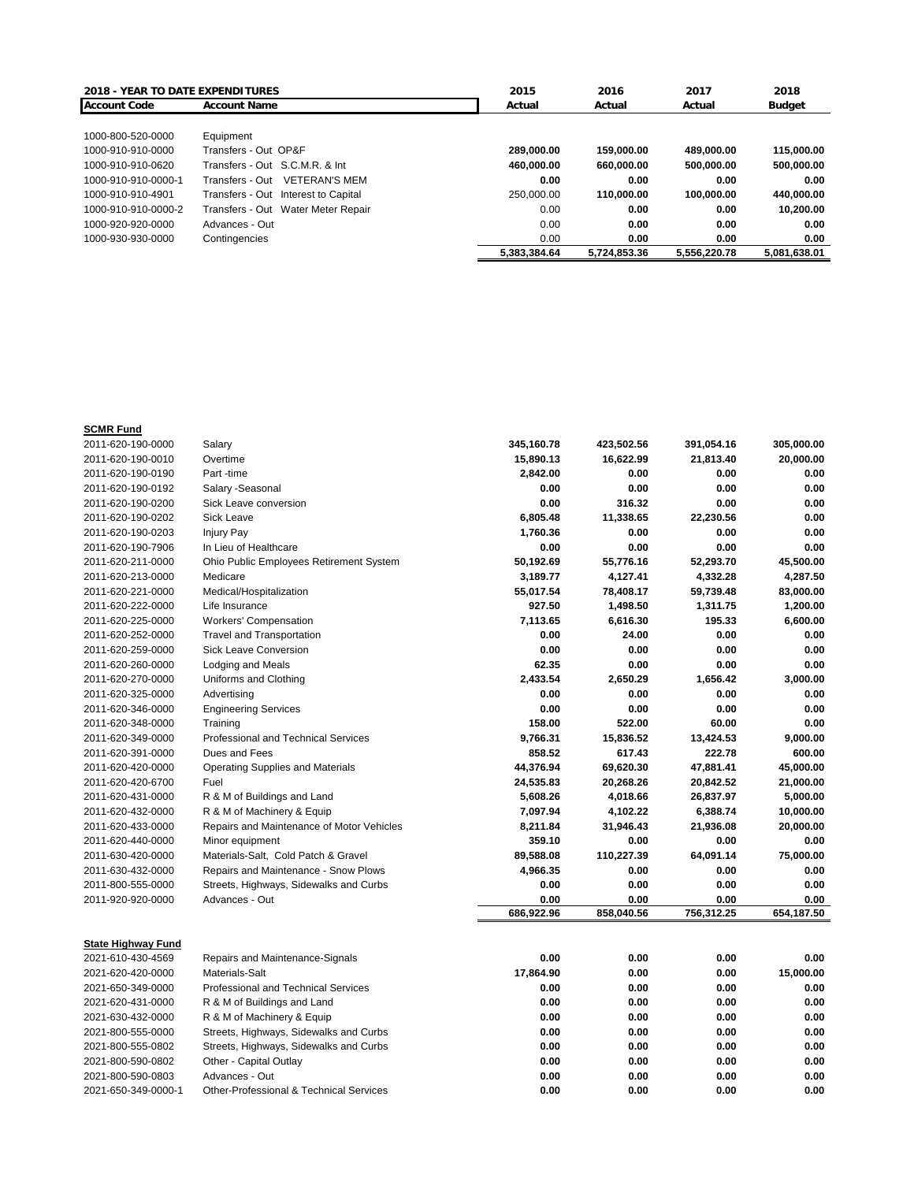| <b>2018 - YEAR TO DATE EXPENDITURES</b> |                                         | 2015         | 2016         | 2017         | 2018          |
|-----------------------------------------|-----------------------------------------|--------------|--------------|--------------|---------------|
| <b>Account Code</b>                     | <b>Account Name</b>                     | Actual       | Actual       | Actual       | <b>Budget</b> |
|                                         |                                         |              |              |              |               |
| 1000-800-520-0000                       | Equipment                               |              |              |              |               |
| 1000-910-910-0000                       | Transfers - Out OP&F                    | 289.000.00   | 159.000.00   | 489.000.00   | 115.000.00    |
| 1000-910-910-0620                       | Transfers - Out S.C.M.R. & Int          | 460.000.00   | 660.000.00   | 500.000.00   | 500,000.00    |
| 1000-910-910-0000-1                     | <b>VETERAN'S MEM</b><br>Transfers - Out | 0.00         | 0.00         | 0.00         | 0.00          |
| 1000-910-910-4901                       | Transfers - Out Interest to Capital     | 250.000.00   | 110.000.00   | 100.000.00   | 440.000.00    |
| 1000-910-910-0000-2                     | Transfers - Out Water Meter Repair      | 0.00         | 0.00         | 0.00         | 10.200.00     |
| 1000-920-920-0000                       | Advances - Out                          | 0.00         | 0.00         | 0.00         | 0.00          |
| 1000-930-930-0000                       | Contingencies                           | 0.00         | 0.00         | 0.00         | 0.00          |
|                                         |                                         | 5.383.384.64 | 5.724.853.36 | 5.556.220.78 | 5,081,638.01  |

| <b>SCMR Fund</b>          |                                                    |            |            |            |            |
|---------------------------|----------------------------------------------------|------------|------------|------------|------------|
| 2011-620-190-0000         | Salary                                             | 345,160.78 | 423,502.56 | 391,054.16 | 305,000.00 |
| 2011-620-190-0010         | Overtime                                           | 15,890.13  | 16,622.99  | 21,813.40  | 20,000.00  |
| 2011-620-190-0190         | Part-time                                          | 2,842.00   | 0.00       | 0.00       | 0.00       |
| 2011-620-190-0192         | Salary - Seasonal                                  | 0.00       | 0.00       | 0.00       | 0.00       |
| 2011-620-190-0200         | Sick Leave conversion                              | 0.00       | 316.32     | 0.00       | 0.00       |
| 2011-620-190-0202         | <b>Sick Leave</b>                                  | 6,805.48   | 11,338.65  | 22,230.56  | 0.00       |
| 2011-620-190-0203         | Injury Pay                                         | 1.760.36   | 0.00       | 0.00       | 0.00       |
| 2011-620-190-7906         | In Lieu of Healthcare                              | 0.00       | 0.00       | 0.00       | 0.00       |
| 2011-620-211-0000         | Ohio Public Employees Retirement System            | 50,192.69  | 55,776.16  | 52,293.70  | 45,500.00  |
| 2011-620-213-0000         | Medicare                                           | 3,189.77   | 4,127.41   | 4,332.28   | 4,287.50   |
| 2011-620-221-0000         | Medical/Hospitalization                            | 55,017.54  | 78,408.17  | 59,739.48  | 83,000.00  |
| 2011-620-222-0000         | Life Insurance                                     | 927.50     | 1,498.50   | 1,311.75   | 1,200.00   |
| 2011-620-225-0000         | <b>Workers' Compensation</b>                       | 7,113.65   | 6,616.30   | 195.33     | 6,600.00   |
| 2011-620-252-0000         | <b>Travel and Transportation</b>                   | 0.00       | 24.00      | 0.00       | 0.00       |
| 2011-620-259-0000         | <b>Sick Leave Conversion</b>                       | 0.00       | 0.00       | 0.00       | 0.00       |
| 2011-620-260-0000         | <b>Lodging and Meals</b>                           | 62.35      | 0.00       | 0.00       | 0.00       |
| 2011-620-270-0000         | Uniforms and Clothing                              | 2,433.54   | 2,650.29   | 1,656.42   | 3,000.00   |
| 2011-620-325-0000         | Advertising                                        | 0.00       | 0.00       | 0.00       | 0.00       |
| 2011-620-346-0000         | <b>Engineering Services</b>                        | 0.00       | 0.00       | 0.00       | 0.00       |
| 2011-620-348-0000         | Training                                           | 158.00     | 522.00     | 60.00      | 0.00       |
| 2011-620-349-0000         | Professional and Technical Services                | 9,766.31   | 15,836.52  | 13,424.53  | 9,000.00   |
| 2011-620-391-0000         | Dues and Fees                                      | 858.52     | 617.43     | 222.78     | 600.00     |
| 2011-620-420-0000         | <b>Operating Supplies and Materials</b>            | 44,376.94  | 69,620.30  | 47,881.41  | 45,000.00  |
| 2011-620-420-6700         | Fuel                                               | 24,535.83  | 20,268.26  | 20,842.52  | 21,000.00  |
| 2011-620-431-0000         | R & M of Buildings and Land                        | 5,608.26   | 4,018.66   | 26,837.97  | 5,000.00   |
| 2011-620-432-0000         | R & M of Machinery & Equip                         | 7,097.94   | 4,102.22   | 6,388.74   | 10,000.00  |
| 2011-620-433-0000         | Repairs and Maintenance of Motor Vehicles          | 8,211.84   | 31,946.43  | 21,936.08  | 20,000.00  |
| 2011-620-440-0000         | Minor equipment                                    | 359.10     | 0.00       | 0.00       | 0.00       |
| 2011-630-420-0000         | Materials-Salt, Cold Patch & Gravel                | 89,588.08  | 110,227.39 | 64,091.14  | 75,000.00  |
| 2011-630-432-0000         | Repairs and Maintenance - Snow Plows               | 4,966.35   | 0.00       | 0.00       | 0.00       |
| 2011-800-555-0000         | Streets, Highways, Sidewalks and Curbs             | 0.00       | 0.00       | 0.00       | 0.00       |
| 2011-920-920-0000         | Advances - Out                                     | 0.00       | 0.00       | 0.00       | 0.00       |
|                           |                                                    | 686,922.96 | 858,040.56 | 756,312.25 | 654,187.50 |
|                           |                                                    |            |            |            |            |
| <b>State Highway Fund</b> |                                                    |            |            |            |            |
| 2021-610-430-4569         | Repairs and Maintenance-Signals                    | 0.00       | 0.00       | 0.00       | 0.00       |
| 2021-620-420-0000         | Materials-Salt                                     | 17,864.90  | 0.00       | 0.00       | 15,000.00  |
| 2021-650-349-0000         | Professional and Technical Services                | 0.00       | 0.00       | 0.00       | 0.00       |
| 2021-620-431-0000         | R & M of Buildings and Land                        | 0.00       | 0.00       | 0.00       | 0.00       |
| 2021-630-432-0000         | R & M of Machinery & Equip                         | 0.00       | 0.00       | 0.00       | 0.00       |
| 2021-800-555-0000         | Streets, Highways, Sidewalks and Curbs             | 0.00       | 0.00       | 0.00       | 0.00       |
| 2021-800-555-0802         | Streets, Highways, Sidewalks and Curbs             | 0.00       | 0.00       | 0.00       | 0.00       |
| 2021-800-590-0802         | Other - Capital Outlay                             | 0.00       | 0.00       | 0.00       | 0.00       |
| 2021-800-590-0803         | Advances - Out                                     | 0.00       | 0.00       | 0.00       | 0.00       |
| 2021-650-349-0000-1       | <b>Other-Professional &amp; Technical Services</b> | 0.00       | 0.00       | 0.00       | 0.00       |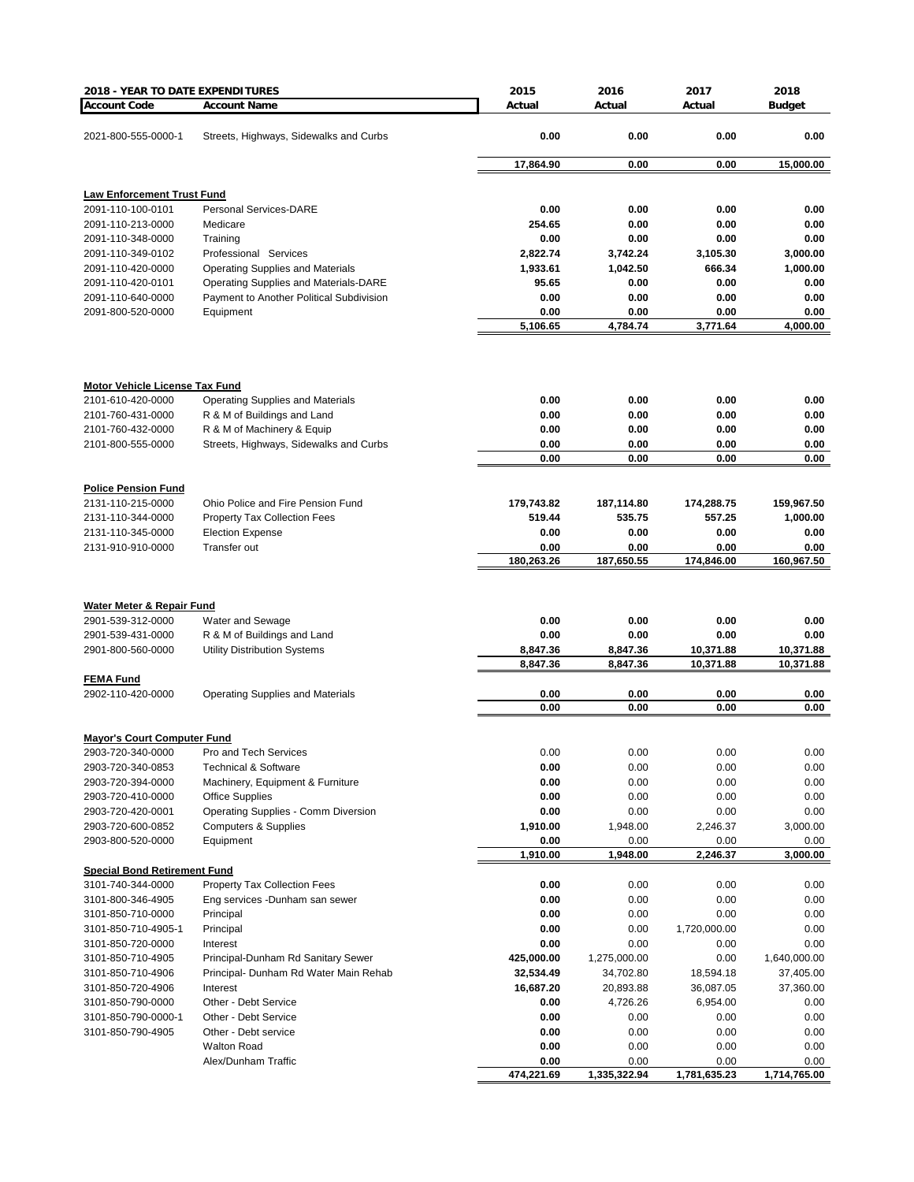| 2018 - YEAR TO DATE EXPENDITURES       |                                                                             | 2015                    | 2016                      | 2017              | 2018                      |
|----------------------------------------|-----------------------------------------------------------------------------|-------------------------|---------------------------|-------------------|---------------------------|
| <b>Account Code</b>                    | <b>Account Name</b>                                                         | Actual                  | Actual                    | Actual            | <b>Budget</b>             |
|                                        |                                                                             |                         |                           |                   |                           |
| 2021-800-555-0000-1                    | Streets, Highways, Sidewalks and Curbs                                      | 0.00                    | 0.00                      | 0.00              | 0.00                      |
|                                        |                                                                             |                         |                           |                   |                           |
|                                        |                                                                             | 17,864.90               | 0.00                      | 0.00              | 15,000.00                 |
| <b>Law Enforcement Trust Fund</b>      |                                                                             |                         |                           |                   |                           |
| 2091-110-100-0101                      | <b>Personal Services-DARE</b>                                               | 0.00                    | 0.00                      | 0.00              | 0.00                      |
| 2091-110-213-0000                      | Medicare                                                                    | 254.65                  | 0.00                      | 0.00              | 0.00                      |
| 2091-110-348-0000                      | Training                                                                    | 0.00                    | 0.00                      | 0.00              | 0.00                      |
| 2091-110-349-0102                      | Professional Services                                                       | 2,822.74                | 3,742.24                  | 3,105.30          | 3,000.00                  |
| 2091-110-420-0000                      | <b>Operating Supplies and Materials</b>                                     | 1,933.61                | 1,042.50                  | 666.34            | 1,000.00                  |
| 2091-110-420-0101                      | Operating Supplies and Materials-DARE                                       | 95.65                   | 0.00                      | 0.00              | 0.00                      |
| 2091-110-640-0000                      | Payment to Another Political Subdivision                                    | 0.00                    | 0.00                      | 0.00              | 0.00                      |
| 2091-800-520-0000                      | Equipment                                                                   | 0.00                    | 0.00                      | 0.00              | 0.00                      |
|                                        |                                                                             | 5,106.65                | 4,784.74                  | 3,771.64          | 4,000.00                  |
|                                        |                                                                             |                         |                           |                   |                           |
| <b>Motor Vehicle License Tax Fund</b>  |                                                                             |                         |                           |                   |                           |
| 2101-610-420-0000                      | <b>Operating Supplies and Materials</b>                                     | 0.00                    | 0.00                      | 0.00              | 0.00                      |
| 2101-760-431-0000                      | R & M of Buildings and Land                                                 | 0.00                    | 0.00                      | 0.00              | 0.00                      |
| 2101-760-432-0000                      | R & M of Machinery & Equip                                                  | 0.00                    | 0.00                      | 0.00              | 0.00                      |
| 2101-800-555-0000                      | Streets, Highways, Sidewalks and Curbs                                      | 0.00<br>0.00            | 0.00<br>0.00              | 0.00<br>0.00      | 0.00<br>0.00              |
|                                        |                                                                             |                         |                           |                   |                           |
| <b>Police Pension Fund</b>             |                                                                             |                         |                           |                   |                           |
| 2131-110-215-0000                      | Ohio Police and Fire Pension Fund                                           | 179,743.82              | 187,114.80                | 174,288.75        | 159,967.50                |
| 2131-110-344-0000                      | <b>Property Tax Collection Fees</b>                                         | 519.44                  | 535.75                    | 557.25            | 1,000.00                  |
| 2131-110-345-0000                      | <b>Election Expense</b>                                                     | 0.00                    | 0.00                      | 0.00              | 0.00                      |
| 2131-910-910-0000                      | Transfer out                                                                | 0.00                    | 0.00                      | 0.00              | 0.00                      |
|                                        |                                                                             | 180,263.26              | 187,650.55                | 174,846.00        | 160,967.50                |
| Water Meter & Repair Fund              |                                                                             |                         |                           |                   |                           |
| 2901-539-312-0000                      | Water and Sewage                                                            | 0.00                    | 0.00                      | 0.00              | 0.00                      |
| 2901-539-431-0000                      | R & M of Buildings and Land                                                 | 0.00                    | 0.00                      | 0.00              | 0.00                      |
| 2901-800-560-0000                      | <b>Utility Distribution Systems</b>                                         | 8,847.36                | 8,847.36                  | 10,371.88         | 10,371.88                 |
|                                        |                                                                             | 8,847.36                | 8,847.36                  | 10,371.88         | 10,371.88                 |
| <b>FEMA Fund</b>                       |                                                                             |                         |                           |                   |                           |
| 2902-110-420-0000                      | <b>Operating Supplies and Materials</b>                                     | 0.00                    | 0.00                      | 0.00              | 0.00                      |
|                                        |                                                                             | 0.00                    | 0.00                      | 0.00              | 0.00                      |
| <b>Mayor's Court Computer Fund</b>     |                                                                             |                         |                           |                   |                           |
| 2903-720-340-0000                      | Pro and Tech Services                                                       | 0.00                    | 0.00                      | 0.00              | 0.00                      |
| 2903-720-340-0853                      | <b>Technical &amp; Software</b>                                             | 0.00                    | 0.00                      | 0.00              | 0.00                      |
| 2903-720-394-0000                      | Machinery, Equipment & Furniture                                            | 0.00                    | 0.00                      | 0.00              | 0.00                      |
| 2903-720-410-0000                      | <b>Office Supplies</b>                                                      | 0.00                    | 0.00                      | 0.00              | 0.00                      |
| 2903-720-420-0001                      | Operating Supplies - Comm Diversion                                         | 0.00                    | 0.00                      | 0.00              | 0.00                      |
| 2903-720-600-0852                      | <b>Computers &amp; Supplies</b>                                             | 1,910.00                | 1,948.00                  | 2,246.37          | 3,000.00                  |
| 2903-800-520-0000                      | Equipment                                                                   | 0.00                    | 0.00                      | 0.00              | 0.00                      |
|                                        |                                                                             | 1,910.00                | 1,948.00                  | 2,246.37          | 3,000.00                  |
| <b>Special Bond Retirement Fund</b>    |                                                                             |                         |                           |                   |                           |
| 3101-740-344-0000                      | <b>Property Tax Collection Fees</b>                                         | 0.00                    | 0.00                      | 0.00              | 0.00                      |
| 3101-800-346-4905                      | Eng services -Dunham san sewer                                              | 0.00                    | 0.00                      | 0.00              | 0.00                      |
| 3101-850-710-0000                      | Principal                                                                   | 0.00                    | 0.00                      | 0.00              | 0.00                      |
| 3101-850-710-4905-1                    | Principal                                                                   | 0.00                    | 0.00                      | 1,720,000.00      | 0.00                      |
| 3101-850-720-0000                      | Interest                                                                    | 0.00                    | 0.00                      | 0.00              | 0.00                      |
| 3101-850-710-4905<br>3101-850-710-4906 | Principal-Dunham Rd Sanitary Sewer<br>Principal- Dunham Rd Water Main Rehab | 425,000.00<br>32,534.49 | 1,275,000.00<br>34,702.80 | 0.00<br>18,594.18 | 1,640,000.00<br>37,405.00 |
| 3101-850-720-4906                      | Interest                                                                    | 16,687.20               | 20,893.88                 | 36,087.05         | 37,360.00                 |
| 3101-850-790-0000                      | Other - Debt Service                                                        | 0.00                    | 4,726.26                  | 6,954.00          | 0.00                      |
| 3101-850-790-0000-1                    | Other - Debt Service                                                        | 0.00                    | 0.00                      | 0.00              | 0.00                      |
| 3101-850-790-4905                      | Other - Debt service                                                        | 0.00                    | 0.00                      | 0.00              | 0.00                      |
|                                        | <b>Walton Road</b>                                                          | 0.00                    | 0.00                      | 0.00              | 0.00                      |
|                                        | Alex/Dunham Traffic                                                         | 0.00                    | 0.00                      | 0.00              | 0.00                      |
|                                        |                                                                             | 474,221.69              | 1,335,322.94              | 1,781,635.23      | 1,714,765.00              |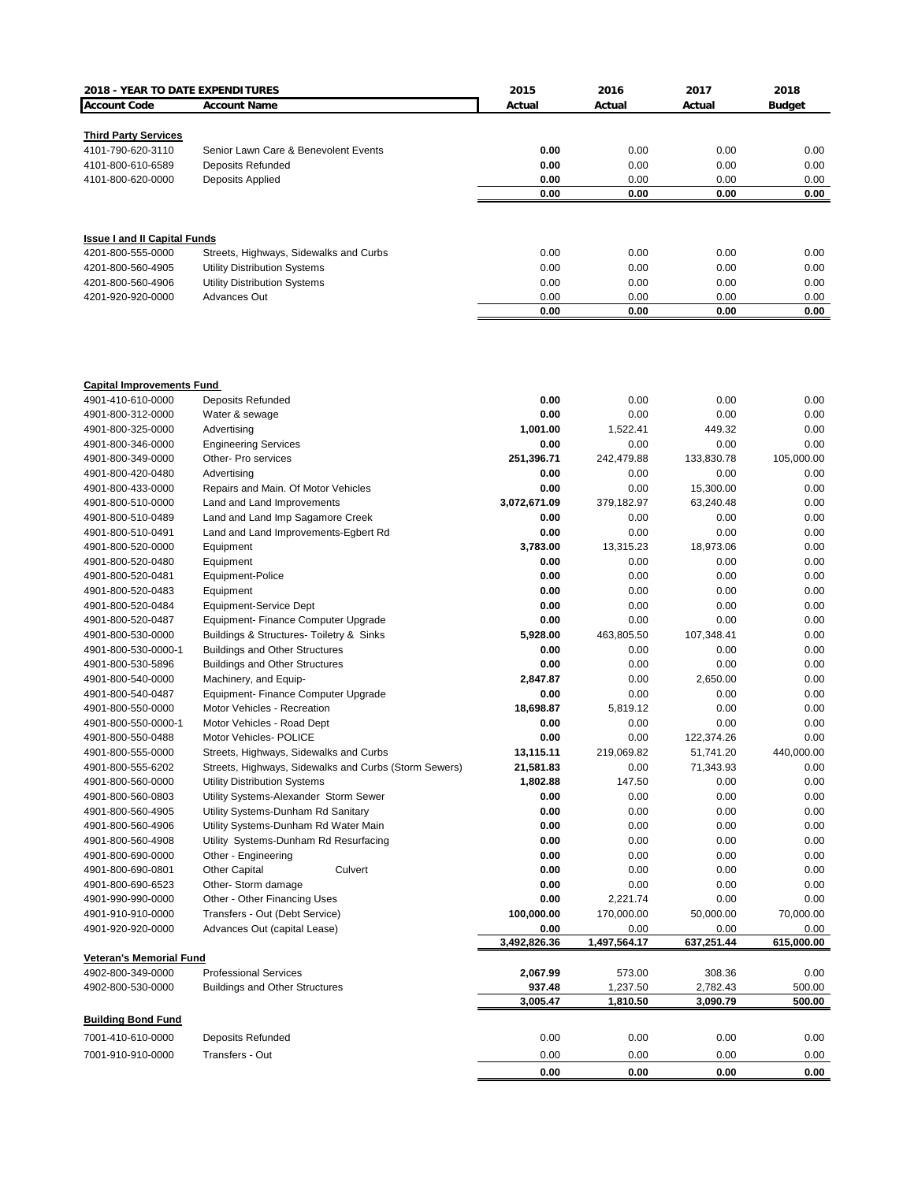| 2018 - YEAR TO DATE EXPENDITURES       |                                                              | 2015               | 2016                 | 2017                 | 2018             |
|----------------------------------------|--------------------------------------------------------------|--------------------|----------------------|----------------------|------------------|
| <b>Account Code</b>                    | <b>Account Name</b>                                          | Actual             | Actual               | Actual               | <b>Budget</b>    |
|                                        |                                                              |                    |                      |                      |                  |
| <b>Third Party Services</b>            |                                                              |                    |                      |                      |                  |
| 4101-790-620-3110                      | Senior Lawn Care & Benevolent Events                         | 0.00               | 0.00                 | 0.00                 | 0.00             |
| 4101-800-610-6589                      | <b>Deposits Refunded</b>                                     | 0.00               | 0.00                 | 0.00                 | 0.00             |
| 4101-800-620-0000                      | Deposits Applied                                             | 0.00               | 0.00                 | 0.00                 | 0.00             |
|                                        |                                                              | 0.00               | 0.00                 | 0.00                 | 0.00             |
|                                        |                                                              |                    |                      |                      |                  |
| <b>Issue I and II Capital Funds</b>    |                                                              |                    |                      |                      |                  |
| 4201-800-555-0000                      | Streets, Highways, Sidewalks and Curbs                       | 0.00               | 0.00                 | 0.00                 | 0.00             |
| 4201-800-560-4905                      | <b>Utility Distribution Systems</b>                          | 0.00               | 0.00                 | 0.00                 | 0.00             |
| 4201-800-560-4906                      | <b>Utility Distribution Systems</b>                          | 0.00               | 0.00                 | 0.00                 | 0.00             |
| 4201-920-920-0000                      | <b>Advances Out</b>                                          | 0.00               | 0.00                 | 0.00                 | 0.00             |
|                                        |                                                              | 0.00               | 0.00                 | 0.00                 | 0.00             |
|                                        |                                                              |                    |                      |                      |                  |
| <b>Capital Improvements Fund</b>       |                                                              |                    |                      |                      |                  |
| 4901-410-610-0000                      | <b>Deposits Refunded</b>                                     | 0.00               | 0.00                 | 0.00                 | 0.00             |
| 4901-800-312-0000                      | Water & sewage                                               | 0.00               | 0.00                 | 0.00                 | 0.00             |
| 4901-800-325-0000                      | Advertising                                                  | 1,001.00           | 1,522.41             | 449.32               | 0.00             |
| 4901-800-346-0000                      | <b>Engineering Services</b>                                  | 0.00               | 0.00                 | 0.00                 | 0.00             |
| 4901-800-349-0000                      | Other- Pro services                                          | 251,396.71         | 242,479.88           | 133,830.78           | 105,000.00       |
| 4901-800-420-0480                      | Advertising                                                  | 0.00               | 0.00                 | 0.00                 | 0.00             |
| 4901-800-433-0000                      | Repairs and Main. Of Motor Vehicles                          | 0.00               | 0.00                 | 15,300.00            | 0.00             |
| 4901-800-510-0000                      | Land and Land Improvements                                   | 3,072,671.09       | 379,182.97           | 63,240.48            | 0.00             |
| 4901-800-510-0489                      | Land and Land Imp Sagamore Creek                             | 0.00               | 0.00                 | 0.00                 | 0.00             |
| 4901-800-510-0491                      | Land and Land Improvements-Egbert Rd                         | 0.00               | 0.00                 | 0.00                 | 0.00             |
| 4901-800-520-0000                      | Equipment                                                    | 3,783.00           | 13,315.23            | 18,973.06            | 0.00             |
| 4901-800-520-0480                      | Equipment                                                    | 0.00               | 0.00                 | 0.00                 | 0.00             |
| 4901-800-520-0481                      | Equipment-Police                                             | 0.00               | 0.00                 | 0.00                 | 0.00             |
| 4901-800-520-0483                      | Equipment                                                    | 0.00               | 0.00                 | 0.00                 | 0.00             |
| 4901-800-520-0484                      | Equipment-Service Dept                                       | 0.00               | 0.00                 | 0.00                 | 0.00             |
| 4901-800-520-0487                      | Equipment- Finance Computer Upgrade                          | 0.00               | 0.00                 | 0.00                 | 0.00             |
| 4901-800-530-0000                      | Buildings & Structures- Toiletry & Sinks                     | 5,928.00           | 463,805.50           | 107,348.41           | 0.00             |
| 4901-800-530-0000-1                    | <b>Buildings and Other Structures</b>                        | 0.00               | 0.00                 | 0.00                 | 0.00             |
| 4901-800-530-5896<br>4901-800-540-0000 | <b>Buildings and Other Structures</b>                        | 0.00               | 0.00                 | 0.00                 | 0.00             |
|                                        | Machinery, and Equip-<br>Equipment- Finance Computer Upgrade | 2,847.87<br>0.00   | 0.00<br>0.00         | 2,650.00<br>0.00     | 0.00<br>0.00     |
| 4901-800-540-0487<br>4901-800-550-0000 | Motor Vehicles - Recreation                                  | 18,698.87          | 5,819.12             | 0.00                 | 0.00             |
| 4901-800-550-0000-1                    | Motor Vehicles - Road Dept                                   | 0.00               | 0.00                 | 0.00                 | 0.00             |
| 4901-800-550-0488                      | Motor Vehicles- POLICE                                       | 0.00               | 0.00                 | 122,374.26           | 0.00             |
| 4901-800-555-0000                      | Streets, Highways, Sidewalks and Curbs                       | 13,115.11          | 219,069.82           | 51,741.20            | 440,000.00       |
| 4901-800-555-6202                      | Streets, Highways, Sidewalks and Curbs (Storm Sewers)        | 21,581.83          | 0.00                 | 71,343.93            | 0.00             |
| 4901-800-560-0000                      | <b>Utility Distribution Systems</b>                          | 1,802.88           | 147.50               | 0.00                 | 0.00             |
| 4901-800-560-0803                      | Utility Systems-Alexander Storm Sewer                        | 0.00               | 0.00                 | 0.00                 | 0.00             |
| 4901-800-560-4905                      | Utility Systems-Dunham Rd Sanitary                           | 0.00               | 0.00                 | 0.00                 | 0.00             |
| 4901-800-560-4906                      | Utility Systems-Dunham Rd Water Main                         | 0.00               | 0.00                 | 0.00                 | 0.00             |
| 4901-800-560-4908                      | Utility Systems-Dunham Rd Resurfacing                        | 0.00               | 0.00                 | 0.00                 | 0.00             |
| 4901-800-690-0000                      | Other - Engineering                                          | 0.00               | 0.00                 | 0.00                 | 0.00             |
| 4901-800-690-0801                      | <b>Other Capital</b><br>Culvert                              | 0.00               | 0.00                 | 0.00                 | 0.00             |
| 4901-800-690-6523                      | Other- Storm damage                                          | 0.00               | 0.00                 | 0.00                 | 0.00             |
| 4901-990-990-0000                      | Other - Other Financing Uses                                 | 0.00               | 2,221.74             | 0.00                 | 0.00             |
| 4901-910-910-0000                      | Transfers - Out (Debt Service)                               | 100,000.00         | 170,000.00           | 50,000.00            | 70,000.00        |
| 4901-920-920-0000                      | Advances Out (capital Lease)                                 | 0.00               | 0.00                 | 0.00                 | 0.00             |
|                                        |                                                              | 3,492,826.36       | 1,497,564.17         | 637,251.44           | 615,000.00       |
| <b>Veteran's Memorial Fund</b>         |                                                              |                    |                      |                      |                  |
| 4902-800-349-0000                      | <b>Professional Services</b>                                 | 2,067.99           | 573.00               | 308.36               | 0.00             |
| 4902-800-530-0000                      | <b>Buildings and Other Structures</b>                        | 937.48<br>3,005.47 | 1,237.50<br>1,810.50 | 2,782.43<br>3,090.79 | 500.00<br>500.00 |
|                                        |                                                              |                    |                      |                      |                  |
| <b>Building Bond Fund</b>              |                                                              |                    |                      |                      |                  |
| 7001-410-610-0000                      | <b>Deposits Refunded</b>                                     | 0.00               | 0.00                 | 0.00                 | 0.00             |
| 7001-910-910-0000                      | Transfers - Out                                              | 0.00               | 0.00                 | 0.00                 | 0.00             |
|                                        |                                                              | 0.00               | 0.00                 | 0.00                 | 0.00             |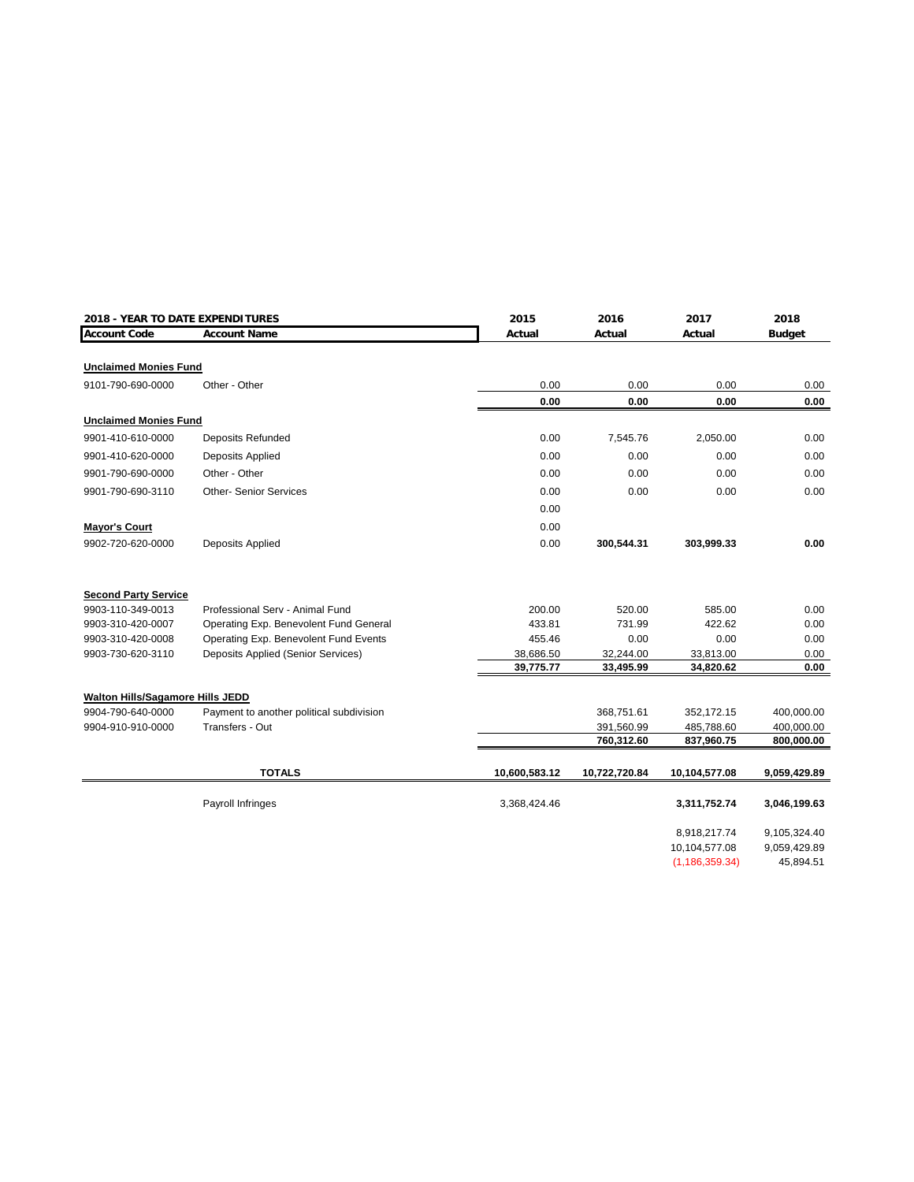| 2018 - YEAR TO DATE EXPENDITURES        |                                           | 2015                   | 2016                   | 2017                   | 2018          |
|-----------------------------------------|-------------------------------------------|------------------------|------------------------|------------------------|---------------|
| <b>Account Code</b>                     | <b>Account Name</b>                       | Actual                 | Actual                 | Actual                 | <b>Budget</b> |
|                                         |                                           |                        |                        |                        |               |
| <b>Unclaimed Monies Fund</b>            |                                           |                        |                        |                        |               |
| 9101-790-690-0000                       | Other - Other                             | 0.00                   | 0.00                   | 0.00                   | 0.00          |
|                                         |                                           | 0.00                   | 0.00                   | 0.00                   | $0.00\,$      |
| <b>Unclaimed Monies Fund</b>            |                                           |                        |                        |                        |               |
| 9901-410-610-0000                       | <b>Deposits Refunded</b>                  | 0.00                   | 7,545.76               | 2,050.00               | 0.00          |
| 9901-410-620-0000                       | <b>Deposits Applied</b>                   | 0.00                   | 0.00                   | 0.00                   | 0.00          |
| 9901-790-690-0000                       | Other - Other                             | 0.00                   | 0.00                   | 0.00                   | 0.00          |
| 9901-790-690-3110                       | <b>Other-Senior Services</b>              | 0.00                   | 0.00                   | 0.00                   | 0.00          |
|                                         |                                           | 0.00                   |                        |                        |               |
| <b>Mayor's Court</b>                    |                                           | 0.00                   |                        |                        |               |
| 9902-720-620-0000                       | <b>Deposits Applied</b>                   | 0.00                   | 300,544.31             | 303,999.33             | 0.00          |
|                                         |                                           |                        |                        |                        |               |
| <b>Second Party Service</b>             |                                           |                        |                        |                        |               |
| 9903-110-349-0013                       | Professional Serv - Animal Fund           | 200.00                 | 520.00                 | 585.00                 | 0.00          |
| 9903-310-420-0007                       | Operating Exp. Benevolent Fund General    | 433.81                 | 731.99                 | 422.62                 | 0.00          |
| 9903-310-420-0008                       | Operating Exp. Benevolent Fund Events     | 455.46                 | 0.00                   | 0.00                   | 0.00          |
| 9903-730-620-3110                       | <b>Deposits Applied (Senior Services)</b> | 38,686.50<br>39,775.77 | 32,244.00<br>33,495.99 | 33,813.00<br>34,820.62 | 0.00<br>0.00  |
|                                         |                                           |                        |                        |                        |               |
| <b>Walton Hills/Sagamore Hills JEDD</b> |                                           |                        |                        |                        |               |
| 9904-790-640-0000                       | Payment to another political subdivision  |                        | 368,751.61             | 352,172.15             | 400,000.00    |
| 9904-910-910-0000                       | Transfers - Out                           |                        | 391,560.99             | 485,788.60             | 400,000.00    |
|                                         |                                           |                        | 760,312.60             | 837,960.75             | 800,000.00    |
|                                         |                                           |                        |                        |                        |               |
|                                         | <b>TOTALS</b>                             | 10,600,583.12          | 10,722,720.84          | 10,104,577.08          | 9,059,429.89  |
|                                         | Payroll Infringes                         | 3,368,424.46           |                        | 3,311,752.74           | 3,046,199.63  |
|                                         |                                           |                        |                        | 8,918,217.74           | 9,105,324.40  |
|                                         |                                           |                        |                        | 10,104,577.08          | 9,059,429.89  |
|                                         |                                           |                        |                        | (1, 186, 359.34)       | 45,894.51     |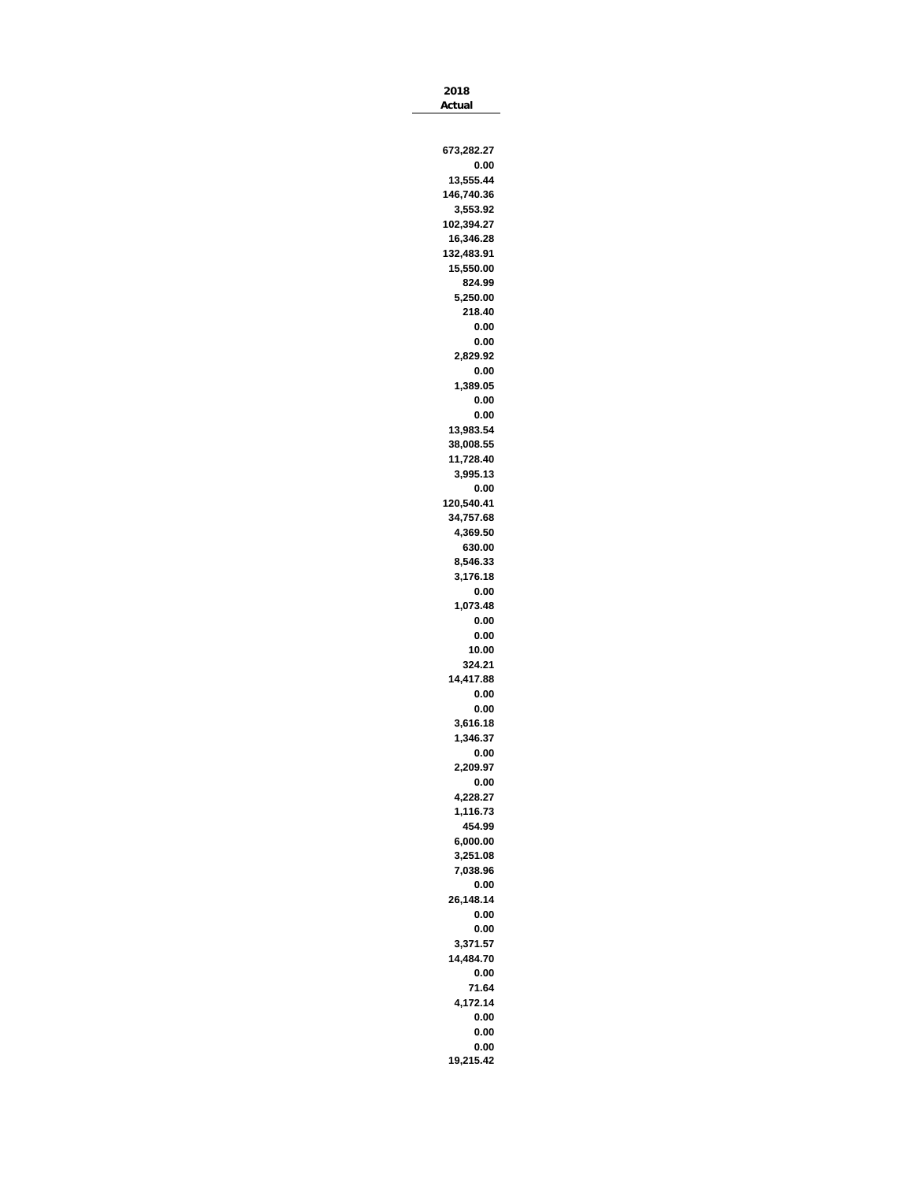| Actual     |
|------------|
|            |
|            |
| 673,282.27 |
| 0.00       |
| 13,555.44  |
| 146,740.36 |
| 3,553.92   |
| 102,394.27 |
| 16,346.28  |
| 132,483.91 |
| 15,550.00  |
| 824.99     |
| 5,250.00   |
| 218.40     |
| 0.00       |
| 0.00       |
| 2,829.92   |
| 0.00       |
| 1,389.05   |
| 0.00       |
| 0.00       |
| 13,983.54  |
| 38,008.55  |
| 11,728.40  |
| 3,995.13   |
| 0.00       |
| 120,540.41 |
| 34,757.68  |
| 4,369.50   |
| 630.00     |
| 8,546.33   |
| 3,176.18   |
| 0.00       |
| 1,073.48   |
| 0.00       |
| 0.00       |
| 10.00      |
| 324.21     |
| 14,417.88  |
| 0.00       |
| 0.00       |
| 3,616.18   |
| 1,346.37   |
| 0.00       |
| 2,209.97   |
| 0.00       |
| 4,228.27   |
| 1,116.73   |
| 454.99     |
| 6,000.00   |
| 3,251.08   |
| 7,038.96   |
| 0.00       |
| 26,148.14  |
| 0.00       |
|            |
| 0.00       |
| 3,371.57   |
| 14,484.70  |
| 0.00       |
| 71.64      |
| 4,172.14   |
| 0.00       |
| 0.00       |
| 0.00       |
| 19,215.42  |

**2018**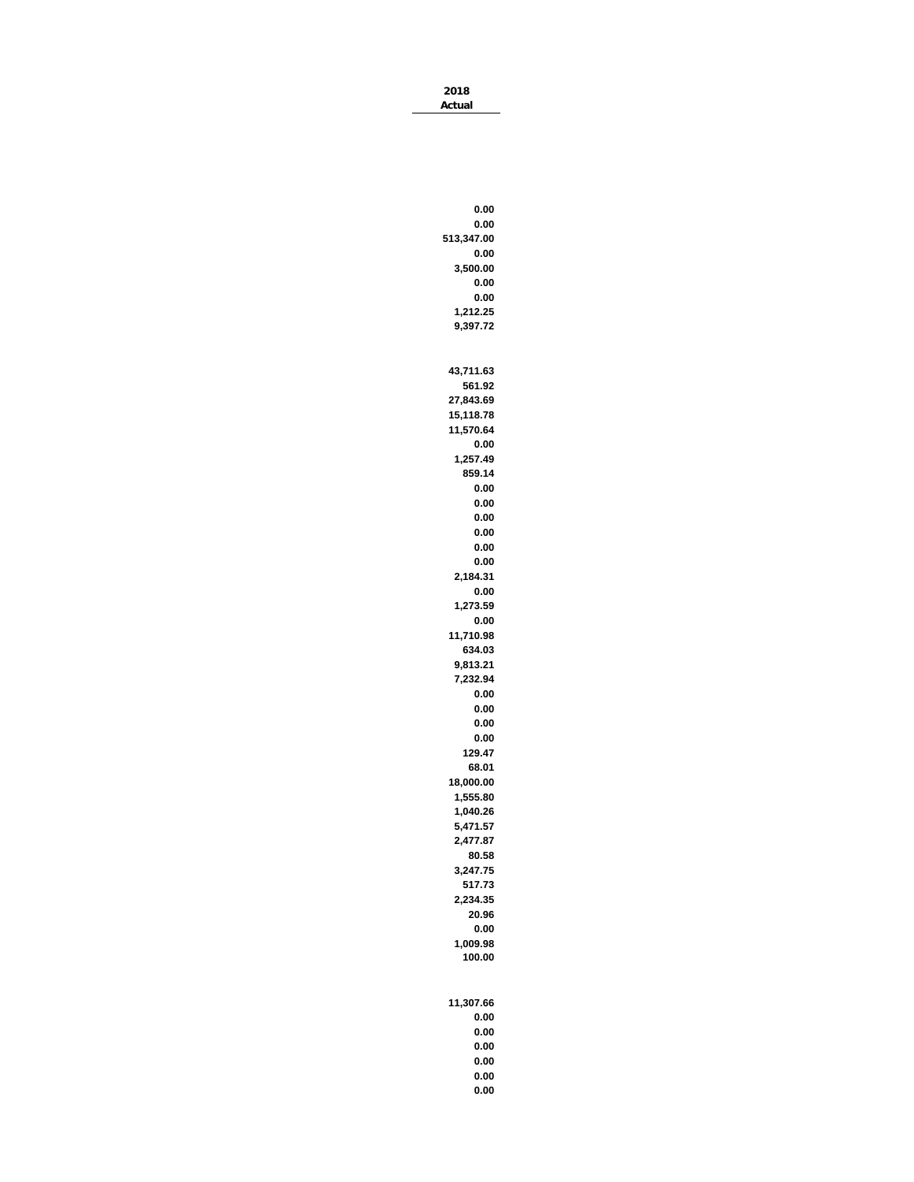**2018 Actual**

**0.00 0.00 513,347.00 0.00 3,500.00 0.00 0.00 1,212.25 9,397.72 43,711.63 561.92 27,843.69 15,118.78 11,570.64 0.00 1,257.49 859.14 0.00 0.00 0.00 0.00 0.00 0.00 2,184.31 0.00 1,273.59 0.00 11,710.98 634.03 9,813.21 7,232.94 0.00 0.00 0.00 0.00 129.47 68.01 18,000.00 1,555.80 1,040.26 5,471.57 2,477.87 80.58 3,247.75 517.73 2,234.35 20.96 0.00 1,009.98 100.00 11,307.66 0.00 0.00**

**0.00 0.00**

> **0.00 0.00**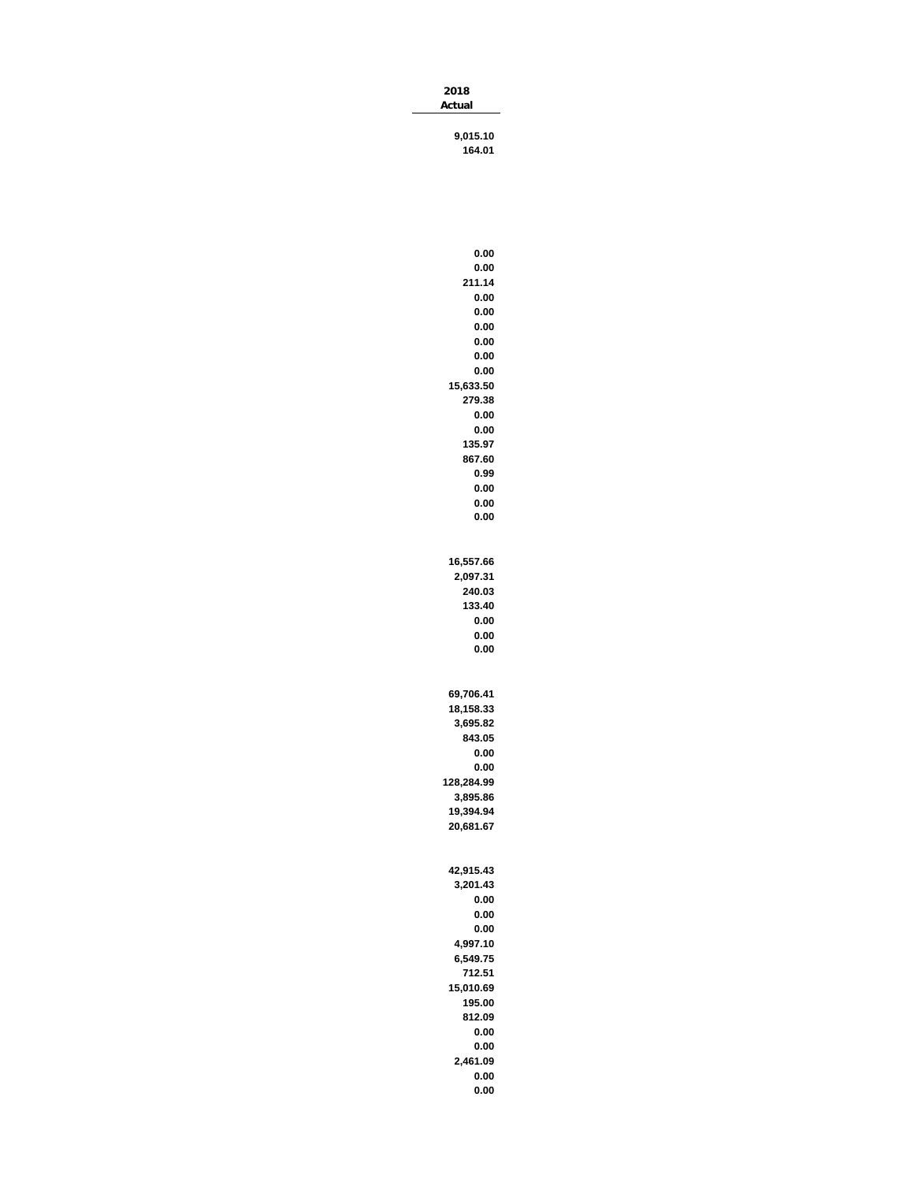| 2018   |  |
|--------|--|
| Actual |  |
|        |  |

**9,015.10 164.01**

| 0.00               |
|--------------------|
| 0.00               |
| 211.14             |
| 0.00               |
| 0.00               |
| 0.00               |
| 0.00               |
| 0.00               |
| 0.00               |
| 15,633.50          |
| 279.38             |
| 0.00               |
| 0.00               |
| 135.97             |
| 867.60             |
| 0.99               |
| 0.00               |
| 0.00<br>0.00       |
|                    |
|                    |
| 16,557.66          |
| 2,097.31           |
| 240.03             |
| 133.40             |
| 0.00               |
| 0.00               |
| 0.00               |
|                    |
|                    |
|                    |
|                    |
| 69,706.41          |
| 18,158.33          |
| 3,695.82<br>843.05 |
| 0.00               |
| 0.00               |
| 128,284.99         |
| 3,895.86           |
| 19,394.94          |
| 20,681.67          |
|                    |
|                    |
| 42,915.43          |
| 3,201.43           |
| 0.00               |
| 0.00               |
| 0.00               |
| 4,997.10           |
| 6,549.75           |
| 712.51             |
| 15,010.69          |
| 195.00             |
| 812.09             |
| 0.00               |
| 0.00               |
| 2,461.09           |
| 0.00               |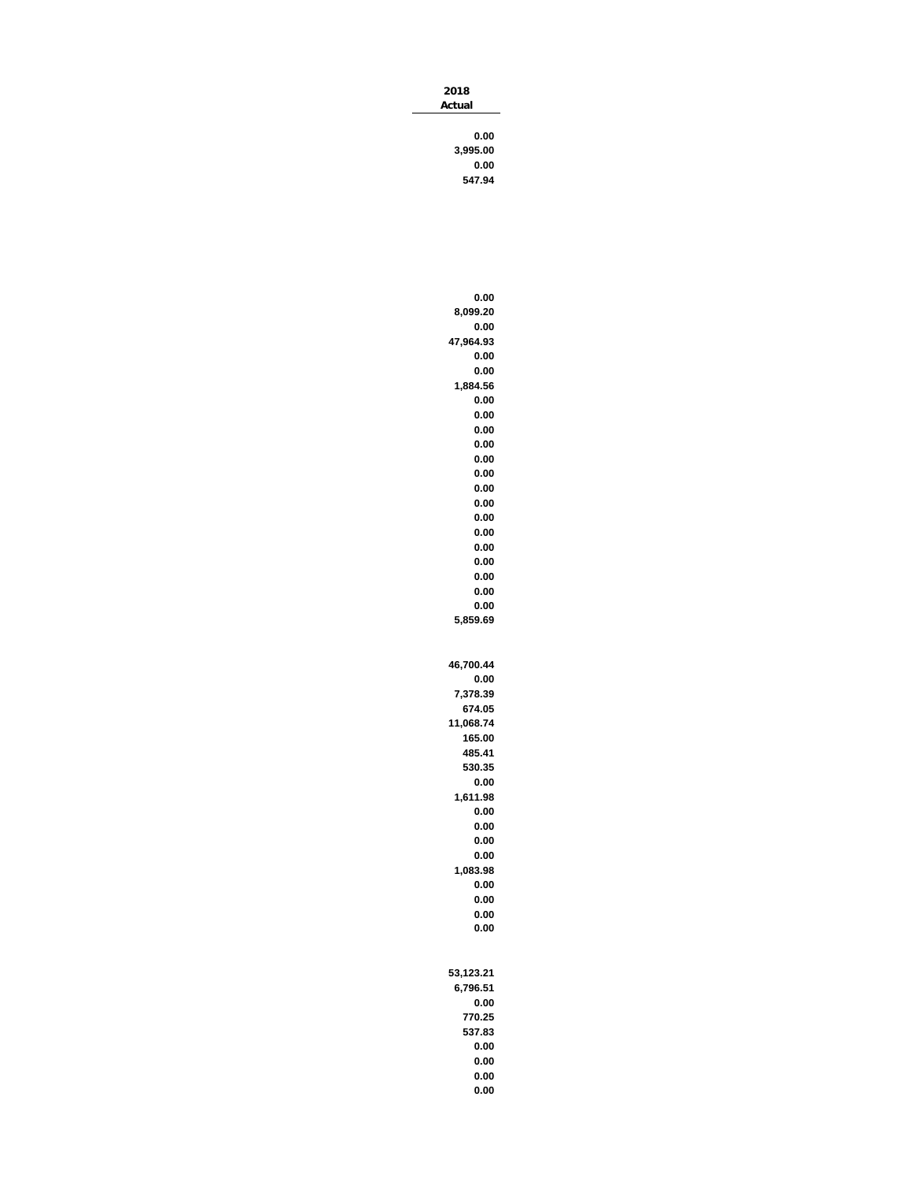| 2018     |
|----------|
| Actual   |
|          |
| 0.00     |
| 3,995.00 |
| 0.00     |
|          |

**547.94**

|           | 0.00         |
|-----------|--------------|
|           | 8,099.20     |
|           | 0.00         |
| 47,964.93 |              |
|           | 0.00         |
|           | 0.00         |
|           | 1,884.56     |
|           | 0.00         |
|           | 0.00         |
|           | 0.00         |
|           | 0.00         |
|           | 0.00         |
|           | 0.00         |
|           | 0.00         |
|           | 0.00         |
|           | 0.00         |
|           | 0.00         |
|           | 0.00         |
|           | 0.00         |
|           | 0.00         |
|           | 0.00         |
|           | 0.00         |
|           | 5.859.69     |
|           |              |
|           |              |
| 46,700.44 |              |
|           | 0.00         |
|           |              |
|           |              |
|           | 7,378.39     |
|           | 674.05       |
| 11,068.74 |              |
|           | 165.00       |
|           | 485.41       |
|           | 530.35       |
|           | 0.00         |
|           | 1,611.98     |
|           | 0.00         |
|           | 0.00         |
|           | 0.00         |
|           | 0.00         |
| 1         | 083.98       |
|           | 0.00         |
|           | 0.00         |
|           | 0.00         |
|           | 0.00         |
|           |              |
|           |              |
| 53,123.21 |              |
|           | 6,796.51     |
|           | 0.00         |
|           | 770.25       |
|           | 537.83       |
|           | 0.00         |
|           | 0.00         |
|           | 0.00<br>0.00 |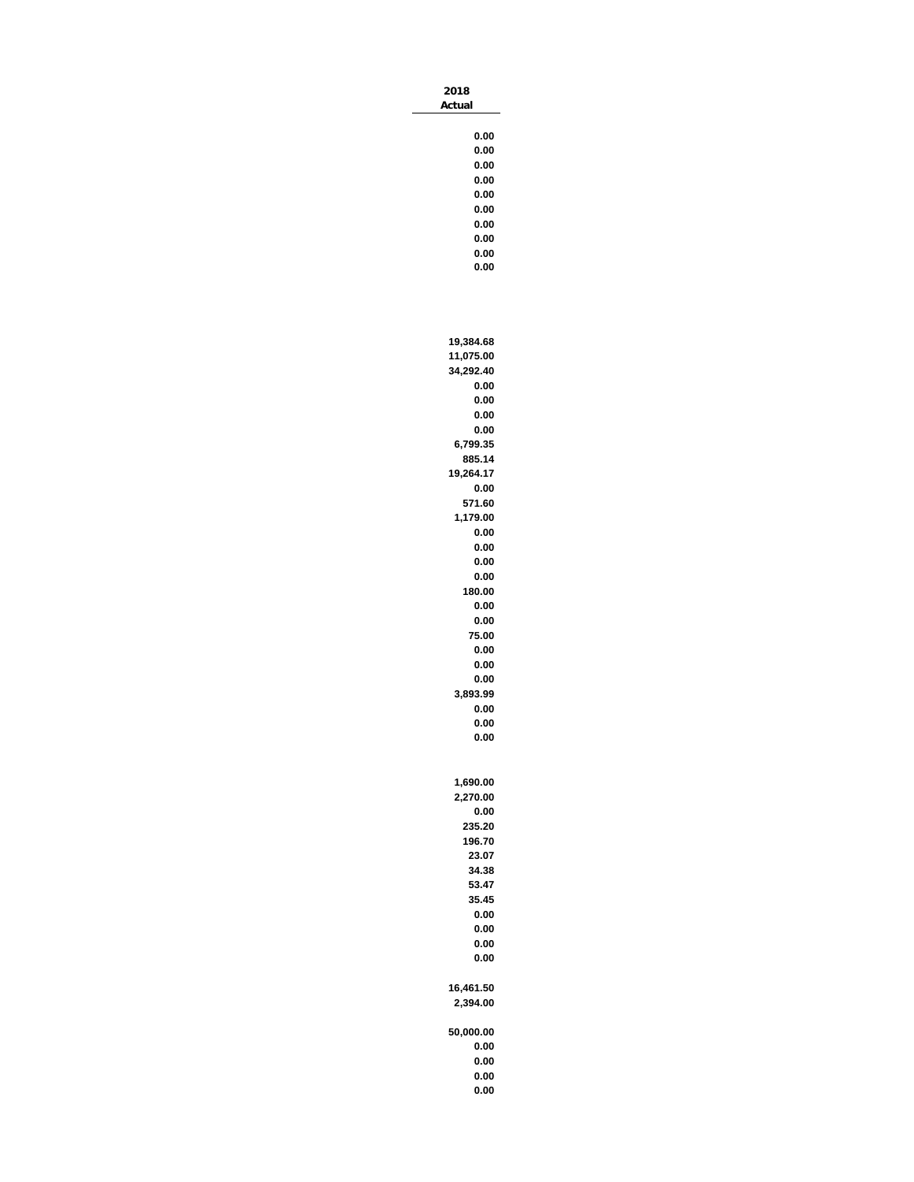| 2018<br>Actual                                                                                                                                                                                                                                                      |  |
|---------------------------------------------------------------------------------------------------------------------------------------------------------------------------------------------------------------------------------------------------------------------|--|
| 0.00<br>0.00<br>0.00<br>0.00<br>0.00<br>0.00<br>0.00<br>0.00<br>0.00<br>0.00                                                                                                                                                                                        |  |
| 19,384.68<br>11,075.00<br>34,292.40<br>0.00<br>0.00<br>0.00<br>0.00<br>6,799.35<br>885.14<br>19,264.17<br>0.00<br>571.60<br>1,179.00<br>0.00<br>0.00<br>0.00<br>0.00<br>180.00<br>0.00<br>0.00<br>75.00<br>0.00<br>0.00<br>0.00<br>3,893.99<br>0.00<br>0.00<br>0.00 |  |
| 1.690.00<br>2,270.00<br>0.00<br>235.20<br>196.70<br>23.07<br>34.38<br>53.47<br>35.45<br>0.00<br>0.00<br>0.00<br>0.00                                                                                                                                                |  |
| 16,461.50<br>2,394.00<br>50,000.00<br>0.00<br>0.00<br>0.00                                                                                                                                                                                                          |  |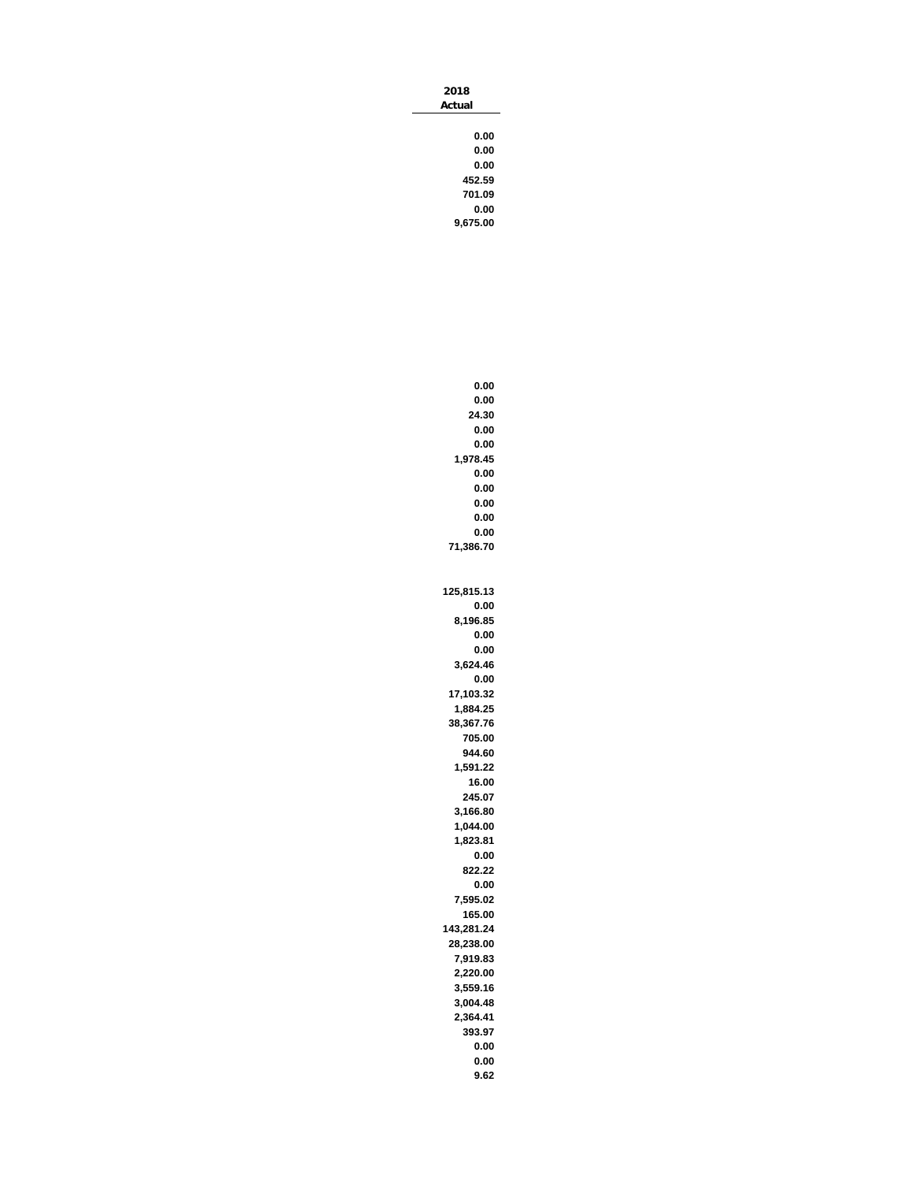| 2018   |
|--------|
| Actual |
|        |
| 0.00   |
| 0.00   |
| 0.00   |
| 452.59 |
| 701.09 |
| 0.00   |

**9,675.00**

| 0.00                  |
|-----------------------|
| 0.00                  |
| 24.30                 |
| 0.00                  |
| 0.00                  |
| 1,978.45              |
| 0.00                  |
| 0.00                  |
| 0.00                  |
| 0.00                  |
| 0.00                  |
| 71,386.70             |
|                       |
|                       |
| 125,815.13            |
| 0.00                  |
| 8,196.85              |
| 0.00                  |
| 0.00                  |
| 3,624.46              |
| 0.00                  |
| 17,103.32             |
| 1,884.25<br>38,367.76 |
| 705.00                |
| 944.60                |
| 1,591.22              |
| 16.00                 |
| 245.07                |
| 3,166.80              |
| 1,044.00              |
| 1,823.81              |
| 0.00                  |
| 822.22                |
| 0.00                  |
| 7,595.02              |
| 165.00                |
| 143,281.24            |
| 28,238.00             |
| 7,919.83              |
| 2,220.00              |
| 3,559.16              |
| 3,004.48              |
| 2,364.41              |
| 393.97                |
| 0.00                  |
| 0.00                  |
| 9.62                  |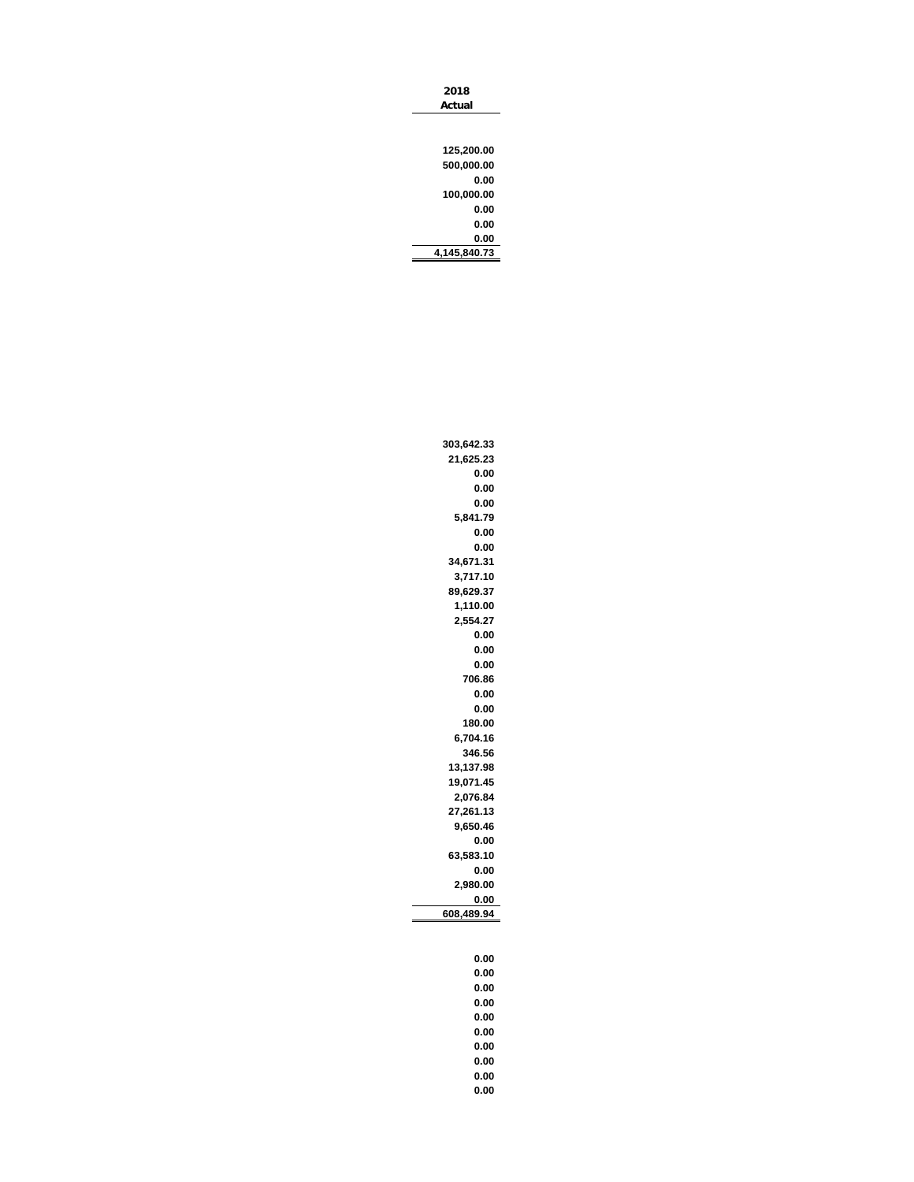| 303,642.33 |
|------------|
| 21,625.23  |
| 0.00       |
| 0.00       |
| 0.00       |
| 5,841.79   |
| 0.00       |
| 0.00       |
| 34,671.31  |
| 3,717.10   |
| 89,629.37  |
| 1,110.00   |
| 2,554.27   |
| 0.00       |
| 0.00       |
| 0.00       |
| 706.86     |
| 0.00       |
| 0.00       |
| 180.00     |
| 6,704.16   |
| 346.56     |
| 13,137.98  |
| 19,071.45  |
| 2,076.84   |
| 27,261.13  |
| 9,650.46   |
| 0.00       |
| 63,583.10  |
| 0.00       |
| 2,980.00   |
| 0.00       |
| 608,489.94 |
|            |
|            |
| 0.00       |

**0.00 0.00 0.00 0.00 0.00 0.00 0.00 0.00 0.00**

| Actual       |
|--------------|
|              |
|              |
| 125,200.00   |
| 500,000.00   |
| 0.00         |
| 100,000.00   |
| 0.00         |
| 0.00         |
| 0.00         |
| 4.145.840.73 |
|              |

**2018**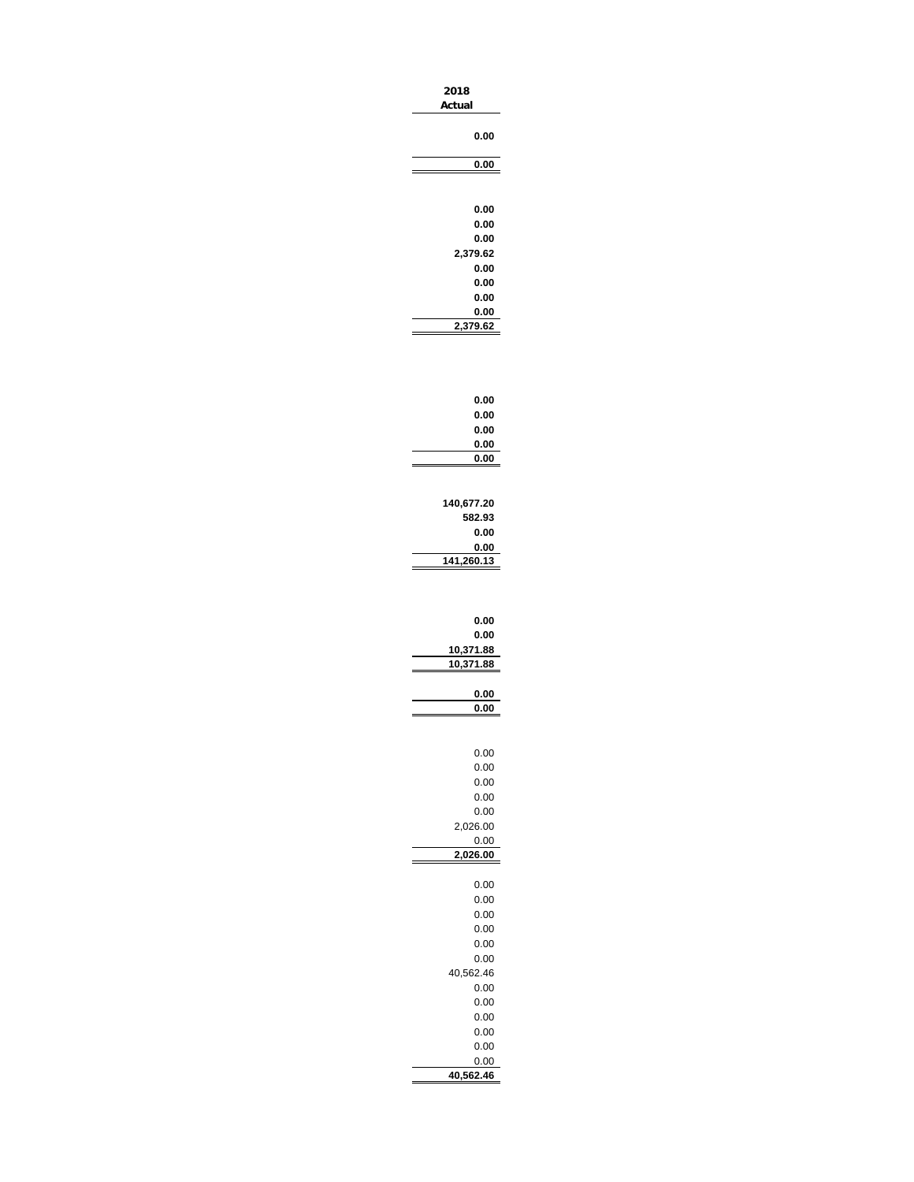| 2018<br>Actual         |
|------------------------|
| 0.00                   |
| 0.00                   |
|                        |
| 0.00<br>0.00           |
| 0.00<br>2,379.62       |
| 0.00                   |
| 0.00<br>0.00           |
| 0.00<br>2,379.62       |
|                        |
| 0.00                   |
| 0.00                   |
| 0.00<br>0.00           |
| 0.00                   |
| 140,677.20             |
| 582.93<br>0.00         |
| 0.00<br>141,260.13     |
| 0.00<br>0.00           |
| 10,371.88<br>10,371.88 |
| 0.00                   |
| 0.00                   |
| 0.00                   |
| 0.00                   |
| 0.00<br>0.00           |
| 0.00<br>2,026.00       |
| 0.00                   |
| ,026.00                |
| 0.00<br>0.00           |
| 0.00                   |
| 0.00<br>0.00           |
| 0.00<br>40,562.46      |
| 0.00                   |
| 0.00<br>0.00           |
| 0.00                   |
| 0.00<br>0.00           |

**40,562.46**

à.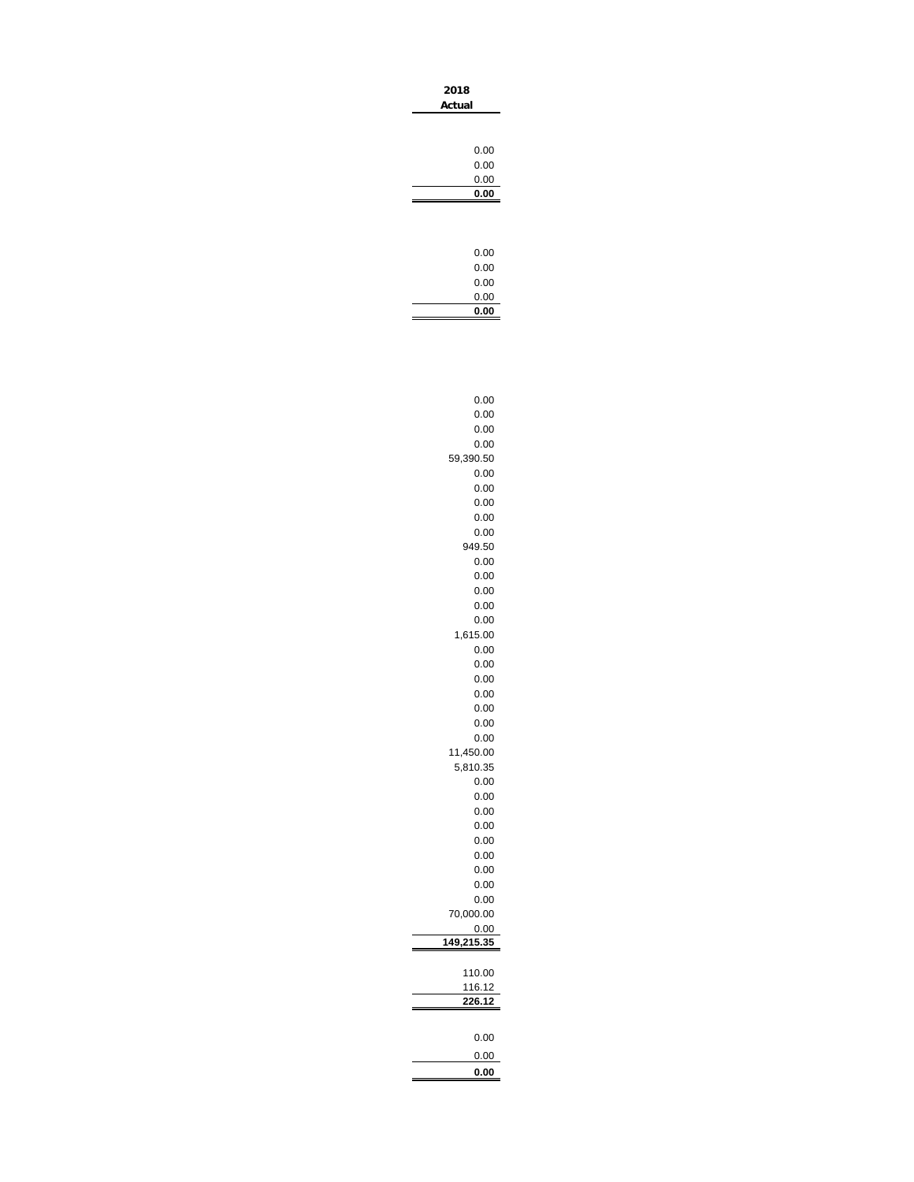| 2018<br>Actual |      |
|----------------|------|
|                |      |
|                | 0.00 |
|                | 0.00 |
|                | 0.00 |
|                | 0.00 |
|                |      |
|                |      |
|                |      |
|                | 0.00 |
|                | 0.00 |
|                | 0.00 |
|                | 0.00 |
|                | 0.00 |

à.

| 0.00             |
|------------------|
| 0.00             |
| 0.00             |
| 0.00             |
| 59,390.50        |
| 0.00             |
| 0.00             |
| 0.00             |
| 0.00             |
| 0.00             |
| 949.50           |
| 0.00             |
| 0.00             |
| 0.00             |
| 0.00             |
| 0.00             |
| 1,615.00         |
| 0.00             |
| 0.00<br>0.00     |
| 0.00             |
| 0.00             |
| 0.00             |
| 0.00             |
| 11,450.00        |
| 5,810.35         |
| 0.00             |
| 0.00             |
| 0.00             |
| 0.00             |
| 0.00             |
| 0.00             |
| 0.00             |
| 0.00             |
| 0.00             |
| 70,000.00        |
| 0.00             |
| 149<br>,215.35   |
|                  |
| 110.00           |
| 116.12<br>226.12 |
|                  |
|                  |
| 0.00             |
| 0.00             |
| 0.00             |